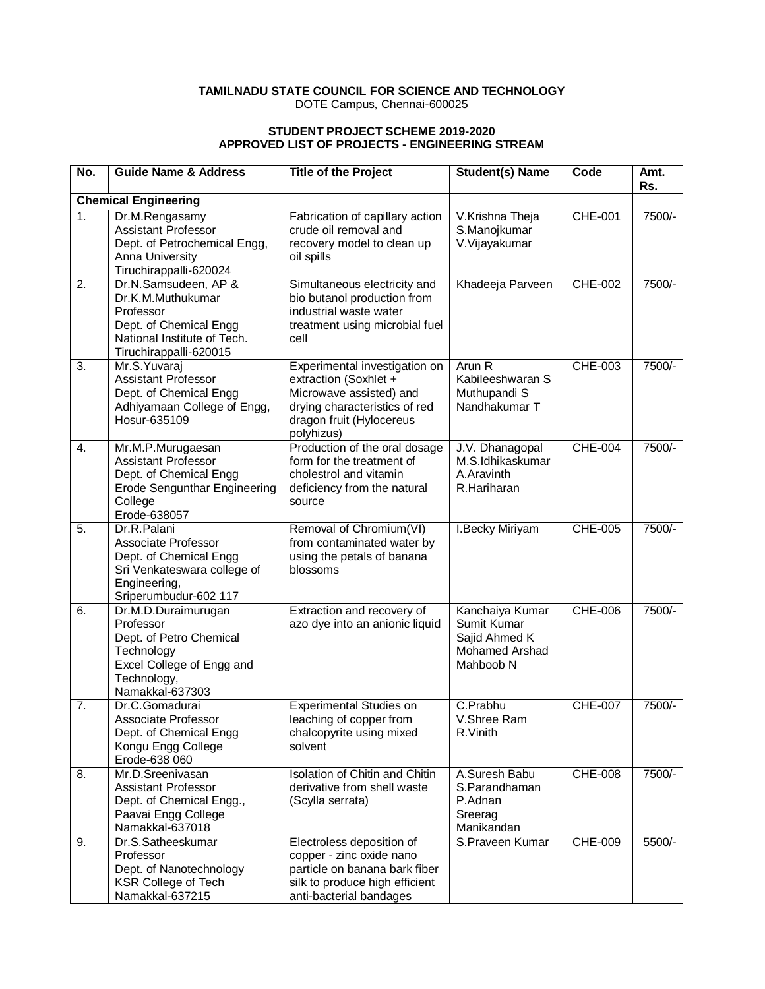### **TAMILNADU STATE COUNCIL FOR SCIENCE AND TECHNOLOGY** DOTE Campus, Chennai-600025

### **STUDENT PROJECT SCHEME 2019-2020 APPROVED LIST OF PROJECTS - ENGINEERING STREAM**

| No.              | <b>Guide Name &amp; Address</b>                                                                                                             | <b>Title of the Project</b>                                                                                                                                  | <b>Student(s) Name</b>                                                                | Code           | Amt.<br>Rs. |
|------------------|---------------------------------------------------------------------------------------------------------------------------------------------|--------------------------------------------------------------------------------------------------------------------------------------------------------------|---------------------------------------------------------------------------------------|----------------|-------------|
|                  | <b>Chemical Engineering</b>                                                                                                                 |                                                                                                                                                              |                                                                                       |                |             |
| $\overline{1}$ . | Dr.M.Rengasamy<br><b>Assistant Professor</b><br>Dept. of Petrochemical Engg,<br>Anna University<br>Tiruchirappalli-620024                   | Fabrication of capillary action<br>crude oil removal and<br>recovery model to clean up<br>oil spills                                                         | V.Krishna Theja<br>S.Manojkumar<br>V. Vijayakumar                                     | <b>CHE-001</b> | 7500/-      |
| 2.               | Dr.N.Samsudeen, AP &<br>Dr.K.M.Muthukumar<br>Professor<br>Dept. of Chemical Engg<br>National Institute of Tech.<br>Tiruchirappalli-620015   | Simultaneous electricity and<br>bio butanol production from<br>industrial waste water<br>treatment using microbial fuel<br>cell                              | Khadeeja Parveen                                                                      | <b>CHE-002</b> | 7500/-      |
| 3.               | Mr.S.Yuvaraj<br>Assistant Professor<br>Dept. of Chemical Engg<br>Adhiyamaan College of Engg,<br>Hosur-635109                                | Experimental investigation on<br>extraction (Soxhlet +<br>Microwave assisted) and<br>drying characteristics of red<br>dragon fruit (Hylocereus<br>polyhizus) | Arun R<br>Kabileeshwaran S<br>Muthupandi S<br>Nandhakumar T                           | <b>CHE-003</b> | 7500/-      |
| 4.               | Mr.M.P.Murugaesan<br><b>Assistant Professor</b><br>Dept. of Chemical Engg<br><b>Erode Sengunthar Engineering</b><br>College<br>Erode-638057 | Production of the oral dosage<br>form for the treatment of<br>cholestrol and vitamin<br>deficiency from the natural<br>source                                | J.V. Dhanagopal<br>M.S.Idhikaskumar<br>A.Aravinth<br>R.Hariharan                      | <b>CHE-004</b> | 7500/-      |
| $\overline{5}$ . | Dr.R.Palani<br>Associate Professor<br>Dept. of Chemical Engg<br>Sri Venkateswara college of<br>Engineering,<br>Sriperumbudur-602 117        | Removal of Chromium(VI)<br>from contaminated water by<br>using the petals of banana<br>blossoms                                                              | I.Becky Miriyam                                                                       | <b>CHE-005</b> | 7500/-      |
| 6.               | Dr.M.D.Duraimurugan<br>Professor<br>Dept. of Petro Chemical<br>Technology<br>Excel College of Engg and<br>Technology,<br>Namakkal-637303    | Extraction and recovery of<br>azo dye into an anionic liquid                                                                                                 | Kanchaiya Kumar<br>Sumit Kumar<br>Sajid Ahmed K<br><b>Mohamed Arshad</b><br>Mahboob N | <b>CHE-006</b> | 7500/-      |
| 7.               | Dr.C.Gomadurai<br>Associate Professor<br>Dept. of Chemical Engg<br>Kongu Engg College<br>Erode-638 060                                      | <b>Experimental Studies on</b><br>leaching of copper from<br>chalcopyrite using mixed<br>solvent                                                             | C.Prabhu<br>V.Shree Ram<br>R.Vinith                                                   | <b>CHE-007</b> | 7500/-      |
| 8.               | Mr.D.Sreenivasan<br><b>Assistant Professor</b><br>Dept. of Chemical Engg.,<br>Paavai Engg College<br>Namakkal-637018                        | Isolation of Chitin and Chitin<br>derivative from shell waste<br>(Scylla serrata)                                                                            | A.Suresh Babu<br>S.Parandhaman<br>P.Adnan<br>Sreerag<br>Manikandan                    | <b>CHE-008</b> | 7500/-      |
| 9.               | Dr.S.Satheeskumar<br>Professor<br>Dept. of Nanotechnology<br><b>KSR College of Tech</b><br>Namakkal-637215                                  | Electroless deposition of<br>copper - zinc oxide nano<br>particle on banana bark fiber<br>silk to produce high efficient<br>anti-bacterial bandages          | S.Praveen Kumar                                                                       | <b>CHE-009</b> | 5500/-      |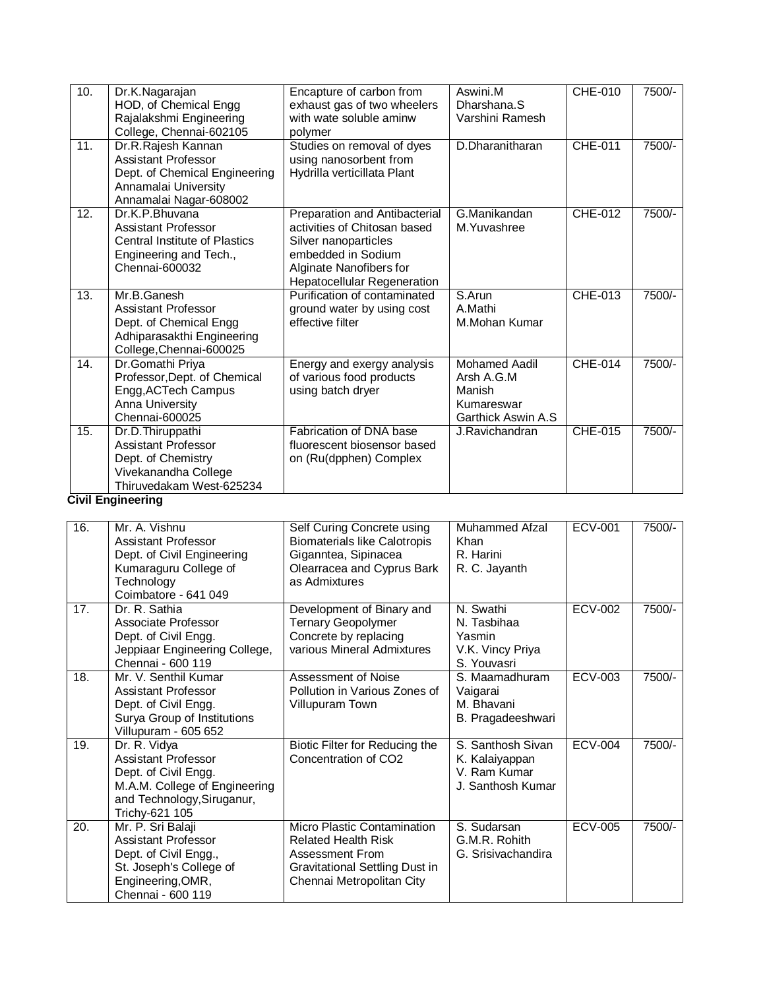| 10.                                       | Dr.K.Nagarajan<br>HOD, of Chemical Engg<br>Rajalakshmi Engineering<br>College, Chennai-602105                                       | Encapture of carbon from<br>exhaust gas of two wheelers<br>with wate soluble aminw<br>polymer                                                                                | Aswini.M<br>Dharshana.S<br>Varshini Ramesh                                        | <b>CHE-010</b> | 7500/- |
|-------------------------------------------|-------------------------------------------------------------------------------------------------------------------------------------|------------------------------------------------------------------------------------------------------------------------------------------------------------------------------|-----------------------------------------------------------------------------------|----------------|--------|
| 11.                                       | Dr.R.Rajesh Kannan<br><b>Assistant Professor</b><br>Dept. of Chemical Engineering<br>Annamalai University<br>Annamalai Nagar-608002 | Studies on removal of dyes<br>using nanosorbent from<br>Hydrilla verticillata Plant                                                                                          | D.Dharanitharan                                                                   | <b>CHE-011</b> | 7500/- |
| 12.                                       | Dr.K.P.Bhuvana<br><b>Assistant Professor</b><br><b>Central Institute of Plastics</b><br>Engineering and Tech.,<br>Chennai-600032    | Preparation and Antibacterial<br>activities of Chitosan based<br>Silver nanoparticles<br>embedded in Sodium<br>Alginate Nanofibers for<br><b>Hepatocellular Regeneration</b> | G.Manikandan<br>M.Yuvashree                                                       | CHE-012        | 7500/- |
| 13.                                       | Mr.B.Ganesh<br>Assistant Professor<br>Dept. of Chemical Engg<br>Adhiparasakthi Engineering<br>College, Chennai-600025               | Purification of contaminated<br>ground water by using cost<br>effective filter                                                                                               | S.Arun<br>A.Mathi<br>M.Mohan Kumar                                                | CHE-013        | 7500/- |
| 14.                                       | Dr.Gomathi Priya<br>Professor, Dept. of Chemical<br>Engg, ACTech Campus<br>Anna University<br>Chennai-600025                        | Energy and exergy analysis<br>of various food products<br>using batch dryer                                                                                                  | <b>Mohamed Aadil</b><br>Arsh A.G.M<br>Manish<br>Kumareswar<br>Garthick Aswin A.S. | CHE-014        | 7500/- |
| 15.<br><b><i><u>ALCOHOL: 2005</u></i></b> | Dr.D.Thiruppathi<br><b>Assistant Professor</b><br>Dept. of Chemistry<br>Vivekanandha College<br>Thiruvedakam West-625234            | Fabrication of DNA base<br>fluorescent biosensor based<br>on (Ru(dpphen) Complex                                                                                             | J.Ravichandran                                                                    | CHE-015        | 7500/- |

### **Civil Engineering**

| 16. | Mr. A. Vishnu<br>Assistant Professor<br>Dept. of Civil Engineering<br>Kumaraguru College of<br>Technology<br>Coimbatore - 641 049                   | Self Curing Concrete using<br><b>Biomaterials like Calotropis</b><br>Giganntea, Sipinacea<br>Olearracea and Cyprus Bark<br>as Admixtures    | Muhammed Afzal<br><b>Khan</b><br>R. Harini<br>R. C. Jayanth              | <b>ECV-001</b> | 7500/- |
|-----|-----------------------------------------------------------------------------------------------------------------------------------------------------|---------------------------------------------------------------------------------------------------------------------------------------------|--------------------------------------------------------------------------|----------------|--------|
| 17. | Dr. R. Sathia<br>Associate Professor<br>Dept. of Civil Engg.<br>Jeppiaar Engineering College,<br>Chennai - 600 119                                  | Development of Binary and<br><b>Ternary Geopolymer</b><br>Concrete by replacing<br>various Mineral Admixtures                               | N. Swathi<br>N. Tasbihaa<br>Yasmin<br>V.K. Vincy Priya<br>S. Youvasri    | <b>ECV-002</b> | 7500/- |
| 18. | Mr. V. Senthil Kumar<br>Assistant Professor<br>Dept. of Civil Engg.<br>Surya Group of Institutions<br>Villupuram - 605 652                          | Assessment of Noise<br>Pollution in Various Zones of<br>Villupuram Town                                                                     | S. Maamadhuram<br>Vaigarai<br>M. Bhavani<br>B. Pragadeeshwari            | ECV-003        | 7500/- |
| 19. | Dr. R. Vidya<br><b>Assistant Professor</b><br>Dept. of Civil Engg.<br>M.A.M. College of Engineering<br>and Technology, Siruganur,<br>Trichy-621 105 | Biotic Filter for Reducing the<br>Concentration of CO <sub>2</sub>                                                                          | S. Santhosh Sivan<br>K. Kalaiyappan<br>V. Ram Kumar<br>J. Santhosh Kumar | <b>ECV-004</b> | 7500/- |
| 20. | Mr. P. Sri Balaji<br>Assistant Professor<br>Dept. of Civil Engg.,<br>St. Joseph's College of<br>Engineering, OMR,<br>Chennai - 600 119              | Micro Plastic Contamination<br><b>Related Health Risk</b><br>Assessment From<br>Gravitational Settling Dust in<br>Chennai Metropolitan City | S. Sudarsan<br>G.M.R. Rohith<br>G. Srisivachandira                       | <b>ECV-005</b> | 7500/- |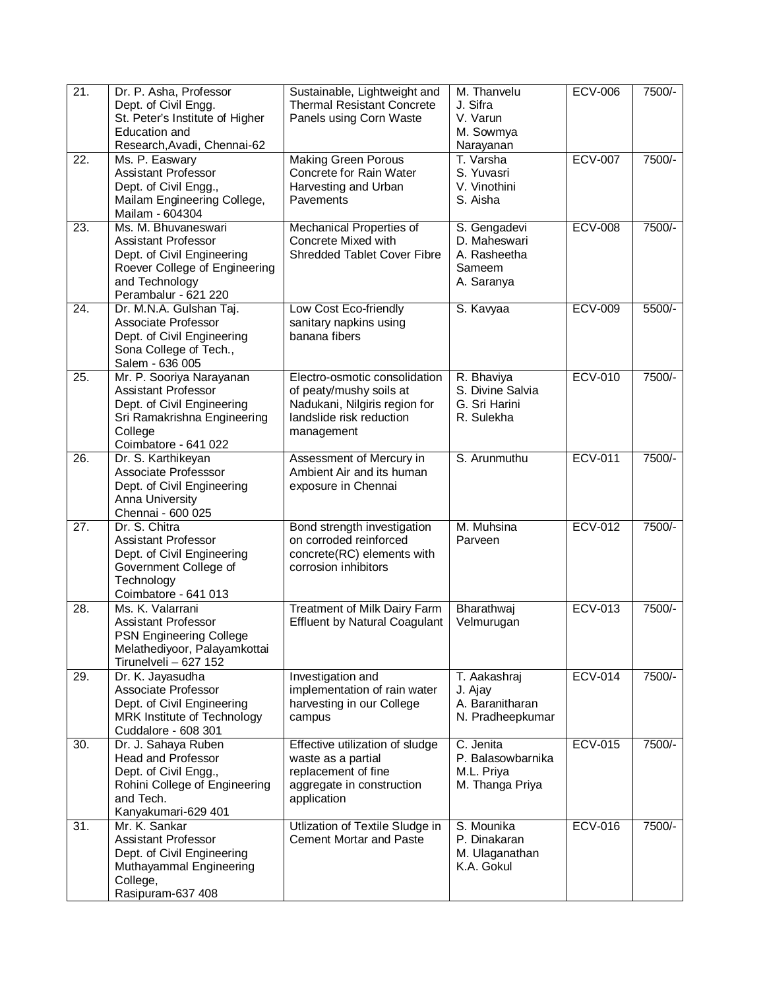| Dept. of Civil Engg.<br><b>Thermal Resistant Concrete</b><br>J. Sifra<br>St. Peter's Institute of Higher<br>Panels using Corn Waste<br>V. Varun<br>M. Sowmya<br>Education and<br>Research, Avadi, Chennai-62<br>Narayanan<br><b>ECV-007</b><br>7500/-<br><b>Making Green Porous</b><br>T. Varsha<br>22.<br>Ms. P. Easwary<br><b>Assistant Professor</b><br>Concrete for Rain Water<br>S. Yuvasri<br>Dept. of Civil Engg.,<br>Harvesting and Urban<br>V. Vinothini<br>Mailam Engineering College,<br>Pavements<br>S. Aisha<br>Mailam - 604304<br><b>ECV-008</b><br>7500/-<br>23.<br>Ms. M. Bhuvaneswari<br>S. Gengadevi<br>Mechanical Properties of<br>Concrete Mixed with<br>D. Maheswari<br><b>Assistant Professor</b><br><b>Shredded Tablet Cover Fibre</b><br>Dept. of Civil Engineering<br>A. Rasheetha<br>Roever College of Engineering<br>Sameem<br>and Technology<br>A. Saranya<br>Perambalur - 621 220<br>S. Kavyaa<br><b>ECV-009</b><br>5500/-<br>24.<br>Dr. M.N.A. Gulshan Taj.<br>Low Cost Eco-friendly<br>Associate Professor<br>sanitary napkins using<br>Dept. of Civil Engineering<br>banana fibers<br>Sona College of Tech.,<br>Salem - 636 005<br><b>ECV-010</b><br>7500/-<br>25.<br>Mr. P. Sooriya Narayanan<br>Electro-osmotic consolidation<br>R. Bhaviya<br>S. Divine Salvia<br><b>Assistant Professor</b><br>of peaty/mushy soils at<br>Dept. of Civil Engineering<br>Nadukani, Nilgiris region for<br>G. Sri Harini<br>Sri Ramakrishna Engineering<br>landslide risk reduction<br>R. Sulekha<br>College<br>management<br>Coimbatore - 641 022<br>S. Arunmuthu<br><b>ECV-011</b><br>7500/-<br>26.<br>Dr. S. Karthikeyan<br>Assessment of Mercury in<br>Associate Professsor<br>Ambient Air and its human<br>Dept. of Civil Engineering<br>exposure in Chennai<br>Anna University<br>Chennai - 600 025<br><b>ECV-012</b><br>$\overline{27}$ .<br>Dr. S. Chitra<br>7500/-<br>Bond strength investigation<br>M. Muhsina<br>on corroded reinforced<br><b>Assistant Professor</b><br>Parveen<br>Dept. of Civil Engineering<br>concrete(RC) elements with<br>Government College of<br>corrosion inhibitors<br>Technology<br>Coimbatore - 641 013<br><b>ECV-013</b><br>Ms. K. Valarrani<br>7500/-<br>28.<br>Treatment of Milk Dairy Farm<br>Bharathwaj<br><b>Effluent by Natural Coagulant</b><br>Velmurugan<br><b>Assistant Professor</b><br>PSN Engineering College<br>Melathediyoor, Palayamkottai<br>Tirunelveli - 627 152<br>Dr. K. Jayasudha<br><b>ECV-014</b><br>7500/-<br>29.<br>Investigation and<br>T. Aakashraj<br>Associate Professor<br>implementation of rain water<br>J. Ajay<br>A. Baranitharan<br>Dept. of Civil Engineering<br>harvesting in our College<br>MRK Institute of Technology<br>N. Pradheepkumar<br>campus<br>Cuddalore - 608 301<br><b>ECV-015</b><br>7500/-<br>30.<br>Dr. J. Sahaya Ruben<br>C. Jenita<br>Effective utilization of sludge<br><b>Head and Professor</b><br>P. Balasowbarnika<br>waste as a partial<br>Dept. of Civil Engg.,<br>replacement of fine<br>M.L. Priya<br>Rohini College of Engineering<br>aggregate in construction<br>M. Thanga Priya<br>and Tech.<br>application<br>Kanyakumari-629 401<br>Mr. K. Sankar<br>S. Mounika<br><b>ECV-016</b><br>7500/-<br>31.<br>Utlization of Textile Sludge in<br><b>Assistant Professor</b><br><b>Cement Mortar and Paste</b><br>P. Dinakaran<br>Dept. of Civil Engineering<br>M. Ulaganathan<br>Muthayammal Engineering<br>K.A. Gokul<br>College, | 21. | Dr. P. Asha, Professor | Sustainable, Lightweight and | M. Thanvelu | <b>ECV-006</b> | 7500/- |
|-------------------------------------------------------------------------------------------------------------------------------------------------------------------------------------------------------------------------------------------------------------------------------------------------------------------------------------------------------------------------------------------------------------------------------------------------------------------------------------------------------------------------------------------------------------------------------------------------------------------------------------------------------------------------------------------------------------------------------------------------------------------------------------------------------------------------------------------------------------------------------------------------------------------------------------------------------------------------------------------------------------------------------------------------------------------------------------------------------------------------------------------------------------------------------------------------------------------------------------------------------------------------------------------------------------------------------------------------------------------------------------------------------------------------------------------------------------------------------------------------------------------------------------------------------------------------------------------------------------------------------------------------------------------------------------------------------------------------------------------------------------------------------------------------------------------------------------------------------------------------------------------------------------------------------------------------------------------------------------------------------------------------------------------------------------------------------------------------------------------------------------------------------------------------------------------------------------------------------------------------------------------------------------------------------------------------------------------------------------------------------------------------------------------------------------------------------------------------------------------------------------------------------------------------------------------------------------------------------------------------------------------------------------------------------------------------------------------------------------------------------------------------------------------------------------------------------------------------------------------------------------------------------------------------------------------------------------------------------------------------------------------------------------------------------------------------------------------------------------------------------------------------------------------------------------------------------------------------------------------------------------------------------------------------------------------------------------------------------------------------------------------------------------------------------------------------------------|-----|------------------------|------------------------------|-------------|----------------|--------|
|                                                                                                                                                                                                                                                                                                                                                                                                                                                                                                                                                                                                                                                                                                                                                                                                                                                                                                                                                                                                                                                                                                                                                                                                                                                                                                                                                                                                                                                                                                                                                                                                                                                                                                                                                                                                                                                                                                                                                                                                                                                                                                                                                                                                                                                                                                                                                                                                                                                                                                                                                                                                                                                                                                                                                                                                                                                                                                                                                                                                                                                                                                                                                                                                                                                                                                                                                                                                                                                             |     |                        |                              |             |                |        |
|                                                                                                                                                                                                                                                                                                                                                                                                                                                                                                                                                                                                                                                                                                                                                                                                                                                                                                                                                                                                                                                                                                                                                                                                                                                                                                                                                                                                                                                                                                                                                                                                                                                                                                                                                                                                                                                                                                                                                                                                                                                                                                                                                                                                                                                                                                                                                                                                                                                                                                                                                                                                                                                                                                                                                                                                                                                                                                                                                                                                                                                                                                                                                                                                                                                                                                                                                                                                                                                             |     |                        |                              |             |                |        |
|                                                                                                                                                                                                                                                                                                                                                                                                                                                                                                                                                                                                                                                                                                                                                                                                                                                                                                                                                                                                                                                                                                                                                                                                                                                                                                                                                                                                                                                                                                                                                                                                                                                                                                                                                                                                                                                                                                                                                                                                                                                                                                                                                                                                                                                                                                                                                                                                                                                                                                                                                                                                                                                                                                                                                                                                                                                                                                                                                                                                                                                                                                                                                                                                                                                                                                                                                                                                                                                             |     |                        |                              |             |                |        |
|                                                                                                                                                                                                                                                                                                                                                                                                                                                                                                                                                                                                                                                                                                                                                                                                                                                                                                                                                                                                                                                                                                                                                                                                                                                                                                                                                                                                                                                                                                                                                                                                                                                                                                                                                                                                                                                                                                                                                                                                                                                                                                                                                                                                                                                                                                                                                                                                                                                                                                                                                                                                                                                                                                                                                                                                                                                                                                                                                                                                                                                                                                                                                                                                                                                                                                                                                                                                                                                             |     |                        |                              |             |                |        |
|                                                                                                                                                                                                                                                                                                                                                                                                                                                                                                                                                                                                                                                                                                                                                                                                                                                                                                                                                                                                                                                                                                                                                                                                                                                                                                                                                                                                                                                                                                                                                                                                                                                                                                                                                                                                                                                                                                                                                                                                                                                                                                                                                                                                                                                                                                                                                                                                                                                                                                                                                                                                                                                                                                                                                                                                                                                                                                                                                                                                                                                                                                                                                                                                                                                                                                                                                                                                                                                             |     |                        |                              |             |                |        |
|                                                                                                                                                                                                                                                                                                                                                                                                                                                                                                                                                                                                                                                                                                                                                                                                                                                                                                                                                                                                                                                                                                                                                                                                                                                                                                                                                                                                                                                                                                                                                                                                                                                                                                                                                                                                                                                                                                                                                                                                                                                                                                                                                                                                                                                                                                                                                                                                                                                                                                                                                                                                                                                                                                                                                                                                                                                                                                                                                                                                                                                                                                                                                                                                                                                                                                                                                                                                                                                             |     |                        |                              |             |                |        |
|                                                                                                                                                                                                                                                                                                                                                                                                                                                                                                                                                                                                                                                                                                                                                                                                                                                                                                                                                                                                                                                                                                                                                                                                                                                                                                                                                                                                                                                                                                                                                                                                                                                                                                                                                                                                                                                                                                                                                                                                                                                                                                                                                                                                                                                                                                                                                                                                                                                                                                                                                                                                                                                                                                                                                                                                                                                                                                                                                                                                                                                                                                                                                                                                                                                                                                                                                                                                                                                             |     |                        |                              |             |                |        |
|                                                                                                                                                                                                                                                                                                                                                                                                                                                                                                                                                                                                                                                                                                                                                                                                                                                                                                                                                                                                                                                                                                                                                                                                                                                                                                                                                                                                                                                                                                                                                                                                                                                                                                                                                                                                                                                                                                                                                                                                                                                                                                                                                                                                                                                                                                                                                                                                                                                                                                                                                                                                                                                                                                                                                                                                                                                                                                                                                                                                                                                                                                                                                                                                                                                                                                                                                                                                                                                             |     |                        |                              |             |                |        |
|                                                                                                                                                                                                                                                                                                                                                                                                                                                                                                                                                                                                                                                                                                                                                                                                                                                                                                                                                                                                                                                                                                                                                                                                                                                                                                                                                                                                                                                                                                                                                                                                                                                                                                                                                                                                                                                                                                                                                                                                                                                                                                                                                                                                                                                                                                                                                                                                                                                                                                                                                                                                                                                                                                                                                                                                                                                                                                                                                                                                                                                                                                                                                                                                                                                                                                                                                                                                                                                             |     |                        |                              |             |                |        |
|                                                                                                                                                                                                                                                                                                                                                                                                                                                                                                                                                                                                                                                                                                                                                                                                                                                                                                                                                                                                                                                                                                                                                                                                                                                                                                                                                                                                                                                                                                                                                                                                                                                                                                                                                                                                                                                                                                                                                                                                                                                                                                                                                                                                                                                                                                                                                                                                                                                                                                                                                                                                                                                                                                                                                                                                                                                                                                                                                                                                                                                                                                                                                                                                                                                                                                                                                                                                                                                             |     |                        |                              |             |                |        |
|                                                                                                                                                                                                                                                                                                                                                                                                                                                                                                                                                                                                                                                                                                                                                                                                                                                                                                                                                                                                                                                                                                                                                                                                                                                                                                                                                                                                                                                                                                                                                                                                                                                                                                                                                                                                                                                                                                                                                                                                                                                                                                                                                                                                                                                                                                                                                                                                                                                                                                                                                                                                                                                                                                                                                                                                                                                                                                                                                                                                                                                                                                                                                                                                                                                                                                                                                                                                                                                             |     |                        |                              |             |                |        |
|                                                                                                                                                                                                                                                                                                                                                                                                                                                                                                                                                                                                                                                                                                                                                                                                                                                                                                                                                                                                                                                                                                                                                                                                                                                                                                                                                                                                                                                                                                                                                                                                                                                                                                                                                                                                                                                                                                                                                                                                                                                                                                                                                                                                                                                                                                                                                                                                                                                                                                                                                                                                                                                                                                                                                                                                                                                                                                                                                                                                                                                                                                                                                                                                                                                                                                                                                                                                                                                             |     |                        |                              |             |                |        |
|                                                                                                                                                                                                                                                                                                                                                                                                                                                                                                                                                                                                                                                                                                                                                                                                                                                                                                                                                                                                                                                                                                                                                                                                                                                                                                                                                                                                                                                                                                                                                                                                                                                                                                                                                                                                                                                                                                                                                                                                                                                                                                                                                                                                                                                                                                                                                                                                                                                                                                                                                                                                                                                                                                                                                                                                                                                                                                                                                                                                                                                                                                                                                                                                                                                                                                                                                                                                                                                             |     |                        |                              |             |                |        |
|                                                                                                                                                                                                                                                                                                                                                                                                                                                                                                                                                                                                                                                                                                                                                                                                                                                                                                                                                                                                                                                                                                                                                                                                                                                                                                                                                                                                                                                                                                                                                                                                                                                                                                                                                                                                                                                                                                                                                                                                                                                                                                                                                                                                                                                                                                                                                                                                                                                                                                                                                                                                                                                                                                                                                                                                                                                                                                                                                                                                                                                                                                                                                                                                                                                                                                                                                                                                                                                             |     |                        |                              |             |                |        |
|                                                                                                                                                                                                                                                                                                                                                                                                                                                                                                                                                                                                                                                                                                                                                                                                                                                                                                                                                                                                                                                                                                                                                                                                                                                                                                                                                                                                                                                                                                                                                                                                                                                                                                                                                                                                                                                                                                                                                                                                                                                                                                                                                                                                                                                                                                                                                                                                                                                                                                                                                                                                                                                                                                                                                                                                                                                                                                                                                                                                                                                                                                                                                                                                                                                                                                                                                                                                                                                             |     |                        |                              |             |                |        |
|                                                                                                                                                                                                                                                                                                                                                                                                                                                                                                                                                                                                                                                                                                                                                                                                                                                                                                                                                                                                                                                                                                                                                                                                                                                                                                                                                                                                                                                                                                                                                                                                                                                                                                                                                                                                                                                                                                                                                                                                                                                                                                                                                                                                                                                                                                                                                                                                                                                                                                                                                                                                                                                                                                                                                                                                                                                                                                                                                                                                                                                                                                                                                                                                                                                                                                                                                                                                                                                             |     |                        |                              |             |                |        |
|                                                                                                                                                                                                                                                                                                                                                                                                                                                                                                                                                                                                                                                                                                                                                                                                                                                                                                                                                                                                                                                                                                                                                                                                                                                                                                                                                                                                                                                                                                                                                                                                                                                                                                                                                                                                                                                                                                                                                                                                                                                                                                                                                                                                                                                                                                                                                                                                                                                                                                                                                                                                                                                                                                                                                                                                                                                                                                                                                                                                                                                                                                                                                                                                                                                                                                                                                                                                                                                             |     |                        |                              |             |                |        |
|                                                                                                                                                                                                                                                                                                                                                                                                                                                                                                                                                                                                                                                                                                                                                                                                                                                                                                                                                                                                                                                                                                                                                                                                                                                                                                                                                                                                                                                                                                                                                                                                                                                                                                                                                                                                                                                                                                                                                                                                                                                                                                                                                                                                                                                                                                                                                                                                                                                                                                                                                                                                                                                                                                                                                                                                                                                                                                                                                                                                                                                                                                                                                                                                                                                                                                                                                                                                                                                             |     |                        |                              |             |                |        |
|                                                                                                                                                                                                                                                                                                                                                                                                                                                                                                                                                                                                                                                                                                                                                                                                                                                                                                                                                                                                                                                                                                                                                                                                                                                                                                                                                                                                                                                                                                                                                                                                                                                                                                                                                                                                                                                                                                                                                                                                                                                                                                                                                                                                                                                                                                                                                                                                                                                                                                                                                                                                                                                                                                                                                                                                                                                                                                                                                                                                                                                                                                                                                                                                                                                                                                                                                                                                                                                             |     |                        |                              |             |                |        |
|                                                                                                                                                                                                                                                                                                                                                                                                                                                                                                                                                                                                                                                                                                                                                                                                                                                                                                                                                                                                                                                                                                                                                                                                                                                                                                                                                                                                                                                                                                                                                                                                                                                                                                                                                                                                                                                                                                                                                                                                                                                                                                                                                                                                                                                                                                                                                                                                                                                                                                                                                                                                                                                                                                                                                                                                                                                                                                                                                                                                                                                                                                                                                                                                                                                                                                                                                                                                                                                             |     |                        |                              |             |                |        |
|                                                                                                                                                                                                                                                                                                                                                                                                                                                                                                                                                                                                                                                                                                                                                                                                                                                                                                                                                                                                                                                                                                                                                                                                                                                                                                                                                                                                                                                                                                                                                                                                                                                                                                                                                                                                                                                                                                                                                                                                                                                                                                                                                                                                                                                                                                                                                                                                                                                                                                                                                                                                                                                                                                                                                                                                                                                                                                                                                                                                                                                                                                                                                                                                                                                                                                                                                                                                                                                             |     |                        |                              |             |                |        |
|                                                                                                                                                                                                                                                                                                                                                                                                                                                                                                                                                                                                                                                                                                                                                                                                                                                                                                                                                                                                                                                                                                                                                                                                                                                                                                                                                                                                                                                                                                                                                                                                                                                                                                                                                                                                                                                                                                                                                                                                                                                                                                                                                                                                                                                                                                                                                                                                                                                                                                                                                                                                                                                                                                                                                                                                                                                                                                                                                                                                                                                                                                                                                                                                                                                                                                                                                                                                                                                             |     |                        |                              |             |                |        |
|                                                                                                                                                                                                                                                                                                                                                                                                                                                                                                                                                                                                                                                                                                                                                                                                                                                                                                                                                                                                                                                                                                                                                                                                                                                                                                                                                                                                                                                                                                                                                                                                                                                                                                                                                                                                                                                                                                                                                                                                                                                                                                                                                                                                                                                                                                                                                                                                                                                                                                                                                                                                                                                                                                                                                                                                                                                                                                                                                                                                                                                                                                                                                                                                                                                                                                                                                                                                                                                             |     |                        |                              |             |                |        |
|                                                                                                                                                                                                                                                                                                                                                                                                                                                                                                                                                                                                                                                                                                                                                                                                                                                                                                                                                                                                                                                                                                                                                                                                                                                                                                                                                                                                                                                                                                                                                                                                                                                                                                                                                                                                                                                                                                                                                                                                                                                                                                                                                                                                                                                                                                                                                                                                                                                                                                                                                                                                                                                                                                                                                                                                                                                                                                                                                                                                                                                                                                                                                                                                                                                                                                                                                                                                                                                             |     |                        |                              |             |                |        |
|                                                                                                                                                                                                                                                                                                                                                                                                                                                                                                                                                                                                                                                                                                                                                                                                                                                                                                                                                                                                                                                                                                                                                                                                                                                                                                                                                                                                                                                                                                                                                                                                                                                                                                                                                                                                                                                                                                                                                                                                                                                                                                                                                                                                                                                                                                                                                                                                                                                                                                                                                                                                                                                                                                                                                                                                                                                                                                                                                                                                                                                                                                                                                                                                                                                                                                                                                                                                                                                             |     |                        |                              |             |                |        |
|                                                                                                                                                                                                                                                                                                                                                                                                                                                                                                                                                                                                                                                                                                                                                                                                                                                                                                                                                                                                                                                                                                                                                                                                                                                                                                                                                                                                                                                                                                                                                                                                                                                                                                                                                                                                                                                                                                                                                                                                                                                                                                                                                                                                                                                                                                                                                                                                                                                                                                                                                                                                                                                                                                                                                                                                                                                                                                                                                                                                                                                                                                                                                                                                                                                                                                                                                                                                                                                             |     |                        |                              |             |                |        |
|                                                                                                                                                                                                                                                                                                                                                                                                                                                                                                                                                                                                                                                                                                                                                                                                                                                                                                                                                                                                                                                                                                                                                                                                                                                                                                                                                                                                                                                                                                                                                                                                                                                                                                                                                                                                                                                                                                                                                                                                                                                                                                                                                                                                                                                                                                                                                                                                                                                                                                                                                                                                                                                                                                                                                                                                                                                                                                                                                                                                                                                                                                                                                                                                                                                                                                                                                                                                                                                             |     |                        |                              |             |                |        |
|                                                                                                                                                                                                                                                                                                                                                                                                                                                                                                                                                                                                                                                                                                                                                                                                                                                                                                                                                                                                                                                                                                                                                                                                                                                                                                                                                                                                                                                                                                                                                                                                                                                                                                                                                                                                                                                                                                                                                                                                                                                                                                                                                                                                                                                                                                                                                                                                                                                                                                                                                                                                                                                                                                                                                                                                                                                                                                                                                                                                                                                                                                                                                                                                                                                                                                                                                                                                                                                             |     |                        |                              |             |                |        |
|                                                                                                                                                                                                                                                                                                                                                                                                                                                                                                                                                                                                                                                                                                                                                                                                                                                                                                                                                                                                                                                                                                                                                                                                                                                                                                                                                                                                                                                                                                                                                                                                                                                                                                                                                                                                                                                                                                                                                                                                                                                                                                                                                                                                                                                                                                                                                                                                                                                                                                                                                                                                                                                                                                                                                                                                                                                                                                                                                                                                                                                                                                                                                                                                                                                                                                                                                                                                                                                             |     |                        |                              |             |                |        |
|                                                                                                                                                                                                                                                                                                                                                                                                                                                                                                                                                                                                                                                                                                                                                                                                                                                                                                                                                                                                                                                                                                                                                                                                                                                                                                                                                                                                                                                                                                                                                                                                                                                                                                                                                                                                                                                                                                                                                                                                                                                                                                                                                                                                                                                                                                                                                                                                                                                                                                                                                                                                                                                                                                                                                                                                                                                                                                                                                                                                                                                                                                                                                                                                                                                                                                                                                                                                                                                             |     |                        |                              |             |                |        |
|                                                                                                                                                                                                                                                                                                                                                                                                                                                                                                                                                                                                                                                                                                                                                                                                                                                                                                                                                                                                                                                                                                                                                                                                                                                                                                                                                                                                                                                                                                                                                                                                                                                                                                                                                                                                                                                                                                                                                                                                                                                                                                                                                                                                                                                                                                                                                                                                                                                                                                                                                                                                                                                                                                                                                                                                                                                                                                                                                                                                                                                                                                                                                                                                                                                                                                                                                                                                                                                             |     |                        |                              |             |                |        |
|                                                                                                                                                                                                                                                                                                                                                                                                                                                                                                                                                                                                                                                                                                                                                                                                                                                                                                                                                                                                                                                                                                                                                                                                                                                                                                                                                                                                                                                                                                                                                                                                                                                                                                                                                                                                                                                                                                                                                                                                                                                                                                                                                                                                                                                                                                                                                                                                                                                                                                                                                                                                                                                                                                                                                                                                                                                                                                                                                                                                                                                                                                                                                                                                                                                                                                                                                                                                                                                             |     |                        |                              |             |                |        |
|                                                                                                                                                                                                                                                                                                                                                                                                                                                                                                                                                                                                                                                                                                                                                                                                                                                                                                                                                                                                                                                                                                                                                                                                                                                                                                                                                                                                                                                                                                                                                                                                                                                                                                                                                                                                                                                                                                                                                                                                                                                                                                                                                                                                                                                                                                                                                                                                                                                                                                                                                                                                                                                                                                                                                                                                                                                                                                                                                                                                                                                                                                                                                                                                                                                                                                                                                                                                                                                             |     |                        |                              |             |                |        |
|                                                                                                                                                                                                                                                                                                                                                                                                                                                                                                                                                                                                                                                                                                                                                                                                                                                                                                                                                                                                                                                                                                                                                                                                                                                                                                                                                                                                                                                                                                                                                                                                                                                                                                                                                                                                                                                                                                                                                                                                                                                                                                                                                                                                                                                                                                                                                                                                                                                                                                                                                                                                                                                                                                                                                                                                                                                                                                                                                                                                                                                                                                                                                                                                                                                                                                                                                                                                                                                             |     |                        |                              |             |                |        |
|                                                                                                                                                                                                                                                                                                                                                                                                                                                                                                                                                                                                                                                                                                                                                                                                                                                                                                                                                                                                                                                                                                                                                                                                                                                                                                                                                                                                                                                                                                                                                                                                                                                                                                                                                                                                                                                                                                                                                                                                                                                                                                                                                                                                                                                                                                                                                                                                                                                                                                                                                                                                                                                                                                                                                                                                                                                                                                                                                                                                                                                                                                                                                                                                                                                                                                                                                                                                                                                             |     |                        |                              |             |                |        |
|                                                                                                                                                                                                                                                                                                                                                                                                                                                                                                                                                                                                                                                                                                                                                                                                                                                                                                                                                                                                                                                                                                                                                                                                                                                                                                                                                                                                                                                                                                                                                                                                                                                                                                                                                                                                                                                                                                                                                                                                                                                                                                                                                                                                                                                                                                                                                                                                                                                                                                                                                                                                                                                                                                                                                                                                                                                                                                                                                                                                                                                                                                                                                                                                                                                                                                                                                                                                                                                             |     |                        |                              |             |                |        |
|                                                                                                                                                                                                                                                                                                                                                                                                                                                                                                                                                                                                                                                                                                                                                                                                                                                                                                                                                                                                                                                                                                                                                                                                                                                                                                                                                                                                                                                                                                                                                                                                                                                                                                                                                                                                                                                                                                                                                                                                                                                                                                                                                                                                                                                                                                                                                                                                                                                                                                                                                                                                                                                                                                                                                                                                                                                                                                                                                                                                                                                                                                                                                                                                                                                                                                                                                                                                                                                             |     |                        |                              |             |                |        |
|                                                                                                                                                                                                                                                                                                                                                                                                                                                                                                                                                                                                                                                                                                                                                                                                                                                                                                                                                                                                                                                                                                                                                                                                                                                                                                                                                                                                                                                                                                                                                                                                                                                                                                                                                                                                                                                                                                                                                                                                                                                                                                                                                                                                                                                                                                                                                                                                                                                                                                                                                                                                                                                                                                                                                                                                                                                                                                                                                                                                                                                                                                                                                                                                                                                                                                                                                                                                                                                             |     |                        |                              |             |                |        |
|                                                                                                                                                                                                                                                                                                                                                                                                                                                                                                                                                                                                                                                                                                                                                                                                                                                                                                                                                                                                                                                                                                                                                                                                                                                                                                                                                                                                                                                                                                                                                                                                                                                                                                                                                                                                                                                                                                                                                                                                                                                                                                                                                                                                                                                                                                                                                                                                                                                                                                                                                                                                                                                                                                                                                                                                                                                                                                                                                                                                                                                                                                                                                                                                                                                                                                                                                                                                                                                             |     |                        |                              |             |                |        |
|                                                                                                                                                                                                                                                                                                                                                                                                                                                                                                                                                                                                                                                                                                                                                                                                                                                                                                                                                                                                                                                                                                                                                                                                                                                                                                                                                                                                                                                                                                                                                                                                                                                                                                                                                                                                                                                                                                                                                                                                                                                                                                                                                                                                                                                                                                                                                                                                                                                                                                                                                                                                                                                                                                                                                                                                                                                                                                                                                                                                                                                                                                                                                                                                                                                                                                                                                                                                                                                             |     |                        |                              |             |                |        |
|                                                                                                                                                                                                                                                                                                                                                                                                                                                                                                                                                                                                                                                                                                                                                                                                                                                                                                                                                                                                                                                                                                                                                                                                                                                                                                                                                                                                                                                                                                                                                                                                                                                                                                                                                                                                                                                                                                                                                                                                                                                                                                                                                                                                                                                                                                                                                                                                                                                                                                                                                                                                                                                                                                                                                                                                                                                                                                                                                                                                                                                                                                                                                                                                                                                                                                                                                                                                                                                             |     |                        |                              |             |                |        |
|                                                                                                                                                                                                                                                                                                                                                                                                                                                                                                                                                                                                                                                                                                                                                                                                                                                                                                                                                                                                                                                                                                                                                                                                                                                                                                                                                                                                                                                                                                                                                                                                                                                                                                                                                                                                                                                                                                                                                                                                                                                                                                                                                                                                                                                                                                                                                                                                                                                                                                                                                                                                                                                                                                                                                                                                                                                                                                                                                                                                                                                                                                                                                                                                                                                                                                                                                                                                                                                             |     |                        |                              |             |                |        |
|                                                                                                                                                                                                                                                                                                                                                                                                                                                                                                                                                                                                                                                                                                                                                                                                                                                                                                                                                                                                                                                                                                                                                                                                                                                                                                                                                                                                                                                                                                                                                                                                                                                                                                                                                                                                                                                                                                                                                                                                                                                                                                                                                                                                                                                                                                                                                                                                                                                                                                                                                                                                                                                                                                                                                                                                                                                                                                                                                                                                                                                                                                                                                                                                                                                                                                                                                                                                                                                             |     |                        |                              |             |                |        |
|                                                                                                                                                                                                                                                                                                                                                                                                                                                                                                                                                                                                                                                                                                                                                                                                                                                                                                                                                                                                                                                                                                                                                                                                                                                                                                                                                                                                                                                                                                                                                                                                                                                                                                                                                                                                                                                                                                                                                                                                                                                                                                                                                                                                                                                                                                                                                                                                                                                                                                                                                                                                                                                                                                                                                                                                                                                                                                                                                                                                                                                                                                                                                                                                                                                                                                                                                                                                                                                             |     |                        |                              |             |                |        |
|                                                                                                                                                                                                                                                                                                                                                                                                                                                                                                                                                                                                                                                                                                                                                                                                                                                                                                                                                                                                                                                                                                                                                                                                                                                                                                                                                                                                                                                                                                                                                                                                                                                                                                                                                                                                                                                                                                                                                                                                                                                                                                                                                                                                                                                                                                                                                                                                                                                                                                                                                                                                                                                                                                                                                                                                                                                                                                                                                                                                                                                                                                                                                                                                                                                                                                                                                                                                                                                             |     |                        |                              |             |                |        |
|                                                                                                                                                                                                                                                                                                                                                                                                                                                                                                                                                                                                                                                                                                                                                                                                                                                                                                                                                                                                                                                                                                                                                                                                                                                                                                                                                                                                                                                                                                                                                                                                                                                                                                                                                                                                                                                                                                                                                                                                                                                                                                                                                                                                                                                                                                                                                                                                                                                                                                                                                                                                                                                                                                                                                                                                                                                                                                                                                                                                                                                                                                                                                                                                                                                                                                                                                                                                                                                             |     |                        |                              |             |                |        |
|                                                                                                                                                                                                                                                                                                                                                                                                                                                                                                                                                                                                                                                                                                                                                                                                                                                                                                                                                                                                                                                                                                                                                                                                                                                                                                                                                                                                                                                                                                                                                                                                                                                                                                                                                                                                                                                                                                                                                                                                                                                                                                                                                                                                                                                                                                                                                                                                                                                                                                                                                                                                                                                                                                                                                                                                                                                                                                                                                                                                                                                                                                                                                                                                                                                                                                                                                                                                                                                             |     |                        |                              |             |                |        |
|                                                                                                                                                                                                                                                                                                                                                                                                                                                                                                                                                                                                                                                                                                                                                                                                                                                                                                                                                                                                                                                                                                                                                                                                                                                                                                                                                                                                                                                                                                                                                                                                                                                                                                                                                                                                                                                                                                                                                                                                                                                                                                                                                                                                                                                                                                                                                                                                                                                                                                                                                                                                                                                                                                                                                                                                                                                                                                                                                                                                                                                                                                                                                                                                                                                                                                                                                                                                                                                             |     |                        |                              |             |                |        |
|                                                                                                                                                                                                                                                                                                                                                                                                                                                                                                                                                                                                                                                                                                                                                                                                                                                                                                                                                                                                                                                                                                                                                                                                                                                                                                                                                                                                                                                                                                                                                                                                                                                                                                                                                                                                                                                                                                                                                                                                                                                                                                                                                                                                                                                                                                                                                                                                                                                                                                                                                                                                                                                                                                                                                                                                                                                                                                                                                                                                                                                                                                                                                                                                                                                                                                                                                                                                                                                             |     |                        |                              |             |                |        |
|                                                                                                                                                                                                                                                                                                                                                                                                                                                                                                                                                                                                                                                                                                                                                                                                                                                                                                                                                                                                                                                                                                                                                                                                                                                                                                                                                                                                                                                                                                                                                                                                                                                                                                                                                                                                                                                                                                                                                                                                                                                                                                                                                                                                                                                                                                                                                                                                                                                                                                                                                                                                                                                                                                                                                                                                                                                                                                                                                                                                                                                                                                                                                                                                                                                                                                                                                                                                                                                             |     |                        |                              |             |                |        |
|                                                                                                                                                                                                                                                                                                                                                                                                                                                                                                                                                                                                                                                                                                                                                                                                                                                                                                                                                                                                                                                                                                                                                                                                                                                                                                                                                                                                                                                                                                                                                                                                                                                                                                                                                                                                                                                                                                                                                                                                                                                                                                                                                                                                                                                                                                                                                                                                                                                                                                                                                                                                                                                                                                                                                                                                                                                                                                                                                                                                                                                                                                                                                                                                                                                                                                                                                                                                                                                             |     |                        |                              |             |                |        |
|                                                                                                                                                                                                                                                                                                                                                                                                                                                                                                                                                                                                                                                                                                                                                                                                                                                                                                                                                                                                                                                                                                                                                                                                                                                                                                                                                                                                                                                                                                                                                                                                                                                                                                                                                                                                                                                                                                                                                                                                                                                                                                                                                                                                                                                                                                                                                                                                                                                                                                                                                                                                                                                                                                                                                                                                                                                                                                                                                                                                                                                                                                                                                                                                                                                                                                                                                                                                                                                             |     |                        |                              |             |                |        |
|                                                                                                                                                                                                                                                                                                                                                                                                                                                                                                                                                                                                                                                                                                                                                                                                                                                                                                                                                                                                                                                                                                                                                                                                                                                                                                                                                                                                                                                                                                                                                                                                                                                                                                                                                                                                                                                                                                                                                                                                                                                                                                                                                                                                                                                                                                                                                                                                                                                                                                                                                                                                                                                                                                                                                                                                                                                                                                                                                                                                                                                                                                                                                                                                                                                                                                                                                                                                                                                             |     |                        |                              |             |                |        |
|                                                                                                                                                                                                                                                                                                                                                                                                                                                                                                                                                                                                                                                                                                                                                                                                                                                                                                                                                                                                                                                                                                                                                                                                                                                                                                                                                                                                                                                                                                                                                                                                                                                                                                                                                                                                                                                                                                                                                                                                                                                                                                                                                                                                                                                                                                                                                                                                                                                                                                                                                                                                                                                                                                                                                                                                                                                                                                                                                                                                                                                                                                                                                                                                                                                                                                                                                                                                                                                             |     |                        |                              |             |                |        |
|                                                                                                                                                                                                                                                                                                                                                                                                                                                                                                                                                                                                                                                                                                                                                                                                                                                                                                                                                                                                                                                                                                                                                                                                                                                                                                                                                                                                                                                                                                                                                                                                                                                                                                                                                                                                                                                                                                                                                                                                                                                                                                                                                                                                                                                                                                                                                                                                                                                                                                                                                                                                                                                                                                                                                                                                                                                                                                                                                                                                                                                                                                                                                                                                                                                                                                                                                                                                                                                             |     |                        |                              |             |                |        |
|                                                                                                                                                                                                                                                                                                                                                                                                                                                                                                                                                                                                                                                                                                                                                                                                                                                                                                                                                                                                                                                                                                                                                                                                                                                                                                                                                                                                                                                                                                                                                                                                                                                                                                                                                                                                                                                                                                                                                                                                                                                                                                                                                                                                                                                                                                                                                                                                                                                                                                                                                                                                                                                                                                                                                                                                                                                                                                                                                                                                                                                                                                                                                                                                                                                                                                                                                                                                                                                             |     |                        |                              |             |                |        |
|                                                                                                                                                                                                                                                                                                                                                                                                                                                                                                                                                                                                                                                                                                                                                                                                                                                                                                                                                                                                                                                                                                                                                                                                                                                                                                                                                                                                                                                                                                                                                                                                                                                                                                                                                                                                                                                                                                                                                                                                                                                                                                                                                                                                                                                                                                                                                                                                                                                                                                                                                                                                                                                                                                                                                                                                                                                                                                                                                                                                                                                                                                                                                                                                                                                                                                                                                                                                                                                             |     | Rasipuram-637 408      |                              |             |                |        |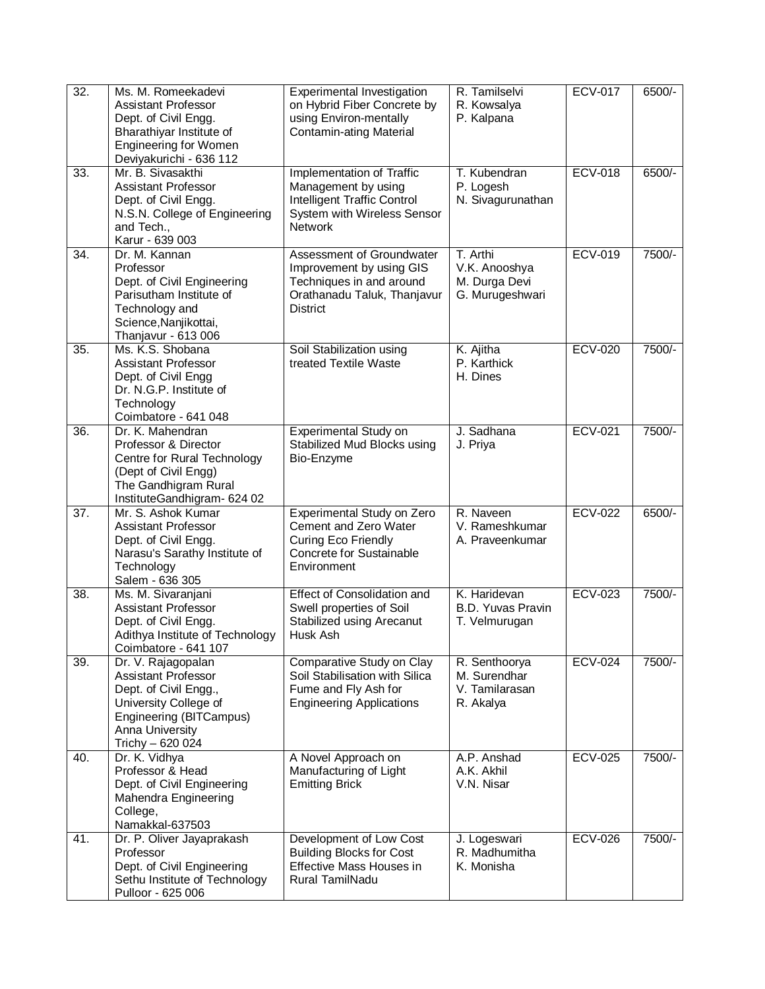| 32.               | Ms. M. Romeekadevi<br><b>Assistant Professor</b><br>Dept. of Civil Engg.<br>Bharathiyar Institute of<br><b>Engineering for Women</b><br>Deviyakurichi - 636 112 | Experimental Investigation<br>on Hybrid Fiber Concrete by<br>using Environ-mentally<br><b>Contamin-ating Material</b>                   | R. Tamilselvi<br>R. Kowsalya<br>P. Kalpana                    | <b>ECV-017</b> | 6500/-   |
|-------------------|-----------------------------------------------------------------------------------------------------------------------------------------------------------------|-----------------------------------------------------------------------------------------------------------------------------------------|---------------------------------------------------------------|----------------|----------|
| 33.               | Mr. B. Sivasakthi<br><b>Assistant Professor</b><br>Dept. of Civil Engg.<br>N.S.N. College of Engineering<br>and Tech.,<br>Karur - 639 003                       | Implementation of Traffic<br>Management by using<br><b>Intelligent Traffic Control</b><br>System with Wireless Sensor<br><b>Network</b> | T. Kubendran<br>P. Logesh<br>N. Sivagurunathan                | <b>ECV-018</b> | $6500/-$ |
| 34.               | Dr. M. Kannan<br>Professor<br>Dept. of Civil Engineering<br>Parisutham Institute of<br>Technology and<br>Science, Nanjikottai,<br>Thanjavur - 613 006           | Assessment of Groundwater<br>Improvement by using GIS<br>Techniques in and around<br>Orathanadu Taluk, Thanjavur<br><b>District</b>     | T. Arthi<br>V.K. Anooshya<br>M. Durga Devi<br>G. Murugeshwari | <b>ECV-019</b> | 7500/-   |
| $\overline{35}$ . | Ms. K.S. Shobana<br>Assistant Professor<br>Dept. of Civil Engg<br>Dr. N.G.P. Institute of<br>Technology<br>Coimbatore - 641 048                                 | Soil Stabilization using<br>treated Textile Waste                                                                                       | K. Ajitha<br>P. Karthick<br>H. Dines                          | <b>ECV-020</b> | 7500/-   |
| 36.               | Dr. K. Mahendran<br>Professor & Director<br>Centre for Rural Technology<br>(Dept of Civil Engg)<br>The Gandhigram Rural<br>InstituteGandhigram- 624 02          | Experimental Study on<br>Stabilized Mud Blocks using<br>Bio-Enzyme                                                                      | J. Sadhana<br>J. Priya                                        | <b>ECV-021</b> | 7500/-   |
| $\overline{37}$ . | Mr. S. Ashok Kumar<br>Assistant Professor<br>Dept. of Civil Engg.<br>Narasu's Sarathy Institute of<br>Technology<br>Salem - 636 305                             | Experimental Study on Zero<br>Cement and Zero Water<br>Curing Eco Friendly<br>Concrete for Sustainable<br>Environment                   | R. Naveen<br>V. Rameshkumar<br>A. Praveenkumar                | <b>ECV-022</b> | 6500/-   |
| 38.               | Ms. M. Sivaranjani<br><b>Assistant Professor</b><br>Dept. of Civil Engg.<br>Adithya Institute of Technology<br>Coimbatore - 641 107                             | <b>Effect of Consolidation and</b><br>Swell properties of Soil<br>Stabilized using Arecanut<br>Husk Ash                                 | K. Haridevan<br><b>B.D. Yuvas Pravin</b><br>T. Velmurugan     | <b>ECV-023</b> | 7500/-   |
| 39.               | Dr. V. Rajagopalan<br>Assistant Professor<br>Dept. of Civil Engg.,<br>University College of<br>Engineering (BITCampus)<br>Anna University<br>Trichy - 620 024   | Comparative Study on Clay<br>Soil Stabilisation with Silica<br>Fume and Fly Ash for<br><b>Engineering Applications</b>                  | R. Senthoorya<br>M. Surendhar<br>V. Tamilarasan<br>R. Akalya  | <b>ECV-024</b> | 7500/-   |
| 40.               | Dr. K. Vidhya<br>Professor & Head<br>Dept. of Civil Engineering<br>Mahendra Engineering<br>College,<br>Namakkal-637503                                          | A Novel Approach on<br>Manufacturing of Light<br><b>Emitting Brick</b>                                                                  | A.P. Anshad<br>A.K. Akhil<br>V.N. Nisar                       | <b>ECV-025</b> | 7500/-   |
| 41.               | Dr. P. Oliver Jayaprakash<br>Professor<br>Dept. of Civil Engineering<br>Sethu Institute of Technology<br>Pulloor - 625 006                                      | Development of Low Cost<br><b>Building Blocks for Cost</b><br>Effective Mass Houses in<br><b>Rural TamilNadu</b>                        | J. Logeswari<br>R. Madhumitha<br>K. Monisha                   | <b>ECV-026</b> | 7500/-   |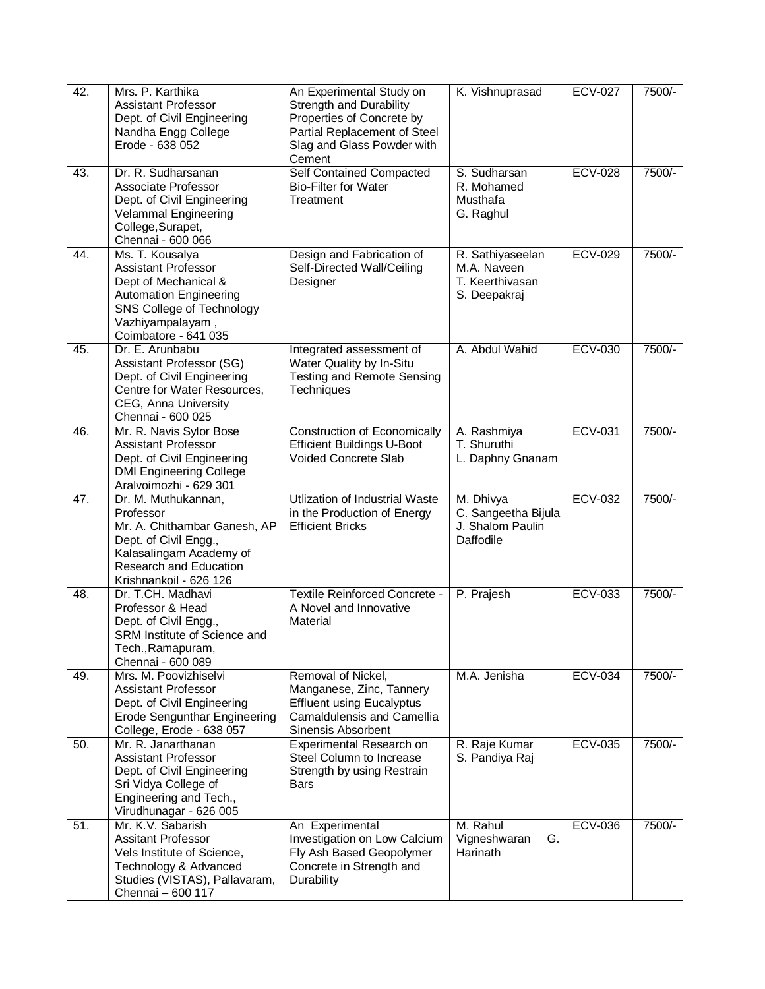| 42. | Mrs. P. Karthika<br><b>Assistant Professor</b><br>Dept. of Civil Engineering<br>Nandha Engg College<br>Erode - 638 052                                                          | An Experimental Study on<br><b>Strength and Durability</b><br>Properties of Concrete by<br>Partial Replacement of Steel<br>Slag and Glass Powder with<br>Cement | K. Vishnuprasad                                                    | <b>ECV-027</b> | 7500/- |
|-----|---------------------------------------------------------------------------------------------------------------------------------------------------------------------------------|-----------------------------------------------------------------------------------------------------------------------------------------------------------------|--------------------------------------------------------------------|----------------|--------|
| 43. | Dr. R. Sudharsanan<br>Associate Professor<br>Dept. of Civil Engineering<br>Velammal Engineering<br>College, Surapet,<br>Chennai - 600 066                                       | <b>Self Contained Compacted</b><br><b>Bio-Filter for Water</b><br>Treatment                                                                                     | S. Sudharsan<br>R. Mohamed<br>Musthafa<br>G. Raghul                | <b>ECV-028</b> | 7500/- |
| 44. | Ms. T. Kousalya<br><b>Assistant Professor</b><br>Dept of Mechanical &<br><b>Automation Engineering</b><br>SNS College of Technology<br>Vazhiyampalayam,<br>Coimbatore - 641 035 | Design and Fabrication of<br>Self-Directed Wall/Ceiling<br>Designer                                                                                             | R. Sathiyaseelan<br>M.A. Naveen<br>T. Keerthivasan<br>S. Deepakraj | <b>ECV-029</b> | 7500/- |
| 45. | Dr. E. Arunbabu<br>Assistant Professor (SG)<br>Dept. of Civil Engineering<br>Centre for Water Resources,<br>CEG, Anna University<br>Chennai - 600 025                           | Integrated assessment of<br>Water Quality by In-Situ<br><b>Testing and Remote Sensing</b><br>Techniques                                                         | A. Abdul Wahid                                                     | <b>ECV-030</b> | 7500/- |
| 46. | Mr. R. Navis Sylor Bose<br><b>Assistant Professor</b><br>Dept. of Civil Engineering<br><b>DMI Engineering College</b><br>Aralvoimozhi - 629 301                                 | <b>Construction of Economically</b><br><b>Efficient Buildings U-Boot</b><br>Voided Concrete Slab                                                                | A. Rashmiya<br>T. Shuruthi<br>L. Daphny Gnanam                     | <b>ECV-031</b> | 7500/- |
| 47. | Dr. M. Muthukannan,<br>Professor<br>Mr. A. Chithambar Ganesh, AP<br>Dept. of Civil Engg.,<br>Kalasalingam Academy of<br>Research and Education<br>Krishnankoil - 626 126        | Utlization of Industrial Waste<br>in the Production of Energy<br><b>Efficient Bricks</b>                                                                        | M. Dhivya<br>C. Sangeetha Bijula<br>J. Shalom Paulin<br>Daffodile  | <b>ECV-032</b> | 7500/- |
| 48. | Dr. T.CH. Madhavi<br>Professor & Head<br>Dept. of Civil Engg.,<br>SRM Institute of Science and<br>Tech., Ramapuram,<br>Chennai - 600 089                                        | <b>Textile Reinforced Concrete -</b><br>A Novel and Innovative<br>Material                                                                                      | P. Prajesh                                                         | <b>ECV-033</b> | 7500/- |
| 49. | Mrs. M. Poovizhiselvi<br>Assistant Professor<br>Dept. of Civil Engineering<br><b>Erode Sengunthar Engineering</b><br>College, Erode - 638 057                                   | Removal of Nickel,<br>Manganese, Zinc, Tannery<br><b>Effluent using Eucalyptus</b><br><b>Camaldulensis and Camellia</b><br>Sinensis Absorbent                   | M.A. Jenisha                                                       | <b>ECV-034</b> | 7500/- |
| 50. | Mr. R. Janarthanan<br>Assistant Professor<br>Dept. of Civil Engineering<br>Sri Vidya College of<br>Engineering and Tech.,<br>Virudhunagar - 626 005                             | Experimental Research on<br>Steel Column to Increase<br>Strength by using Restrain<br><b>Bars</b>                                                               | R. Raje Kumar<br>S. Pandiya Raj                                    | <b>ECV-035</b> | 7500/- |
| 51. | Mr. K.V. Sabarish<br><b>Assitant Professor</b><br>Vels Institute of Science,<br>Technology & Advanced<br>Studies (VISTAS), Pallavaram,<br>Chennai - 600 117                     | An Experimental<br>Investigation on Low Calcium<br>Fly Ash Based Geopolymer<br>Concrete in Strength and<br>Durability                                           | M. Rahul<br>Vigneshwaran<br>G.<br>Harinath                         | <b>ECV-036</b> | 7500/- |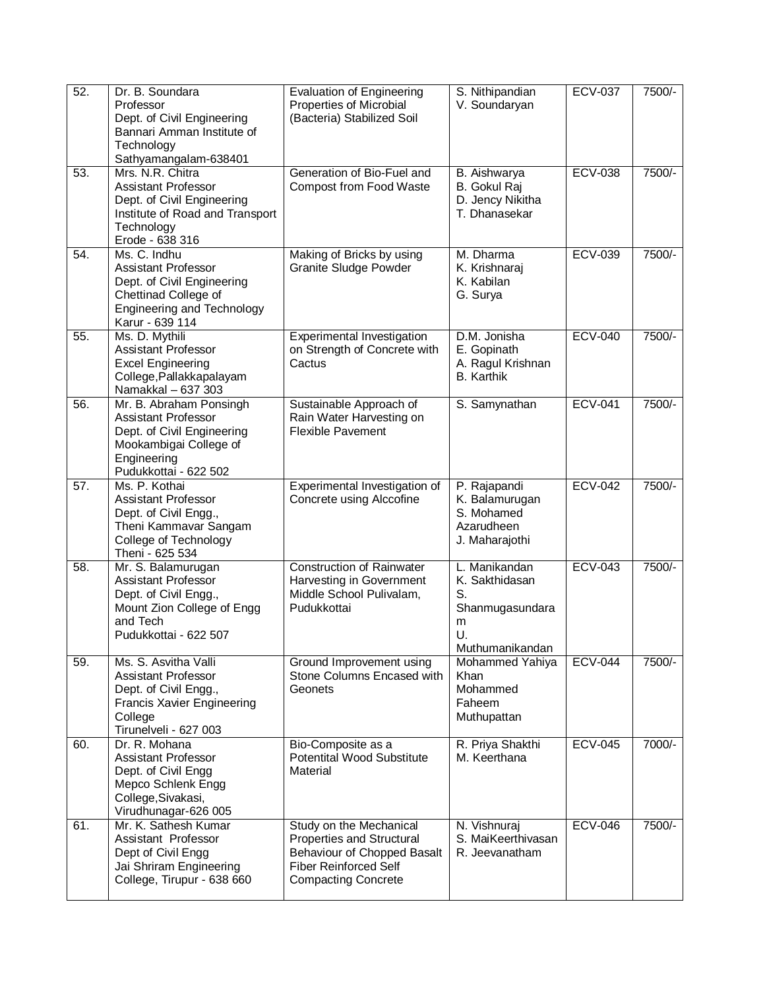| 52.               | Dr. B. Soundara<br>Professor<br>Dept. of Civil Engineering<br>Bannari Amman Institute of<br>Technology<br>Sathyamangalam-638401                          | <b>Evaluation of Engineering</b><br>Properties of Microbial<br>(Bacteria) Stabilized Soil                                                         | S. Nithipandian<br>V. Soundaryan                                                       | <b>ECV-037</b> | 7500/- |
|-------------------|----------------------------------------------------------------------------------------------------------------------------------------------------------|---------------------------------------------------------------------------------------------------------------------------------------------------|----------------------------------------------------------------------------------------|----------------|--------|
| 53.               | Mrs. N.R. Chitra<br><b>Assistant Professor</b><br>Dept. of Civil Engineering<br>Institute of Road and Transport<br>Technology<br>Erode - 638 316         | Generation of Bio-Fuel and<br>Compost from Food Waste                                                                                             | B. Aishwarya<br>B. Gokul Raj<br>D. Jency Nikitha<br>T. Dhanasekar                      | <b>ECV-038</b> | 7500/- |
| 54.               | Ms. C. Indhu<br><b>Assistant Professor</b><br>Dept. of Civil Engineering<br>Chettinad College of<br><b>Engineering and Technology</b><br>Karur - 639 114 | Making of Bricks by using<br><b>Granite Sludge Powder</b>                                                                                         | M. Dharma<br>K. Krishnaraj<br>K. Kabilan<br>G. Surya                                   | <b>ECV-039</b> | 7500/- |
| 55.               | Ms. D. Mythili<br><b>Assistant Professor</b><br><b>Excel Engineering</b><br>College, Pallakkapalayam<br>Namakkal - 637 303                               | Experimental Investigation<br>on Strength of Concrete with<br>Cactus                                                                              | D.M. Jonisha<br>E. Gopinath<br>A. Ragul Krishnan<br><b>B.</b> Karthik                  | <b>ECV-040</b> | 7500/- |
| 56.               | Mr. B. Abraham Ponsingh<br><b>Assistant Professor</b><br>Dept. of Civil Engineering<br>Mookambigai College of<br>Engineering<br>Pudukkottai - 622 502    | Sustainable Approach of<br>Rain Water Harvesting on<br><b>Flexible Pavement</b>                                                                   | S. Samynathan                                                                          | <b>ECV-041</b> | 7500/- |
| $\overline{57}$ . | Ms. P. Kothai<br>Assistant Professor<br>Dept. of Civil Engg.,<br>Theni Kammavar Sangam<br>College of Technology<br>Theni - 625 534                       | Experimental Investigation of<br>Concrete using Alccofine                                                                                         | P. Rajapandi<br>K. Balamurugan<br>S. Mohamed<br>Azarudheen<br>J. Maharajothi           | <b>ECV-042</b> | 7500/- |
| 58.               | Mr. S. Balamurugan<br><b>Assistant Professor</b><br>Dept. of Civil Engg.,<br>Mount Zion College of Engg<br>and Tech<br>Pudukkottai - 622 507             | <b>Construction of Rainwater</b><br>Harvesting in Government<br>Middle School Pulivalam,<br>Pudukkottai                                           | L. Manikandan<br>K. Sakthidasan<br>S.<br>Shanmugasundara<br>m<br>U.<br>Muthumanikandan | <b>ECV-043</b> | 7500/- |
| 59.               | Ms. S. Asvitha Valli<br>Assistant Professor<br>Dept. of Civil Engg.,<br><b>Francis Xavier Engineering</b><br>College<br>Tirunelveli - 627 003            | Ground Improvement using<br>Stone Columns Encased with<br>Geonets                                                                                 | Mohammed Yahiya<br>Khan<br>Mohammed<br>Faheem<br>Muthupattan                           | <b>ECV-044</b> | 7500/- |
| 60.               | Dr. R. Mohana<br><b>Assistant Professor</b><br>Dept. of Civil Engg<br>Mepco Schlenk Engg<br>College, Sivakasi,<br>Virudhunagar-626 005                   | Bio-Composite as a<br>Potentital Wood Substitute<br>Material                                                                                      | R. Priya Shakthi<br>M. Keerthana                                                       | <b>ECV-045</b> | 7000/- |
| 61.               | Mr. K. Sathesh Kumar<br>Assistant Professor<br>Dept of Civil Engg<br>Jai Shriram Engineering<br>College, Tirupur - 638 660                               | Study on the Mechanical<br>Properties and Structural<br>Behaviour of Chopped Basalt<br><b>Fiber Reinforced Self</b><br><b>Compacting Concrete</b> | N. Vishnuraj<br>S. MaiKeerthivasan<br>R. Jeevanatham                                   | <b>ECV-046</b> | 7500/- |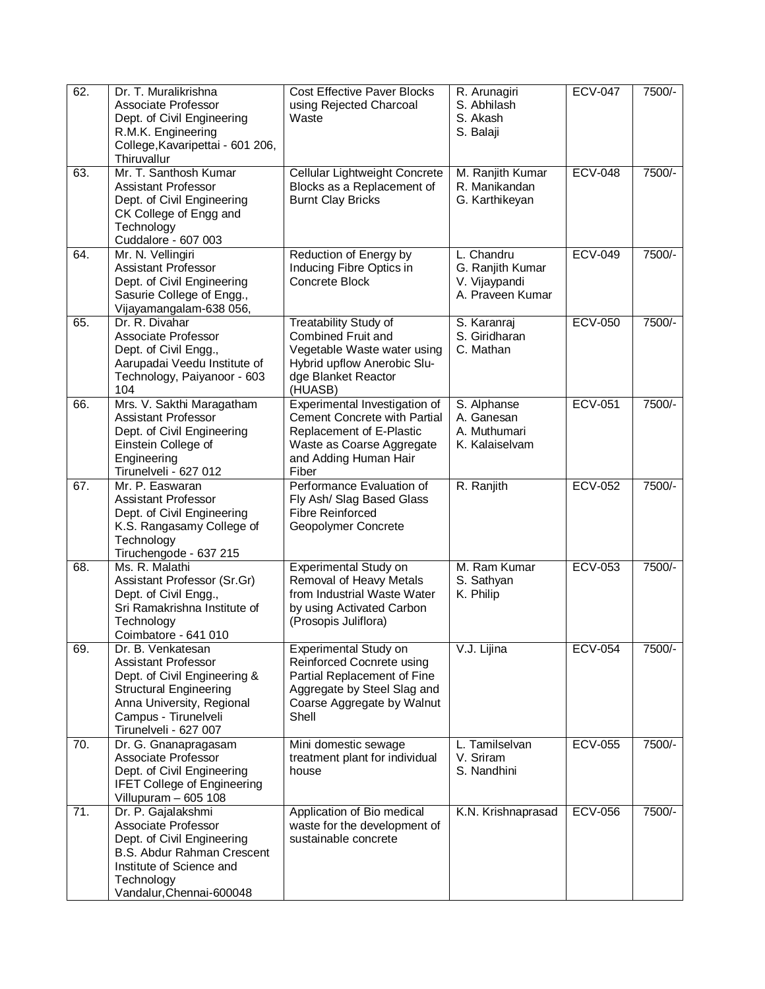| 62. | Dr. T. Muralikrishna<br>Associate Professor<br>Dept. of Civil Engineering<br>R.M.K. Engineering<br>College, Kavaripettai - 601 206,<br>Thiruvallur                                      | <b>Cost Effective Paver Blocks</b><br>using Rejected Charcoal<br>Waste                                                                                    | R. Arunagiri<br>S. Abhilash<br>S. Akash<br>S. Balaji                | <b>ECV-047</b> | 7500/- |
|-----|-----------------------------------------------------------------------------------------------------------------------------------------------------------------------------------------|-----------------------------------------------------------------------------------------------------------------------------------------------------------|---------------------------------------------------------------------|----------------|--------|
| 63. | Mr. T. Santhosh Kumar<br>Assistant Professor<br>Dept. of Civil Engineering<br>CK College of Engg and<br>Technology<br>Cuddalore - 607 003                                               | Cellular Lightweight Concrete<br>Blocks as a Replacement of<br><b>Burnt Clay Bricks</b>                                                                   | M. Ranjith Kumar<br>R. Manikandan<br>G. Karthikeyan                 | <b>ECV-048</b> | 7500/- |
| 64. | Mr. N. Vellingiri<br>Assistant Professor<br>Dept. of Civil Engineering<br>Sasurie College of Engg.,<br>Vijayamangalam-638 056,                                                          | Reduction of Energy by<br>Inducing Fibre Optics in<br><b>Concrete Block</b>                                                                               | L. Chandru<br>G. Ranjith Kumar<br>V. Vijaypandi<br>A. Praveen Kumar | <b>ECV-049</b> | 7500/- |
| 65. | Dr. R. Divahar<br>Associate Professor<br>Dept. of Civil Engg.,<br>Aarupadai Veedu Institute of<br>Technology, Paiyanoor - 603<br>104                                                    | <b>Treatability Study of</b><br><b>Combined Fruit and</b><br>Vegetable Waste water using<br>Hybrid upflow Anerobic Slu-<br>dge Blanket Reactor<br>(HUASB) | S. Karanraj<br>S. Giridharan<br>C. Mathan                           | <b>ECV-050</b> | 7500/- |
| 66. | Mrs. V. Sakthi Maragatham<br>Assistant Professor<br>Dept. of Civil Engineering<br>Einstein College of<br>Engineering<br>Tirunelveli - 627 012                                           | Experimental Investigation of<br>Cement Concrete with Partial<br>Replacement of E-Plastic<br>Waste as Coarse Aggregate<br>and Adding Human Hair<br>Fiber  | S. Alphanse<br>A. Ganesan<br>A. Muthumari<br>K. Kalaiselvam         | <b>ECV-051</b> | 7500/- |
| 67. | Mr. P. Easwaran<br>Assistant Professor<br>Dept. of Civil Engineering<br>K.S. Rangasamy College of<br>Technology<br>Tiruchengode - 637 215                                               | Performance Evaluation of<br>Fly Ash/ Slag Based Glass<br><b>Fibre Reinforced</b><br>Geopolymer Concrete                                                  | R. Ranjith                                                          | <b>ECV-052</b> | 7500/- |
| 68. | Ms. R. Malathi<br>Assistant Professor (Sr.Gr)<br>Dept. of Civil Engg.,<br>Sri Ramakrishna Institute of<br>Technology<br>Coimbatore - 641 010                                            | Experimental Study on<br>Removal of Heavy Metals<br>from Industrial Waste Water<br>by using Activated Carbon<br>(Prosopis Juliflora)                      | M. Ram Kumar<br>S. Sathyan<br>K. Philip                             | <b>ECV-053</b> | 7500/- |
| 69. | Dr. B. Venkatesan<br>Assistant Professor<br>Dept. of Civil Engineering &<br><b>Structural Engineering</b><br>Anna University, Regional<br>Campus - Tirunelveli<br>Tirunelveli - 627 007 | Experimental Study on<br>Reinforced Cocnrete using<br>Partial Replacement of Fine<br>Aggregate by Steel Slag and<br>Coarse Aggregate by Walnut<br>Shell   | V.J. Lijina                                                         | <b>ECV-054</b> | 7500/- |
| 70. | Dr. G. Gnanapragasam<br>Associate Professor<br>Dept. of Civil Engineering<br><b>IFET College of Engineering</b><br>Villupuram - 605 108                                                 | Mini domestic sewage<br>treatment plant for individual<br>house                                                                                           | L. Tamilselvan<br>V. Sriram<br>S. Nandhini                          | <b>ECV-055</b> | 7500/- |
| 71. | Dr. P. Gajalakshmi<br>Associate Professor<br>Dept. of Civil Engineering<br><b>B.S. Abdur Rahman Crescent</b><br>Institute of Science and<br>Technology<br>Vandalur, Chennai-600048      | Application of Bio medical<br>waste for the development of<br>sustainable concrete                                                                        | K.N. Krishnaprasad                                                  | <b>ECV-056</b> | 7500/- |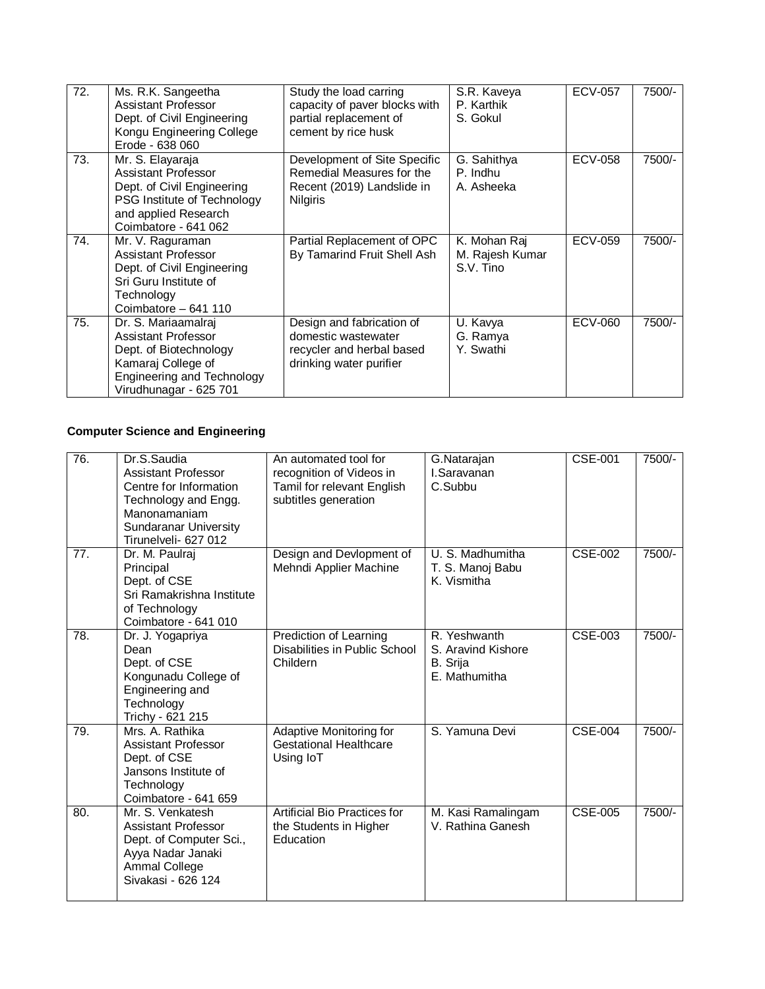| 72. | Ms. R.K. Sangeetha<br>Assistant Professor<br>Dept. of Civil Engineering<br>Kongu Engineering College<br>Erode - 638 060                                   | Study the load carring<br>capacity of paver blocks with<br>partial replacement of<br>cement by rice husk   | S.R. Kaveya<br>P. Karthik<br>S. Gokul        | <b>ECV-057</b> | 7500/- |
|-----|-----------------------------------------------------------------------------------------------------------------------------------------------------------|------------------------------------------------------------------------------------------------------------|----------------------------------------------|----------------|--------|
| 73. | Mr. S. Elayaraja<br>Assistant Professor<br>Dept. of Civil Engineering<br>PSG Institute of Technology<br>and applied Research<br>Coimbatore - 641 062      | Development of Site Specific<br>Remedial Measures for the<br>Recent (2019) Landslide in<br><b>Nilgiris</b> | G. Sahithya<br>P. Indhu<br>A. Asheeka        | <b>ECV-058</b> | 7500/- |
| 74. | Mr. V. Raguraman<br>Assistant Professor<br>Dept. of Civil Engineering<br>Sri Guru Institute of<br>Technology<br>Coimbatore - 641 110                      | Partial Replacement of OPC<br>By Tamarind Fruit Shell Ash                                                  | K. Mohan Raj<br>M. Rajesh Kumar<br>S.V. Tino | <b>ECV-059</b> | 7500/- |
| 75. | Dr. S. Mariaamalraj<br>Assistant Professor<br>Dept. of Biotechnology<br>Kamaraj College of<br><b>Engineering and Technology</b><br>Virudhunagar - 625 701 | Design and fabrication of<br>domestic wastewater<br>recycler and herbal based<br>drinking water purifier   | U. Kavya<br>G. Ramya<br>Y. Swathi            | <b>ECV-060</b> | 7500/- |

# **Computer Science and Engineering**

| 76. | Dr.S.Saudia<br>Assistant Professor<br>Centre for Information<br>Technology and Engg.<br>Manonamaniam<br><b>Sundaranar University</b><br>Tirunelveli- 627 012 | An automated tool for<br>recognition of Videos in<br>Tamil for relevant English<br>subtitles generation | G.Natarajan<br>I.Saravanan<br>C.Subbu                           | <b>CSE-001</b>              | 7500/- |
|-----|--------------------------------------------------------------------------------------------------------------------------------------------------------------|---------------------------------------------------------------------------------------------------------|-----------------------------------------------------------------|-----------------------------|--------|
| 77. | Dr. M. Paulrai<br>Principal<br>Dept. of CSE<br>Sri Ramakrishna Institute<br>of Technology<br>Coimbatore - 641 010                                            | Design and Devlopment of<br>Mehndi Applier Machine                                                      | U. S. Madhumitha<br>T. S. Manoj Babu<br>K. Vismitha             | <b>CSE-002</b>              | 7500/- |
| 78. | Dr. J. Yogapriya<br>Dean<br>Dept. of CSE<br>Kongunadu College of<br>Engineering and<br>Technology<br>Trichy - 621 215                                        | Prediction of Learning<br>Disabilities in Public School<br>Childern                                     | R. Yeshwanth<br>S. Aravind Kishore<br>B. Srija<br>E. Mathumitha | CSE-003                     | 7500/- |
| 79. | Mrs. A. Rathika<br>Assistant Professor<br>Dept. of CSE<br>Jansons Institute of<br>Technology<br>Coimbatore - 641 659                                         | <b>Adaptive Monitoring for</b><br><b>Gestational Healthcare</b><br>Using IoT                            | S. Yamuna Devi                                                  | $\overline{\text{CSE-004}}$ | 7500/- |
| 80. | Mr. S. Venkatesh<br>Assistant Professor<br>Dept. of Computer Sci.,<br>Ayya Nadar Janaki<br>Ammal College<br>Sivakasi - 626 124                               | Artificial Bio Practices for<br>the Students in Higher<br>Education                                     | M. Kasi Ramalingam<br>V. Rathina Ganesh                         | <b>CSE-005</b>              | 7500/- |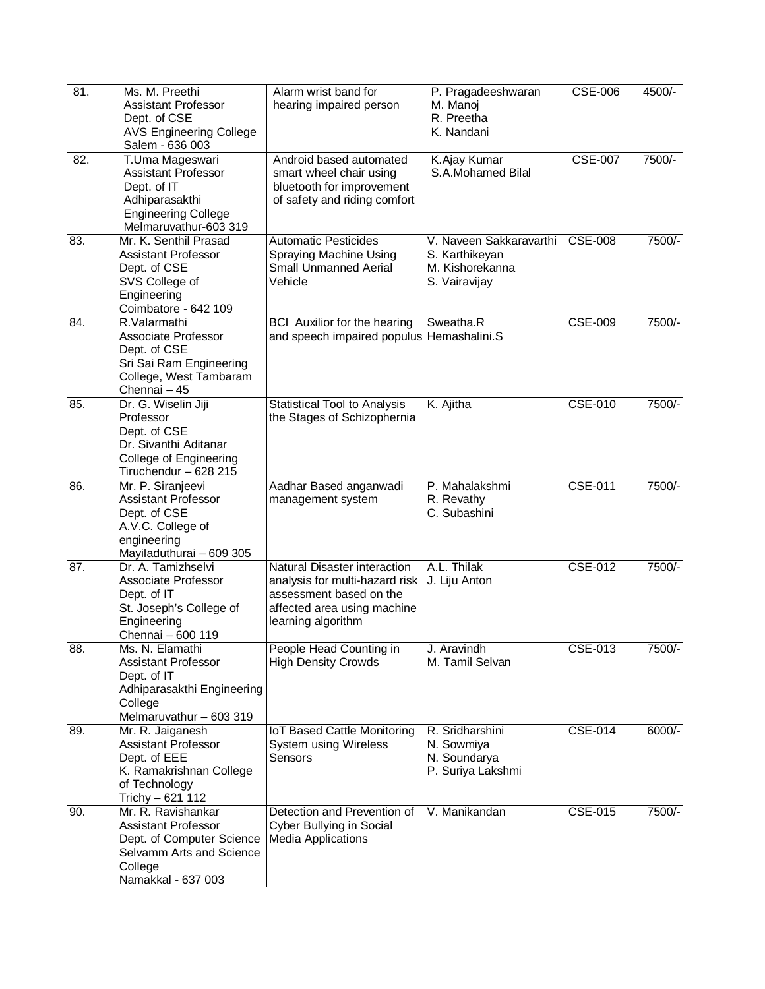| 81. | Ms. M. Preethi<br><b>Assistant Professor</b><br>Dept. of CSE<br><b>AVS Engineering College</b><br>Salem - 636 003                          | Alarm wrist band for<br>hearing impaired person                                                                                                | P. Pragadeeshwaran<br>M. Manoj<br>R. Preetha<br>K. Nandani                    | <b>CSE-006</b> | 4500/-   |
|-----|--------------------------------------------------------------------------------------------------------------------------------------------|------------------------------------------------------------------------------------------------------------------------------------------------|-------------------------------------------------------------------------------|----------------|----------|
| 82. | T.Uma Mageswari<br><b>Assistant Professor</b><br>Dept. of IT<br>Adhiparasakthi<br><b>Engineering College</b><br>Melmaruvathur-603 319      | Android based automated<br>smart wheel chair using<br>bluetooth for improvement<br>of safety and riding comfort                                | K.Ajay Kumar<br>S.A.Mohamed Bilal                                             | <b>CSE-007</b> | 7500/-   |
| 83. | Mr. K. Senthil Prasad<br>Assistant Professor<br>Dept. of CSE<br>SVS College of<br>Engineering<br>Coimbatore - 642 109                      | <b>Automatic Pesticides</b><br>Spraying Machine Using<br><b>Small Unmanned Aerial</b><br>Vehicle                                               | V. Naveen Sakkaravarthi<br>S. Karthikeyan<br>M. Kishorekanna<br>S. Vairavijay | <b>CSE-008</b> | $7500/-$ |
| 84. | R.Valarmathi<br>Associate Professor<br>Dept. of CSE<br>Sri Sai Ram Engineering<br>College, West Tambaram<br>Chennai - 45                   | <b>BCI</b> Auxilior for the hearing<br>and speech impaired populus Hemashalini.S                                                               | Sweatha.R                                                                     | <b>CSE-009</b> | 7500/-   |
| 85. | Dr. G. Wiselin Jiji<br>Professor<br>Dept. of CSE<br>Dr. Sivanthi Aditanar<br>College of Engineering<br>Tiruchendur - 628 215               | <b>Statistical Tool to Analysis</b><br>the Stages of Schizophernia                                                                             | K. Ajitha                                                                     | <b>CSE-010</b> | 7500/-   |
| 86. | Mr. P. Siranjeevi<br>Assistant Professor<br>Dept. of CSE<br>A.V.C. College of<br>engineering<br>Mayiladuthurai - 609 305                   | Aadhar Based anganwadi<br>management system                                                                                                    | P. Mahalakshmi<br>R. Revathy<br>C. Subashini                                  | <b>CSE-011</b> | 7500/-   |
| 87. | Dr. A. Tamizhselvi<br>Associate Professor<br>Dept. of IT<br>St. Joseph's College of<br>Engineering<br>Chennai - 600 119                    | Natural Disaster interaction<br>analysis for multi-hazard risk<br>assessment based on the<br>affected area using machine<br>learning algorithm | A.L. Thilak<br>J. Liju Anton                                                  | <b>CSE-012</b> | 7500/-   |
| 88. | Ms. N. Elamathi<br>Assistant Professor<br>Dept. of IT<br>Adhiparasakthi Engineering<br>College<br>Melmaruvathur - 603 319                  | People Head Counting in<br><b>High Density Crowds</b>                                                                                          | J. Aravindh<br>M. Tamil Selvan                                                | <b>CSE-013</b> | 7500/-   |
| 89. | Mr. R. Jaiganesh<br><b>Assistant Professor</b><br>Dept. of EEE<br>K. Ramakrishnan College<br>of Technology<br>Trichy - 621 112             | <b>IoT Based Cattle Monitoring</b><br>System using Wireless<br>Sensors                                                                         | R. Sridharshini<br>N. Sowmiya<br>N. Soundarya<br>P. Suriya Lakshmi            | <b>CSE-014</b> | 6000/-   |
| 90. | Mr. R. Ravishankar<br><b>Assistant Professor</b><br>Dept. of Computer Science<br>Selvamm Arts and Science<br>College<br>Namakkal - 637 003 | Detection and Prevention of<br>Cyber Bullying in Social<br><b>Media Applications</b>                                                           | V. Manikandan                                                                 | <b>CSE-015</b> | 7500/-   |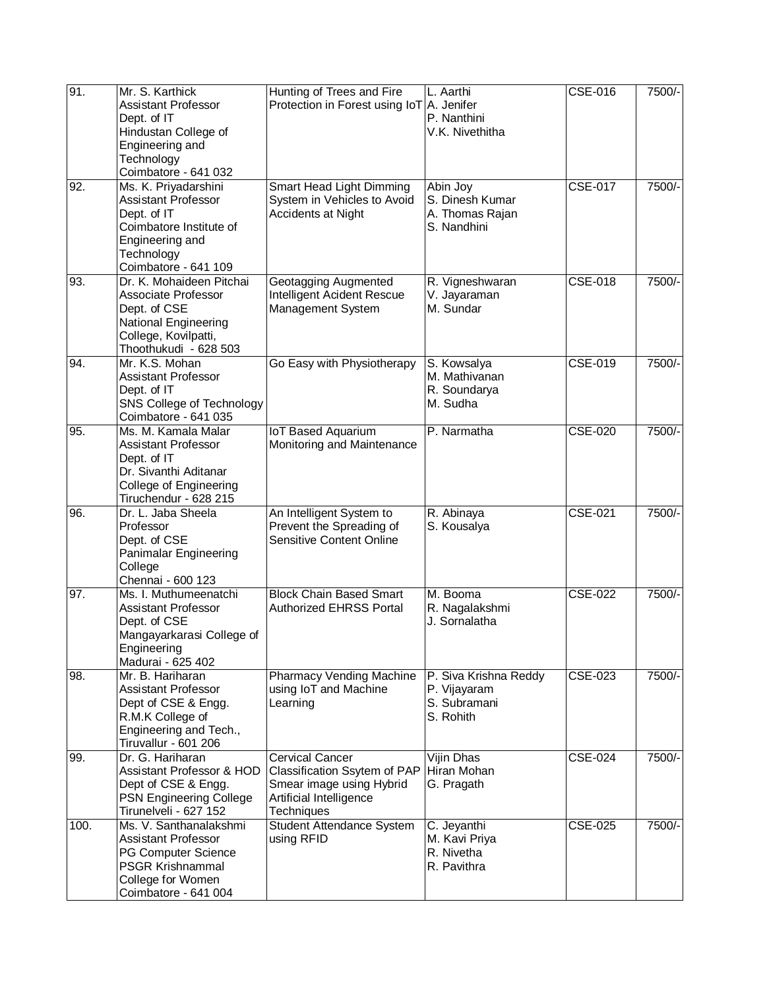| 91.               | Mr. S. Karthick<br><b>Assistant Professor</b><br>Dept. of IT<br>Hindustan College of<br>Engineering and<br>Technology                                                         | Hunting of Trees and Fire<br>Protection in Forest using IoT A. Jenifer                                                      | L. Aarthi<br>P. Nanthini<br>V.K. Nivethitha                        | <b>CSE-016</b> | 7500/- |
|-------------------|-------------------------------------------------------------------------------------------------------------------------------------------------------------------------------|-----------------------------------------------------------------------------------------------------------------------------|--------------------------------------------------------------------|----------------|--------|
| 92.               | Coimbatore - 641 032<br>Ms. K. Priyadarshini<br><b>Assistant Professor</b><br>Dept. of IT<br>Coimbatore Institute of<br>Engineering and<br>Technology<br>Coimbatore - 641 109 | Smart Head Light Dimming<br>System in Vehicles to Avoid<br>Accidents at Night                                               | Abin Joy<br>S. Dinesh Kumar<br>A. Thomas Rajan<br>S. Nandhini      | <b>CSE-017</b> | 7500/- |
| 93.               | Dr. K. Mohaideen Pitchai<br>Associate Professor<br>Dept. of CSE<br>National Engineering<br>College, Kovilpatti,<br>Thoothukudi - 628 503                                      | Geotagging Augmented<br>Intelligent Acident Rescue<br>Management System                                                     | R. Vigneshwaran<br>V. Jayaraman<br>M. Sundar                       | <b>CSE-018</b> | 7500/- |
| 94.               | Mr. K.S. Mohan<br><b>Assistant Professor</b><br>Dept. of IT<br>SNS College of Technology<br>Coimbatore - 641 035                                                              | Go Easy with Physiotherapy                                                                                                  | S. Kowsalya<br>M. Mathivanan<br>R. Soundarya<br>M. Sudha           | <b>CSE-019</b> | 7500/- |
| 95.               | Ms. M. Kamala Malar<br>Assistant Professor<br>Dept. of IT<br>Dr. Sivanthi Aditanar<br>College of Engineering<br>Tiruchendur - 628 215                                         | <b>IoT Based Aquarium</b><br>Monitoring and Maintenance                                                                     | P. Narmatha                                                        | <b>CSE-020</b> | 7500/- |
| 96.               | Dr. L. Jaba Sheela<br>Professor<br>Dept. of CSE<br>Panimalar Engineering<br>College<br>Chennai - 600 123                                                                      | An Intelligent System to<br>Prevent the Spreading of<br><b>Sensitive Content Online</b>                                     | R. Abinaya<br>S. Kousalya                                          | <b>CSE-021</b> | 7500/- |
| $\overline{97}$ . | Ms. I. Muthumeenatchi<br>Assistant Professor<br>Dept. of CSE<br>Mangayarkarasi College of<br>Engineering<br>Madurai - 625 402                                                 | <b>Block Chain Based Smart</b><br><b>Authorized EHRSS Portal</b>                                                            | M. Booma<br>R. Nagalakshmi<br>J. Sornalatha                        | <b>CSE-022</b> | 7500/- |
| 98.               | Mr. B. Hariharan<br>Assistant Professor<br>Dept of CSE & Engg.<br>R.M.K College of<br>Engineering and Tech.,<br>Tiruvallur - 601 206                                          | <b>Pharmacy Vending Machine</b><br>using IoT and Machine<br>Learning                                                        | P. Siva Krishna Reddy<br>P. Vijayaram<br>S. Subramani<br>S. Rohith | CSE-023        | 7500/- |
| 99.               | Dr. G. Hariharan<br>Assistant Professor & HOD<br>Dept of CSE & Engg.<br><b>PSN Engineering College</b><br>Tirunelveli - 627 152                                               | <b>Cervical Cancer</b><br>Classification Ssytem of PAP<br>Smear image using Hybrid<br>Artificial Intelligence<br>Techniques | Vijin Dhas<br>Hiran Mohan<br>G. Pragath                            | <b>CSE-024</b> | 7500/- |
| 100.              | Ms. V. Santhanalakshmi<br><b>Assistant Professor</b><br>PG Computer Science<br><b>PSGR Krishnammal</b><br>College for Women<br>Coimbatore - 641 004                           | Student Attendance System<br>using RFID                                                                                     | C. Jeyanthi<br>M. Kavi Priya<br>R. Nivetha<br>R. Pavithra          | <b>CSE-025</b> | 7500/- |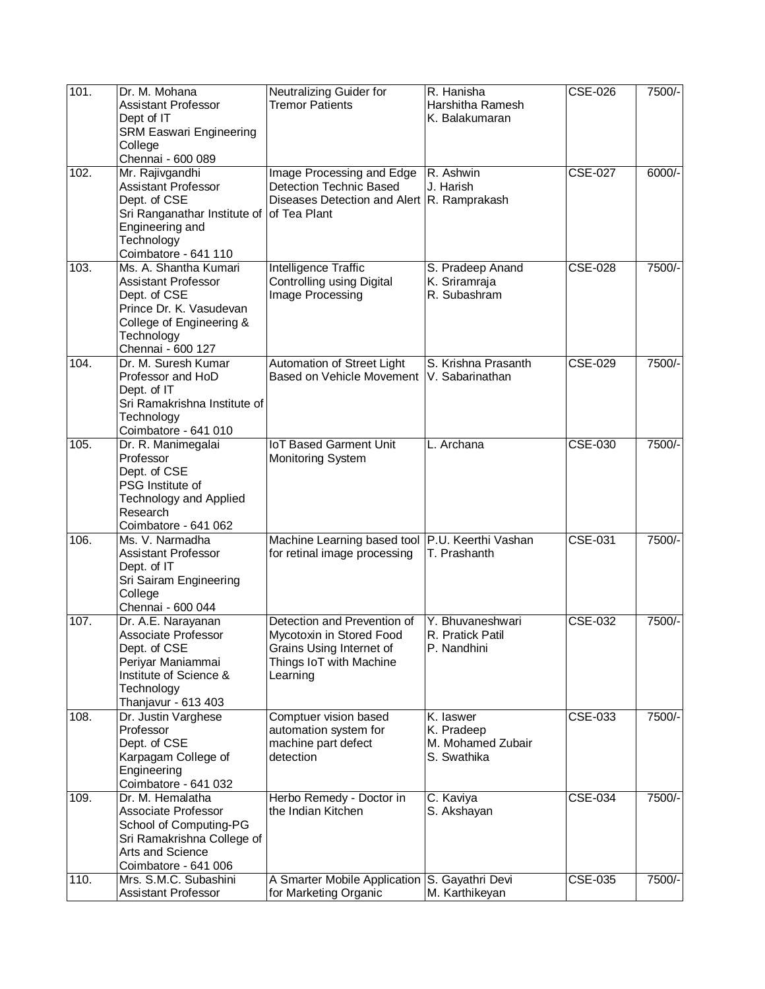| 101. | Dr. M. Mohana<br><b>Assistant Professor</b><br>Dept of IT<br>SRM Easwari Engineering<br>College<br>Chennai - 600 089                                          | Neutralizing Guider for<br><b>Tremor Patients</b>                                                                          | R. Hanisha<br>Harshitha Ramesh<br>K. Balakumaran                          | <b>CSE-026</b> | 7500/- |
|------|---------------------------------------------------------------------------------------------------------------------------------------------------------------|----------------------------------------------------------------------------------------------------------------------------|---------------------------------------------------------------------------|----------------|--------|
| 102. | Mr. Rajivgandhi<br>Assistant Professor<br>Dept. of CSE<br>Sri Ranganathar Institute of<br>Engineering and<br>Technology<br>Coimbatore - 641 110               | Image Processing and Edge<br><b>Detection Technic Based</b><br>Diseases Detection and Alert R. Ramprakash<br>of Tea Plant  | R. Ashwin<br>J. Harish                                                    | <b>CSE-027</b> | 6000/- |
| 103. | Ms. A. Shantha Kumari<br><b>Assistant Professor</b><br>Dept. of CSE<br>Prince Dr. K. Vasudevan<br>College of Engineering &<br>Technology<br>Chennai - 600 127 | Intelligence Traffic<br>Controlling using Digital<br>Image Processing                                                      | S. Pradeep Anand<br>K. Sriramraja<br>R. Subashram                         | <b>CSE-028</b> | 7500/- |
| 104. | Dr. M. Suresh Kumar<br>Professor and HoD<br>Dept. of IT<br>Sri Ramakrishna Institute of<br>Technology<br>Coimbatore - 641 010                                 | Automation of Street Light<br>Based on Vehicle Movement                                                                    | S. Krishna Prasanth<br>V. Sabarinathan                                    | <b>CSE-029</b> | 7500/- |
| 105. | Dr. R. Manimegalai<br>Professor<br>Dept. of CSE<br>PSG Institute of<br><b>Technology and Applied</b><br>Research<br>Coimbatore - 641 062                      | <b>IoT Based Garment Unit</b><br><b>Monitoring System</b>                                                                  | L. Archana                                                                | <b>CSE-030</b> | 7500/- |
| 106. | Ms. V. Narmadha<br><b>Assistant Professor</b><br>Dept. of IT<br>Sri Sairam Engineering<br>College<br>Chennai - 600 044                                        | Machine Learning based tool P.U. Keerthi Vashan<br>for retinal image processing                                            | T. Prashanth                                                              | <b>CSE-031</b> | 7500/- |
| 107. | Dr. A.E. Narayanan<br>Associate Professor<br>Dept. of CSE<br>Periyar Maniammai<br>Institute of Science &<br>Technology<br>Thanjavur - 613 403                 | Detection and Prevention of<br>Mycotoxin in Stored Food<br>Grains Using Internet of<br>Things IoT with Machine<br>Learning | Y. Bhuvaneshwari<br>R. Pratick Patil<br>P. Nandhini                       | <b>CSE-032</b> | 7500/- |
| 108. | Dr. Justin Varghese<br>Professor<br>Dept. of CSE<br>Karpagam College of<br>Engineering<br>Coimbatore - 641 032                                                | Comptuer vision based<br>automation system for<br>machine part defect<br>detection                                         | $\overline{K}$ . laswer<br>K. Pradeep<br>M. Mohamed Zubair<br>S. Swathika | <b>CSE-033</b> | 7500/- |
| 109. | Dr. M. Hemalatha<br>Associate Professor<br>School of Computing-PG<br>Sri Ramakrishna College of<br>Arts and Science<br>Coimbatore - 641 006                   | Herbo Remedy - Doctor in<br>the Indian Kitchen                                                                             | C. Kaviya<br>S. Akshayan                                                  | CSE-034        | 7500/- |
| 110. | Mrs. S.M.C. Subashini<br><b>Assistant Professor</b>                                                                                                           | A Smarter Mobile Application<br>for Marketing Organic                                                                      | S. Gayathri Devi<br>M. Karthikeyan                                        | <b>CSE-035</b> | 7500/- |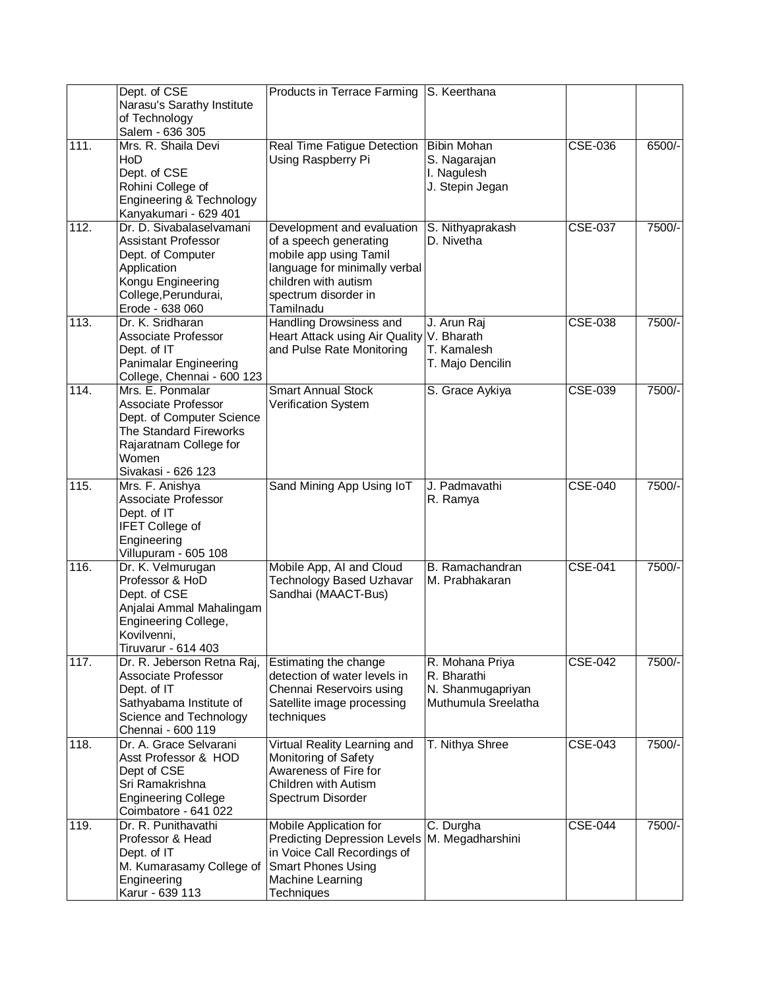|      | Dept. of CSE<br>Narasu's Sarathy Institute<br>of Technology<br>Salem - 636 305                                                                          | Products in Terrace Farming S. Keerthana                                                                                                                                     |                                                                            |                |        |
|------|---------------------------------------------------------------------------------------------------------------------------------------------------------|------------------------------------------------------------------------------------------------------------------------------------------------------------------------------|----------------------------------------------------------------------------|----------------|--------|
| 111. | Mrs. R. Shaila Devi<br>HoD<br>Dept. of CSE<br>Rohini College of<br>Engineering & Technology<br>Kanyakumari - 629 401                                    | Real Time Fatigue Detection<br>Using Raspberry Pi                                                                                                                            | <b>Bibin Mohan</b><br>S. Nagarajan<br>I. Nagulesh<br>J. Stepin Jegan       | <b>CSE-036</b> | 6500/- |
| 112. | Dr. D. Sivabalaselvamani<br>Assistant Professor<br>Dept. of Computer<br>Application<br>Kongu Engineering<br>College, Perundurai,<br>Erode - 638 060     | Development and evaluation<br>of a speech generating<br>mobile app using Tamil<br>language for minimally verbal<br>children with autism<br>spectrum disorder in<br>Tamilnadu | S. Nithyaprakash<br>D. Nivetha                                             | <b>CSE-037</b> | 7500/- |
| 113. | Dr. K. Sridharan<br>Associate Professor<br>Dept. of IT<br>Panimalar Engineering<br>College, Chennai - 600 123                                           | Handling Drowsiness and<br>Heart Attack using Air Quality<br>and Pulse Rate Monitoring                                                                                       | J. Arun Raj<br>V. Bharath<br>T. Kamalesh<br>T. Majo Dencilin               | <b>CSE-038</b> | 7500/- |
| 114. | Mrs. E. Ponmalar<br>Associate Professor<br>Dept. of Computer Science<br>The Standard Fireworks<br>Rajaratnam College for<br>Women<br>Sivakasi - 626 123 | <b>Smart Annual Stock</b><br>Verification System                                                                                                                             | S. Grace Aykiya                                                            | CSE-039        | 7500/- |
| 115. | Mrs. F. Anishya<br>Associate Professor<br>Dept. of IT<br><b>IFET College of</b><br>Engineering<br>Villupuram - 605 108                                  | Sand Mining App Using IoT                                                                                                                                                    | J. Padmavathi<br>R. Ramya                                                  | <b>CSE-040</b> | 7500/- |
| 116. | Dr. K. Velmurugan<br>Professor & HoD<br>Dept. of CSE<br>Anjalai Ammal Mahalingam<br>Engineering College,<br>Kovilvenni,<br>Tiruvarur - 614 403          | Mobile App, AI and Cloud<br><b>Technology Based Uzhavar</b><br>Sandhai (MAACT-Bus)                                                                                           | B. Ramachandran<br>M. Prabhakaran                                          | <b>CSE-041</b> | 7500/- |
| 117. | Dr. R. Jeberson Retna Raj,<br>Associate Professor<br>Dept. of IT<br>Sathyabama Institute of<br>Science and Technology<br>Chennai - 600 119              | Estimating the change<br>detection of water levels in<br>Chennai Reservoirs using<br>Satellite image processing<br>techniques                                                | R. Mohana Priya<br>R. Bharathi<br>N. Shanmugapriyan<br>Muthumula Sreelatha | <b>CSE-042</b> | 7500/- |
| 118. | Dr. A. Grace Selvarani<br>Asst Professor & HOD<br>Dept of CSE<br>Sri Ramakrishna<br><b>Engineering College</b><br>Coimbatore - 641 022                  | Virtual Reality Learning and<br>Monitoring of Safety<br>Awareness of Fire for<br>Children with Autism<br>Spectrum Disorder                                                   | T. Nithya Shree                                                            | <b>CSE-043</b> | 7500/- |
| 119. | Dr. R. Punithavathi<br>Professor & Head<br>Dept. of IT<br>M. Kumarasamy College of<br>Engineering<br>Karur - 639 113                                    | Mobile Application for<br><b>Predicting Depression Levels</b><br>in Voice Call Recordings of<br><b>Smart Phones Using</b><br>Machine Learning<br><b>Techniques</b>           | C. Durgha<br>M. Megadharshini                                              | <b>CSE-044</b> | 7500/- |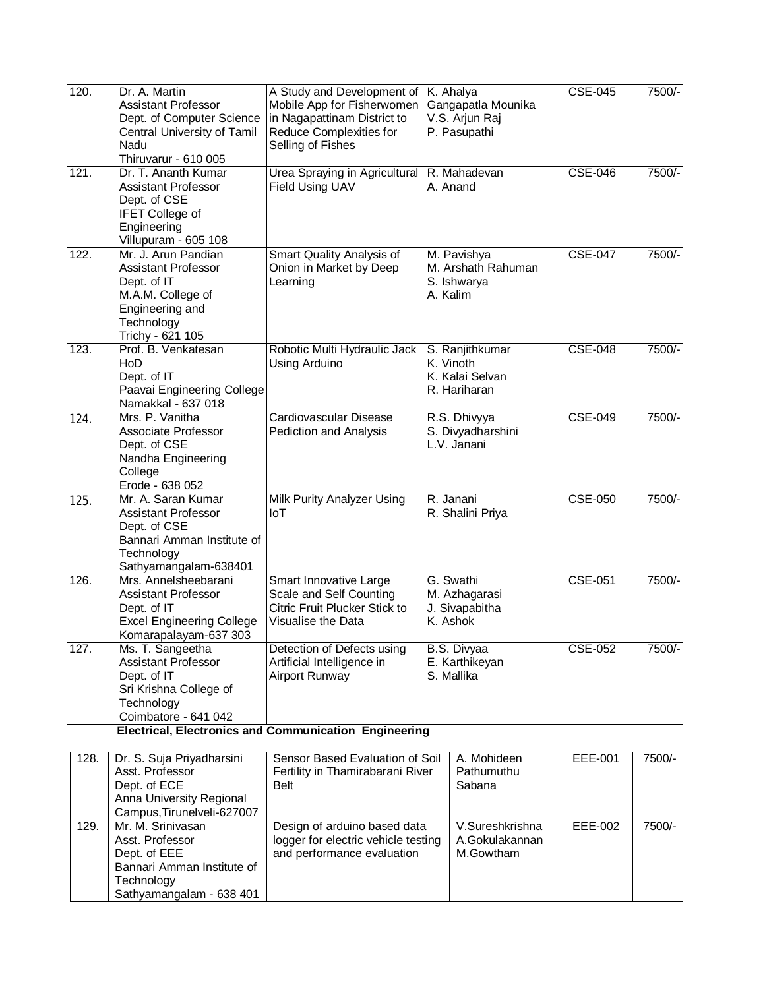| 120.<br>121. | Dr. A. Martin<br>Assistant Professor<br>Dept. of Computer Science<br>Central University of Tamil<br>Nadu<br>Thiruvarur - 610 005<br>Dr. T. Ananth Kumar<br><b>Assistant Professor</b><br>Dept. of CSE<br><b>IFET College of</b><br>Engineering | A Study and Development of<br>Mobile App for Fisherwomen<br>in Nagapattinam District to<br>Reduce Complexities for<br>Selling of Fishes<br>Urea Spraying in Agricultural<br>Field Using UAV | K. Ahalya<br>Gangapatla Mounika<br>V.S. Arjun Raj<br>P. Pasupathi<br>R. Mahadevan<br>A. Anand | <b>CSE-045</b><br><b>CSE-046</b> | 7500/-<br>7500/- |
|--------------|------------------------------------------------------------------------------------------------------------------------------------------------------------------------------------------------------------------------------------------------|---------------------------------------------------------------------------------------------------------------------------------------------------------------------------------------------|-----------------------------------------------------------------------------------------------|----------------------------------|------------------|
| 122.         | Villupuram - 605 108<br>Mr. J. Arun Pandian<br>Assistant Professor<br>Dept. of IT<br>M.A.M. College of<br>Engineering and<br>Technology<br>Trichy - 621 105                                                                                    | Smart Quality Analysis of<br>Onion in Market by Deep<br>Learning                                                                                                                            | M. Pavishya<br>M. Arshath Rahuman<br>S. Ishwarya<br>A. Kalim                                  | <b>CSE-047</b>                   | 7500/-           |
| 123.         | Prof. B. Venkatesan<br>HoD<br>Dept. of IT<br>Paavai Engineering College<br>Namakkal - 637 018                                                                                                                                                  | Robotic Multi Hydraulic Jack<br>Using Arduino                                                                                                                                               | S. Ranjithkumar<br>K. Vinoth<br>K. Kalai Selvan<br>R. Hariharan                               | <b>CSE-048</b>                   | 7500/-           |
| 124.         | Mrs. P. Vanitha<br>Associate Professor<br>Dept. of CSE<br>Nandha Engineering<br>College<br>Erode - 638 052                                                                                                                                     | Cardiovascular Disease<br>Pediction and Analysis                                                                                                                                            | R.S. Dhivyya<br>S. Divyadharshini<br>L.V. Janani                                              | $CSE-049$                        | 7500/-           |
| 125.         | Mr. A. Saran Kumar<br>Assistant Professor<br>Dept. of CSE<br>Bannari Amman Institute of<br>Technology<br>Sathyamangalam-638401                                                                                                                 | <b>Milk Purity Analyzer Using</b><br>I <sub>0</sub>                                                                                                                                         | R. Janani<br>R. Shalini Priya                                                                 | <b>CSE-050</b>                   | 7500/-           |
| 126.         | Mrs. Annelsheebarani<br>Assistant Professor<br>Dept. of IT<br><b>Excel Engineering College</b><br>Komarapalayam-637 303                                                                                                                        | Smart Innovative Large<br>Scale and Self Counting<br>Citric Fruit Plucker Stick to<br>Visualise the Data                                                                                    | G. Swathi<br>M. Azhagarasi<br>J. Sivapabitha<br>K. Ashok                                      | <b>CSE-051</b>                   | 7500/-           |
| 127.         | Ms. T. Sangeetha<br>Assistant Professor<br>Dept. of IT<br>Sri Krishna College of<br>Technology<br>Coimbatore - 641 042                                                                                                                         | Detection of Defects using<br>Artificial Intelligence in<br><b>Airport Runway</b>                                                                                                           | B.S. Divyaa<br>E. Karthikeyan<br>S. Mallika                                                   | <b>CSE-052</b>                   | 7500/-           |

**Electrical, Electronics and Communication Engineering** 

| 128. | Dr. S. Suja Priyadharsini<br>Asst. Professor<br>Dept. of ECE<br>Anna University Regional<br>Campus, Tirunelveli-627007       | Sensor Based Evaluation of Soil<br>Fertility in Thamirabarani River<br><b>Belt</b>                | A. Mohideen<br>Pathumuthu<br>Sabana            | EEE-001 | 7500/- |
|------|------------------------------------------------------------------------------------------------------------------------------|---------------------------------------------------------------------------------------------------|------------------------------------------------|---------|--------|
| 129. | Mr. M. Srinivasan<br>Asst. Professor<br>Dept. of EEE<br>Bannari Amman Institute of<br>Technology<br>Sathyamangalam - 638 401 | Design of arduino based data<br>logger for electric vehicle testing<br>and performance evaluation | V.Sureshkrishna<br>A.Gokulakannan<br>M.Gowtham | EEE-002 | 7500/- |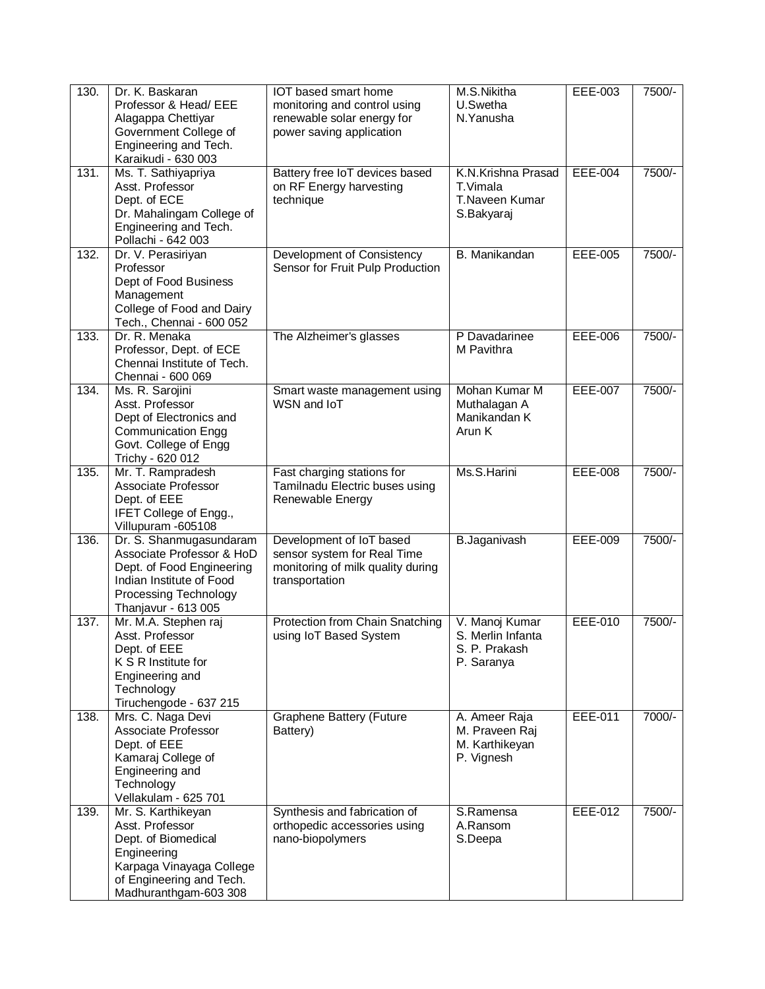| 130. | Dr. K. Baskaran<br>Professor & Head/ EEE<br>Alagappa Chettiyar<br>Government College of<br>Engineering and Tech.<br>Karaikudi - 630 003                       | <b>IOT</b> based smart home<br>monitoring and control using<br>renewable solar energy for<br>power saving application | M.S.Nikitha<br>U.Swetha<br>N.Yanusha                               | EEE-003        | 7500/- |
|------|---------------------------------------------------------------------------------------------------------------------------------------------------------------|-----------------------------------------------------------------------------------------------------------------------|--------------------------------------------------------------------|----------------|--------|
| 131. | Ms. T. Sathiyapriya<br>Asst. Professor<br>Dept. of ECE<br>Dr. Mahalingam College of<br>Engineering and Tech.<br>Pollachi - 642 003                            | Battery free IoT devices based<br>on RF Energy harvesting<br>technique                                                | K.N.Krishna Prasad<br>T.Vimala<br>T.Naveen Kumar<br>S.Bakyaraj     | EEE-004        | 7500/- |
| 132. | Dr. V. Perasiriyan<br>Professor<br>Dept of Food Business<br>Management<br>College of Food and Dairy<br>Tech., Chennai - 600 052                               | Development of Consistency<br>Sensor for Fruit Pulp Production                                                        | B. Manikandan                                                      | <b>EEE-005</b> | 7500/- |
| 133. | Dr. R. Menaka<br>Professor, Dept. of ECE<br>Chennai Institute of Tech.<br>Chennai - 600 069                                                                   | The Alzheimer's glasses                                                                                               | P Davadarinee<br>M Pavithra                                        | <b>EEE-006</b> | 7500/- |
| 134. | Ms. R. Sarojini<br>Asst. Professor<br>Dept of Electronics and<br><b>Communication Engg</b><br>Govt. College of Engg<br>Trichy - 620 012                       | Smart waste management using<br>WSN and IoT                                                                           | Mohan Kumar M<br>Muthalagan A<br>Manikandan K<br>Arun K            | EEE-007        | 7500/- |
| 135. | Mr. T. Rampradesh<br>Associate Professor<br>Dept. of EEE<br>IFET College of Engg.,<br>Villupuram - 605108                                                     | Fast charging stations for<br>Tamilnadu Electric buses using<br>Renewable Energy                                      | Ms.S.Harini                                                        | <b>EEE-008</b> | 7500/- |
| 136. | Dr. S. Shanmugasundaram<br>Associate Professor & HoD<br>Dept. of Food Engineering<br>Indian Institute of Food<br>Processing Technology<br>Thanjavur - 613 005 | Development of IoT based<br>sensor system for Real Time<br>monitoring of milk quality during<br>transportation        | B.Jaganivash                                                       | EEE-009        | 7500/- |
| 137. | Mr. M.A. Stephen raj<br>Asst. Professor<br>Dept. of EEE<br>K S R Institute for<br>Engineering and<br>Technology<br>Tiruchengode - 637 215                     | Protection from Chain Snatching<br>using IoT Based System                                                             | V. Manoj Kumar<br>S. Merlin Infanta<br>S. P. Prakash<br>P. Saranya | <b>EEE-010</b> | 7500/- |
| 138. | Mrs. C. Naga Devi<br>Associate Professor<br>Dept. of EEE<br>Kamaraj College of<br>Engineering and<br>Technology<br>Vellakulam - 625 701                       | <b>Graphene Battery (Future</b><br>Battery)                                                                           | A. Ameer Raja<br>M. Praveen Raj<br>M. Karthikeyan<br>P. Vignesh    | EEE-011        | 7000/- |
| 139. | Mr. S. Karthikeyan<br>Asst. Professor<br>Dept. of Biomedical<br>Engineering<br>Karpaga Vinayaga College<br>of Engineering and Tech.<br>Madhuranthgam-603 308  | Synthesis and fabrication of<br>orthopedic accessories using<br>nano-biopolymers                                      | S.Ramensa<br>A.Ransom<br>S.Deepa                                   | EEE-012        | 7500/- |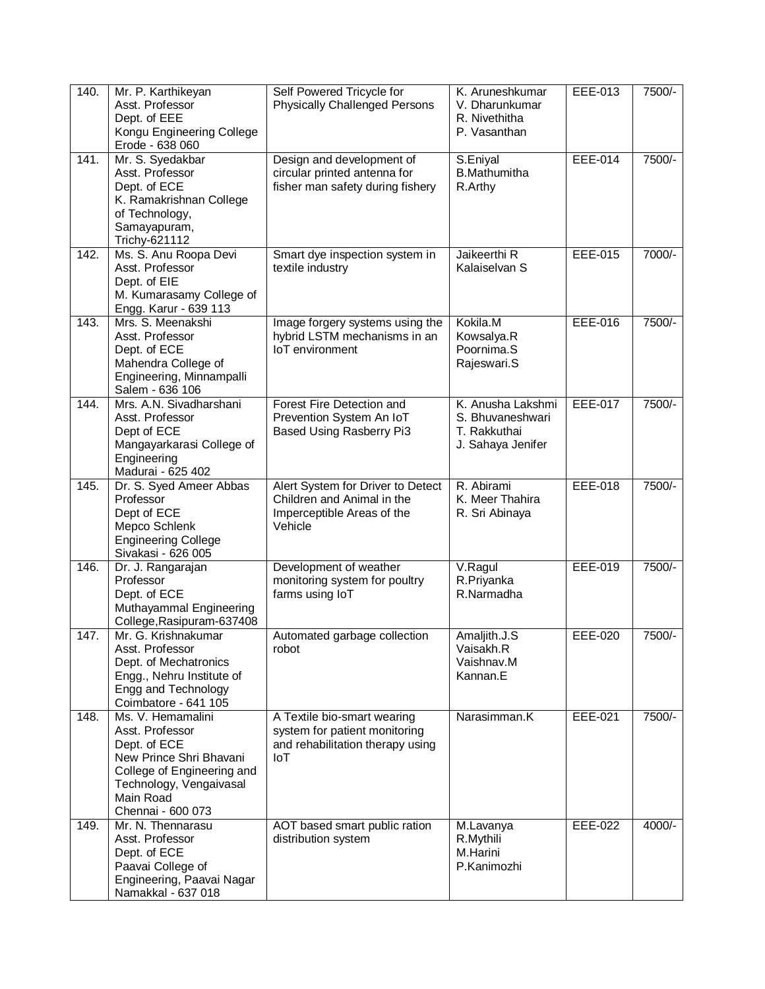| 140. | Mr. P. Karthikeyan<br>Asst. Professor<br>Dept. of EEE<br>Kongu Engineering College<br>Erode - 638 060                                                                      | Self Powered Tricycle for<br><b>Physically Challenged Persons</b>                                        | K. Aruneshkumar<br>V. Dharunkumar<br>R. Nivethitha<br>P. Vasanthan         | EEE-013        | 7500/-   |
|------|----------------------------------------------------------------------------------------------------------------------------------------------------------------------------|----------------------------------------------------------------------------------------------------------|----------------------------------------------------------------------------|----------------|----------|
| 141. | Mr. S. Syedakbar<br>Asst. Professor<br>Dept. of ECE<br>K. Ramakrishnan College<br>of Technology,<br>Samayapuram,<br>Trichy-621112                                          | Design and development of<br>circular printed antenna for<br>fisher man safety during fishery            | S.Eniyal<br><b>B.Mathumitha</b><br>R.Arthy                                 | <b>EEE-014</b> | 7500/-   |
| 142. | Ms. S. Anu Roopa Devi<br>Asst. Professor<br>Dept. of EIE<br>M. Kumarasamy College of<br>Engg. Karur - 639 113                                                              | Smart dye inspection system in<br>textile industry                                                       | Jaikeerthi R<br>Kalaiselvan S                                              | <b>EEE-015</b> | 7000/-   |
| 143. | Mrs. S. Meenakshi<br>Asst. Professor<br>Dept. of ECE<br>Mahendra College of<br>Engineering, Minnampalli<br>Salem - 636 106                                                 | Image forgery systems using the<br>hybrid LSTM mechanisms in an<br>loT environment                       | Kokila.M<br>Kowsalya.R<br>Poornima.S<br>Rajeswari.S                        | EEE-016        | 7500/-   |
| 144. | Mrs. A.N. Sivadharshani<br>Asst. Professor<br>Dept of ECE<br>Mangayarkarasi College of<br>Engineering<br>Madurai - 625 402                                                 | Forest Fire Detection and<br>Prevention System An IoT<br><b>Based Using Rasberry Pi3</b>                 | K. Anusha Lakshmi<br>S. Bhuvaneshwari<br>T. Rakkuthai<br>J. Sahaya Jenifer | <b>EEE-017</b> | 7500/-   |
| 145. | Dr. S. Syed Ameer Abbas<br>Professor<br>Dept of ECE<br>Mepco Schlenk<br><b>Engineering College</b><br>Sivakasi - 626 005                                                   | Alert System for Driver to Detect<br>Children and Animal in the<br>Imperceptible Areas of the<br>Vehicle | R. Abirami<br>K. Meer Thahira<br>R. Sri Abinaya                            | <b>EEE-018</b> | 7500/-   |
| 146. | Dr. J. Rangarajan<br>Professor<br>Dept. of ECE<br>Muthayammal Engineering<br>College, Rasipuram-637408                                                                     | Development of weather<br>monitoring system for poultry<br>farms using IoT                               | V.Ragul<br>R.Priyanka<br>R.Narmadha                                        | EEE-019        | 7500/-   |
| 147. | Mr. G. Krishnakumar<br>Asst. Professor<br>Dept. of Mechatronics<br>Engg., Nehru Institute of<br>Engg and Technology<br>Coimbatore - 641 105                                | Automated garbage collection<br>robot                                                                    | Amaljith.J.S<br>Vaisakh.R<br>Vaishnav.M<br>Kannan.E                        | <b>EEE-020</b> | 7500/-   |
| 148. | Ms. V. Hemamalini<br>Asst. Professor<br>Dept. of ECE<br>New Prince Shri Bhavani<br>College of Engineering and<br>Technology, Vengaivasal<br>Main Road<br>Chennai - 600 073 | A Textile bio-smart wearing<br>system for patient monitoring<br>and rehabilitation therapy using<br>IoT  | Narasimman.K                                                               | EEE-021        | 7500/-   |
| 149. | Mr. N. Thennarasu<br>Asst. Professor<br>Dept. of ECE<br>Paavai College of<br>Engineering, Paavai Nagar<br>Namakkal - 637 018                                               | AOT based smart public ration<br>distribution system                                                     | M.Lavanya<br>R.Mythili<br>M.Harini<br>P.Kanimozhi                          | EEE-022        | $4000/-$ |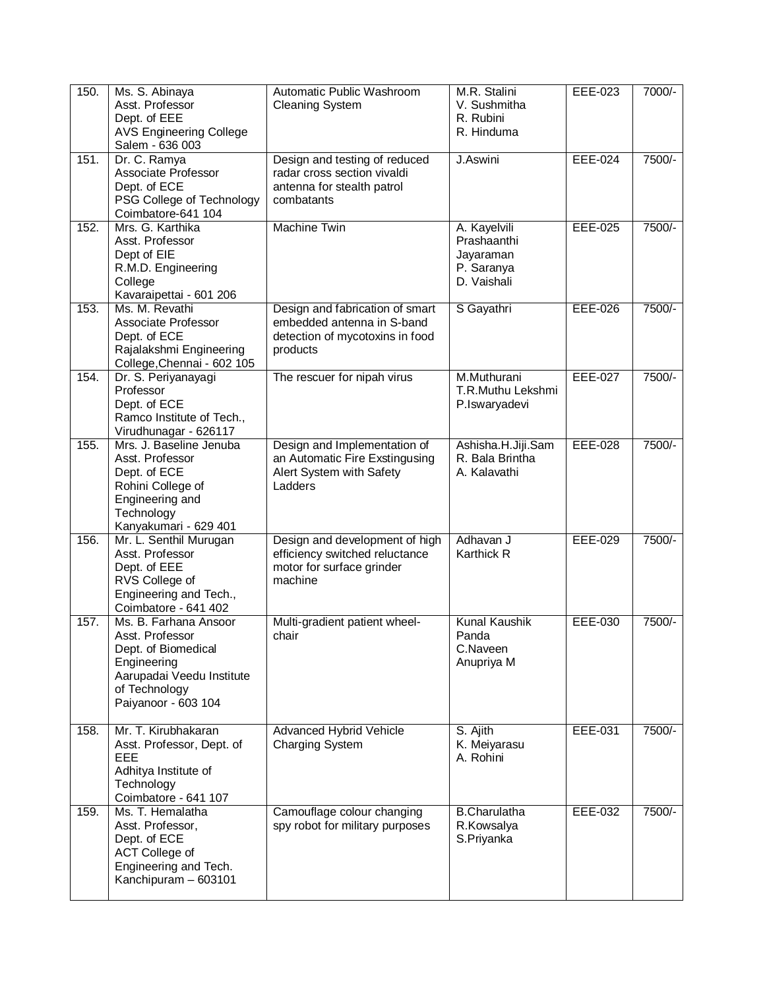| 150. | Ms. S. Abinaya<br>Asst. Professor                                                                                                                   | Automatic Public Washroom<br><b>Cleaning System</b>                                                          | M.R. Stalini<br>V. Sushmitha                                          | EEE-023        | 7000/- |
|------|-----------------------------------------------------------------------------------------------------------------------------------------------------|--------------------------------------------------------------------------------------------------------------|-----------------------------------------------------------------------|----------------|--------|
|      | Dept. of EEE<br><b>AVS Engineering College</b><br>Salem - 636 003                                                                                   |                                                                                                              | R. Rubini<br>R. Hinduma                                               |                |        |
| 151. | Dr. C. Ramya<br>Associate Professor<br>Dept. of ECE<br>PSG College of Technology<br>Coimbatore-641 104                                              | Design and testing of reduced<br>radar cross section vivaldi<br>antenna for stealth patrol<br>combatants     | J.Aswini                                                              | EEE-024        | 7500/- |
| 152. | Mrs. G. Karthika<br>Asst. Professor<br>Dept of EIE<br>R.M.D. Engineering<br>College<br>Kavaraipettai - 601 206                                      | <b>Machine Twin</b>                                                                                          | A. Kayelvili<br>Prashaanthi<br>Jayaraman<br>P. Saranya<br>D. Vaishali | EEE-025        | 7500/- |
| 153. | Ms. M. Revathi<br>Associate Professor<br>Dept. of ECE<br>Rajalakshmi Engineering<br>College, Chennai - 602 105                                      | Design and fabrication of smart<br>embedded antenna in S-band<br>detection of mycotoxins in food<br>products | S Gayathri                                                            | EEE-026        | 7500/- |
| 154. | Dr. S. Periyanayagi<br>Professor<br>Dept. of ECE<br>Ramco Institute of Tech.,<br>Virudhunagar - 626117                                              | The rescuer for nipah virus                                                                                  | M.Muthurani<br>T.R.Muthu Lekshmi<br>P.Iswaryadevi                     | EEE-027        | 7500/- |
| 155. | Mrs. J. Baseline Jenuba<br>Asst. Professor<br>Dept. of ECE<br>Rohini College of<br>Engineering and<br>Technology<br>Kanyakumari - 629 401           | Design and Implementation of<br>an Automatic Fire Exstingusing<br>Alert System with Safety<br>Ladders        | Ashisha.H.Jiji.Sam<br>R. Bala Brintha<br>A. Kalavathi                 | <b>EEE-028</b> | 7500/- |
| 156. | Mr. L. Senthil Murugan<br>Asst. Professor<br>Dept. of EEE<br>RVS College of<br>Engineering and Tech.,<br>Coimbatore - 641 402                       | Design and development of high<br>efficiency switched reluctance<br>motor for surface grinder<br>machine     | Adhavan J<br>Karthick R                                               | EEE-029        | 7500/- |
| 157. | Ms. B. Farhana Ansoor<br>Asst. Professor<br>Dept. of Biomedical<br>Engineering<br>Aarupadai Veedu Institute<br>of Technology<br>Paiyanoor - 603 104 | Multi-gradient patient wheel-<br>chair                                                                       | <b>Kunal Kaushik</b><br>Panda<br>C.Naveen<br>Anupriya M               | <b>EEE-030</b> | 7500/- |
| 158. | Mr. T. Kirubhakaran<br>Asst. Professor, Dept. of<br>EEE<br>Adhitya Institute of<br>Technology<br>Coimbatore - 641 107                               | Advanced Hybrid Vehicle<br>Charging System                                                                   | S. Ajith<br>K. Meiyarasu<br>A. Rohini                                 | EEE-031        | 7500/- |
| 159. | Ms. T. Hemalatha<br>Asst. Professor,<br>Dept. of ECE<br><b>ACT College of</b><br>Engineering and Tech.<br>Kanchipuram - 603101                      | Camouflage colour changing<br>spy robot for military purposes                                                | <b>B.Charulatha</b><br>R.Kowsalya<br>S.Priyanka                       | EEE-032        | 7500/- |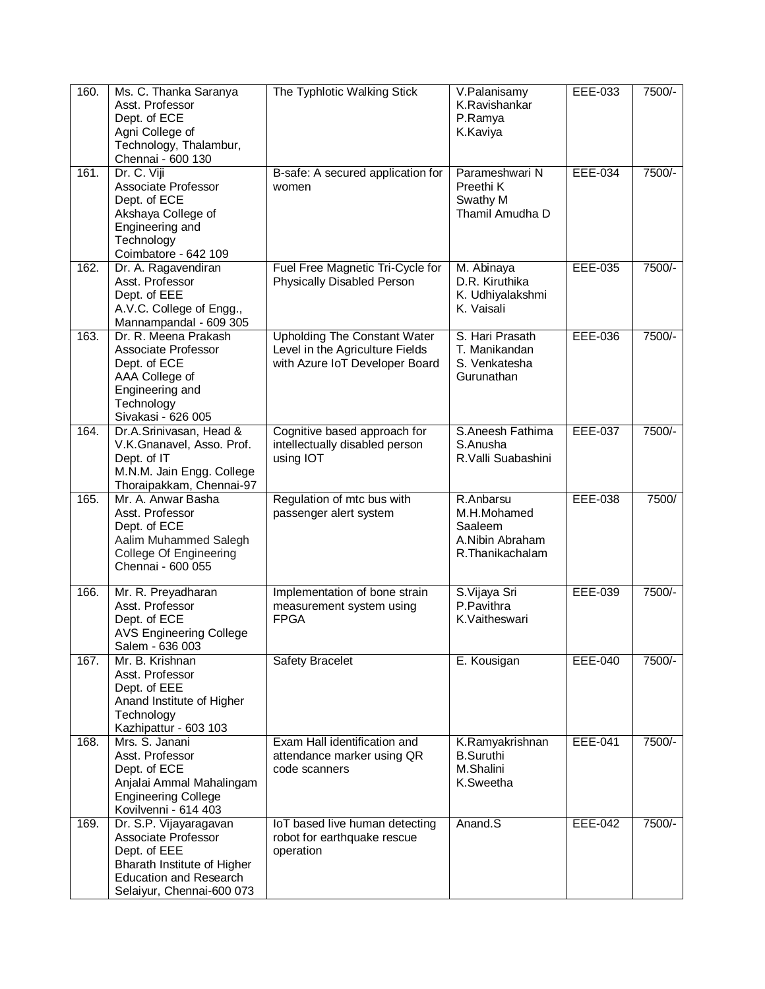| 160. | Ms. C. Thanka Saranya<br>Asst. Professor<br>Dept. of ECE<br>Agni College of<br>Technology, Thalambur,<br>Chennai - 600 130                                 | The Typhlotic Walking Stick                                                                              | V.Palanisamy<br>K.Ravishankar<br>P.Ramya<br>K.Kaviya                      | EEE-033        | 7500/- |
|------|------------------------------------------------------------------------------------------------------------------------------------------------------------|----------------------------------------------------------------------------------------------------------|---------------------------------------------------------------------------|----------------|--------|
| 161. | Dr. C. Viji<br>Associate Professor<br>Dept. of ECE<br>Akshaya College of<br>Engineering and<br>Technology<br>Coimbatore - 642 109                          | B-safe: A secured application for<br>women                                                               | Parameshwari N<br>Preethi K<br>Swathy M<br>Thamil Amudha D                | <b>EEE-034</b> | 7500/- |
| 162. | Dr. A. Ragavendiran<br>Asst. Professor<br>Dept. of EEE<br>A.V.C. College of Engg.,<br>Mannampandal - 609 305                                               | Fuel Free Magnetic Tri-Cycle for<br>Physically Disabled Person                                           | M. Abinaya<br>D.R. Kiruthika<br>K. Udhiyalakshmi<br>K. Vaisali            | EEE-035        | 7500/- |
| 163. | Dr. R. Meena Prakash<br>Associate Professor<br>Dept. of ECE<br>AAA College of<br>Engineering and<br>Technology<br>Sivakasi - 626 005                       | <b>Upholding The Constant Water</b><br>Level in the Agriculture Fields<br>with Azure IoT Developer Board | S. Hari Prasath<br>T. Manikandan<br>S. Venkatesha<br>Gurunathan           | EEE-036        | 7500/- |
| 164. | Dr.A.Srinivasan, Head &<br>V.K.Gnanavel, Asso. Prof.<br>Dept. of IT<br>M.N.M. Jain Engg. College<br>Thoraipakkam, Chennai-97                               | Cognitive based approach for<br>intellectually disabled person<br>using IOT                              | S.Aneesh Fathima<br>S.Anusha<br>R.Valli Suabashini                        | <b>EEE-037</b> | 7500/- |
| 165. | Mr. A. Anwar Basha<br>Asst. Professor<br>Dept. of ECE<br>Aalim Muhammed Salegh<br><b>College Of Engineering</b><br>Chennai - 600 055                       | Regulation of mtc bus with<br>passenger alert system                                                     | R.Anbarsu<br>M.H.Mohamed<br>Saaleem<br>A.Nibin Abraham<br>R.Thanikachalam | EEE-038        | 7500/  |
| 166. | Mr. R. Preyadharan<br>Asst. Professor<br>Dept. of ECE<br><b>AVS Engineering College</b><br>Salem - 636 003                                                 | Implementation of bone strain<br>measurement system using<br><b>FPGA</b>                                 | S.Vijaya Sri<br>P.Pavithra<br>K.Vaitheswari                               | EEE-039        | 7500/- |
| 167. | Mr. B. Krishnan<br>Asst. Professor<br>Dept. of EEE<br>Anand Institute of Higher<br>Technology<br>Kazhipattur - 603 103                                     | Safety Bracelet                                                                                          | E. Kousigan                                                               | EEE-040        | 7500/- |
| 168. | Mrs. S. Janani<br>Asst. Professor<br>Dept. of ECE<br>Anjalai Ammal Mahalingam<br><b>Engineering College</b><br>Kovilvenni - 614 403                        | Exam Hall identification and<br>attendance marker using QR<br>code scanners                              | K.Ramyakrishnan<br><b>B.Suruthi</b><br>M.Shalini<br>K.Sweetha             | EEE-041        | 7500/- |
| 169. | Dr. S.P. Vijayaragavan<br>Associate Professor<br>Dept. of EEE<br>Bharath Institute of Higher<br><b>Education and Research</b><br>Selaiyur, Chennai-600 073 | IoT based live human detecting<br>robot for earthquake rescue<br>operation                               | Anand.S                                                                   | EEE-042        | 7500/- |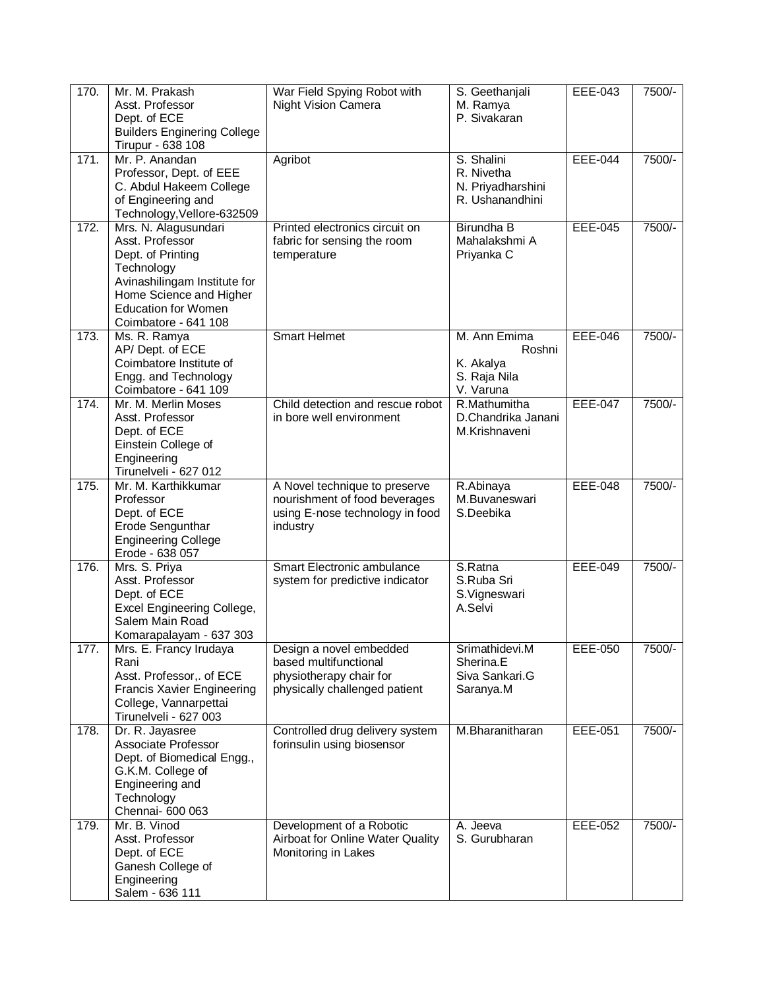| 170. | Mr. M. Prakash<br>Asst. Professor<br>Dept. of ECE<br><b>Builders Enginering College</b><br>Tirupur - 638 108                                                                                | War Field Spying Robot with<br>Night Vision Camera                                                            | S. Geethanjali<br>M. Ramya<br>P. Sivakaran                       | EEE-043        | 7500/- |
|------|---------------------------------------------------------------------------------------------------------------------------------------------------------------------------------------------|---------------------------------------------------------------------------------------------------------------|------------------------------------------------------------------|----------------|--------|
| 171. | Mr. P. Anandan<br>Professor, Dept. of EEE<br>C. Abdul Hakeem College<br>of Engineering and<br>Technology, Vellore-632509                                                                    | Agribot                                                                                                       | S. Shalini<br>R. Nivetha<br>N. Priyadharshini<br>R. Ushanandhini | <b>EEE-044</b> | 7500/- |
| 172. | Mrs. N. Alagusundari<br>Asst. Professor<br>Dept. of Printing<br>Technology<br>Avinashilingam Institute for<br>Home Science and Higher<br><b>Education for Women</b><br>Coimbatore - 641 108 | Printed electronics circuit on<br>fabric for sensing the room<br>temperature                                  | Birundha B<br>Mahalakshmi A<br>Priyanka C                        | <b>EEE-045</b> | 7500/- |
| 173. | Ms. R. Ramya<br>AP/ Dept. of ECE<br>Coimbatore Institute of<br>Engg. and Technology<br>Coimbatore - 641 109                                                                                 | <b>Smart Helmet</b>                                                                                           | M. Ann Emima<br>Roshni<br>K. Akalya<br>S. Raja Nila<br>V. Varuna | <b>EEE-046</b> | 7500/- |
| 174. | Mr. M. Merlin Moses<br>Asst. Professor<br>Dept. of ECE<br>Einstein College of<br>Engineering<br>Tirunelveli - 627 012                                                                       | Child detection and rescue robot<br>in bore well environment                                                  | R.Mathumitha<br>D.Chandrika Janani<br>M.Krishnaveni              | <b>EEE-047</b> | 7500/- |
| 175. | Mr. M. Karthikkumar<br>Professor<br>Dept. of ECE<br>Erode Sengunthar<br><b>Engineering College</b><br>Erode - 638 057                                                                       | A Novel technique to preserve<br>nourishment of food beverages<br>using E-nose technology in food<br>industry | R.Abinaya<br>M.Buvaneswari<br>S.Deebika                          | <b>EEE-048</b> | 7500/- |
| 176. | Mrs. S. Priya<br>Asst. Professor<br>Dept. of ECE<br>Excel Engineering College,<br>Salem Main Road<br>Komarapalayam - 637 303                                                                | Smart Electronic ambulance<br>system for predictive indicator                                                 | S.Ratna<br>S.Ruba Sri<br>S.Vigneswari<br>A.Selvi                 | <b>EEE-049</b> | 7500/- |
| 177. | Mrs. E. Francy Irudaya<br>Rani<br>Asst. Professor,. of ECE<br><b>Francis Xavier Engineering</b><br>College, Vannarpettai<br>Tirunelveli - 627 003                                           | Design a novel embedded<br>based multifunctional<br>physiotherapy chair for<br>physically challenged patient  | Srimathidevi.M<br>Sherina.E<br>Siva Sankari.G<br>Saranya.M       | <b>EEE-050</b> | 7500/- |
| 178. | Dr. R. Jayasree<br>Associate Professor<br>Dept. of Biomedical Engg.,<br>G.K.M. College of<br>Engineering and<br>Technology<br>Chennai- 600 063                                              | Controlled drug delivery system<br>forinsulin using biosensor                                                 | M.Bharanitharan                                                  | EEE-051        | 7500/- |
| 179. | Mr. B. Vinod<br>Asst. Professor<br>Dept. of ECE<br>Ganesh College of<br>Engineering<br>Salem - 636 111                                                                                      | Development of a Robotic<br>Airboat for Online Water Quality<br>Monitoring in Lakes                           | A. Jeeva<br>S. Gurubharan                                        | EEE-052        | 7500/- |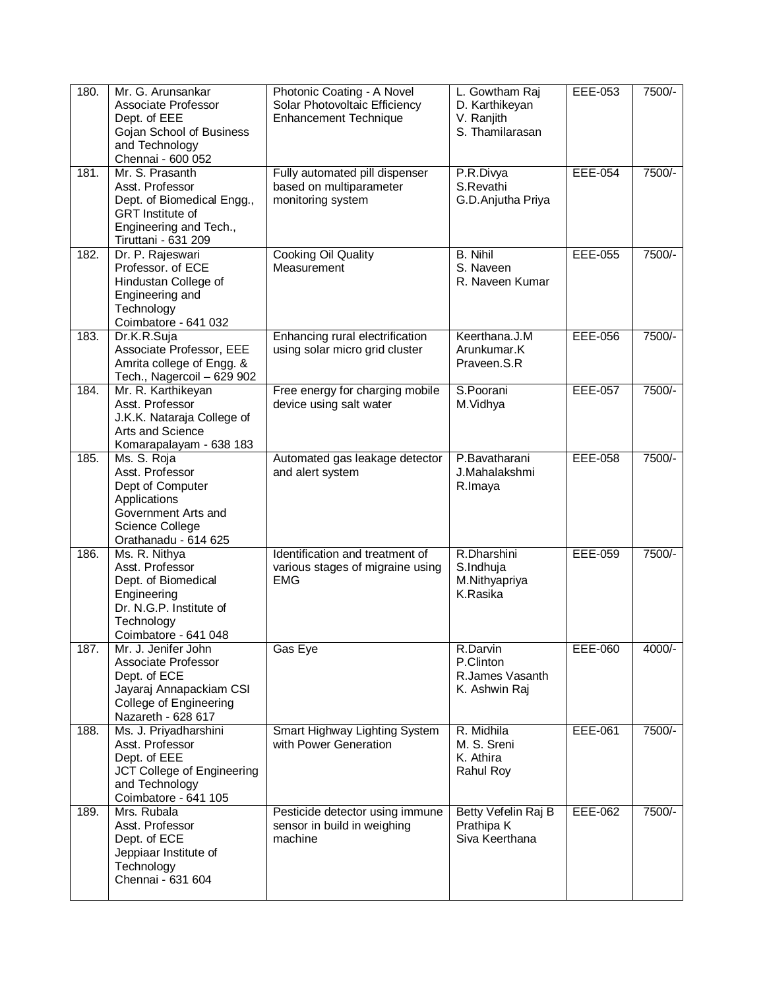| 180. | Mr. G. Arunsankar<br>Associate Professor<br>Dept. of EEE<br>Gojan School of Business<br>and Technology<br>Chennai - 600 052                  | Photonic Coating - A Novel<br>Solar Photovoltaic Efficiency<br>Enhancement Technique | L. Gowtham Raj<br>D. Karthikeyan<br>V. Ranjith<br>S. Thamilarasan | EEE-053        | 7500/- |
|------|----------------------------------------------------------------------------------------------------------------------------------------------|--------------------------------------------------------------------------------------|-------------------------------------------------------------------|----------------|--------|
| 181. | Mr. S. Prasanth<br>Asst. Professor<br>Dept. of Biomedical Engg.,<br><b>GRT</b> Institute of<br>Engineering and Tech.,<br>Tiruttani - 631 209 | Fully automated pill dispenser<br>based on multiparameter<br>monitoring system       | P.R.Divya<br>S.Revathi<br>G.D.Anjutha Priya                       | $EEE-054$      | 7500/- |
| 182. | Dr. P. Rajeswari<br>Professor. of ECE<br>Hindustan College of<br>Engineering and<br>Technology<br>Coimbatore - 641 032                       | <b>Cooking Oil Quality</b><br>Measurement                                            | <b>B.</b> Nihil<br>S. Naveen<br>R. Naveen Kumar                   | <b>EEE-055</b> | 7500/- |
| 183. | Dr.K.R.Suja<br>Associate Professor, EEE<br>Amrita college of Engg. &<br>Tech., Nagercoil - 629 902                                           | Enhancing rural electrification<br>using solar micro grid cluster                    | Keerthana.J.M<br>Arunkumar.K<br>Praveen.S.R                       | <b>EEE-056</b> | 7500/- |
| 184. | Mr. R. Karthikeyan<br>Asst. Professor<br>J.K.K. Nataraja College of<br>Arts and Science<br>Komarapalayam - 638 183                           | Free energy for charging mobile<br>device using salt water                           | S.Poorani<br>M.Vidhya                                             | <b>EEE-057</b> | 7500/- |
| 185. | Ms. S. Roja<br>Asst. Professor<br>Dept of Computer<br>Applications<br>Government Arts and<br>Science College<br>Orathanadu - 614 625         | Automated gas leakage detector<br>and alert system                                   | P.Bavatharani<br>J.Mahalakshmi<br>R.Imaya                         | <b>EEE-058</b> | 7500/- |
| 186. | Ms. R. Nithya<br>Asst. Professor<br>Dept. of Biomedical<br>Engineering<br>Dr. N.G.P. Institute of<br>Technology<br>Coimbatore - 641 048      | Identification and treatment of<br>various stages of migraine using<br><b>EMG</b>    | R.Dharshini<br>S.Indhuja<br>M.Nithyapriya<br>K.Rasika             | <b>EEE-059</b> | 7500/- |
| 187. | Mr. J. Jenifer John<br>Associate Professor<br>Dept. of ECE<br>Jayaraj Annapackiam CSI<br>College of Engineering<br>Nazareth - 628 617        | Gas Eye                                                                              | R.Darvin<br>P.Clinton<br>R.James Vasanth<br>K. Ashwin Raj         | EEE-060        | 4000/- |
| 188. | Ms. J. Priyadharshini<br>Asst. Professor<br>Dept. of EEE<br>JCT College of Engineering<br>and Technology<br>Coimbatore - 641 105             | Smart Highway Lighting System<br>with Power Generation                               | R. Midhila<br>M. S. Sreni<br>K. Athira<br>Rahul Roy               | EEE-061        | 7500/- |
| 189. | Mrs. Rubala<br>Asst. Professor<br>Dept. of ECE<br>Jeppiaar Institute of<br>Technology<br>Chennai - 631 604                                   | Pesticide detector using immune<br>sensor in build in weighing<br>machine            | Betty Vefelin Raj B<br>Prathipa K<br>Siva Keerthana               | EEE-062        | 7500/- |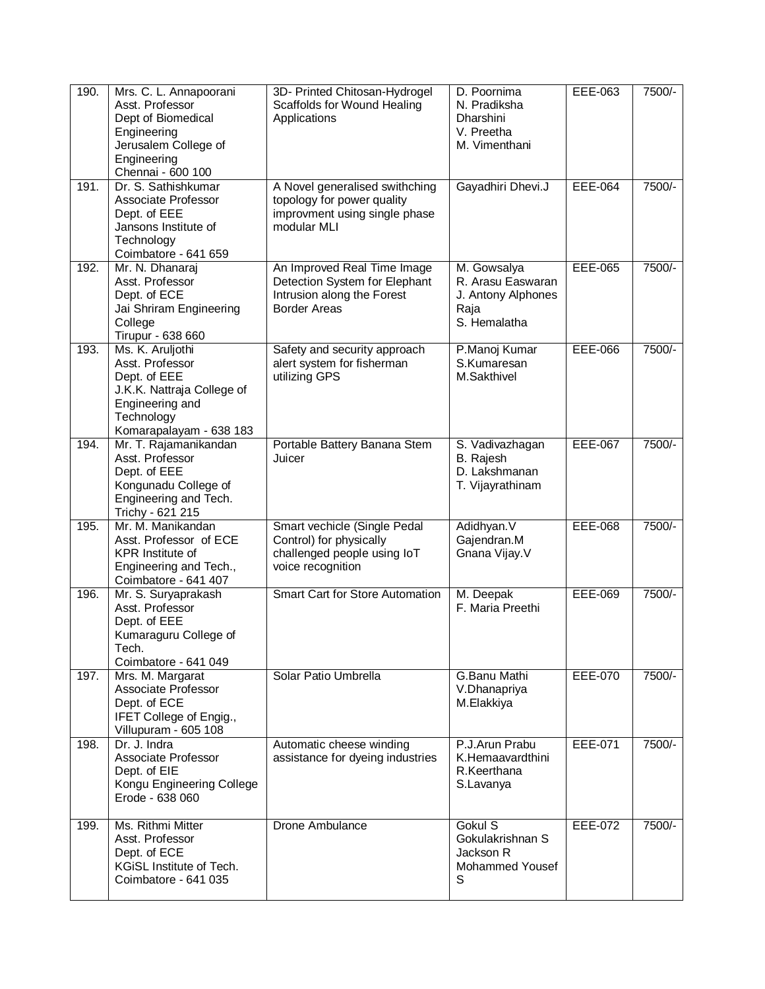| 190. | Mrs. C. L. Annapoorani<br>Asst. Professor<br>Dept of Biomedical<br>Engineering<br>Jerusalem College of<br>Engineering<br>Chennai - 600 100    | 3D- Printed Chitosan-Hydrogel<br>Scaffolds for Wound Healing<br>Applications                                      | D. Poornima<br>N. Pradiksha<br>Dharshini<br>V. Preetha<br>M. Vimenthani        | EEE-063        | 7500/- |
|------|-----------------------------------------------------------------------------------------------------------------------------------------------|-------------------------------------------------------------------------------------------------------------------|--------------------------------------------------------------------------------|----------------|--------|
| 191. | Dr. S. Sathishkumar<br>Associate Professor<br>Dept. of EEE<br>Jansons Institute of<br>Technology<br>Coimbatore - 641 659                      | A Novel generalised swithching<br>topology for power quality<br>improvment using single phase<br>modular MLI      | Gayadhiri Dhevi.J                                                              | <b>EEE-064</b> | 7500/- |
| 192. | Mr. N. Dhanaraj<br>Asst. Professor<br>Dept. of ECE<br>Jai Shriram Engineering<br>College<br>Tirupur - 638 660                                 | An Improved Real Time Image<br>Detection System for Elephant<br>Intrusion along the Forest<br><b>Border Areas</b> | M. Gowsalya<br>R. Arasu Easwaran<br>J. Antony Alphones<br>Raja<br>S. Hemalatha | <b>EEE-065</b> | 7500/- |
| 193. | Ms. K. Aruljothi<br>Asst. Professor<br>Dept. of EEE<br>J.K.K. Nattraja College of<br>Engineering and<br>Technology<br>Komarapalayam - 638 183 | Safety and security approach<br>alert system for fisherman<br>utilizing GPS                                       | P.Manoj Kumar<br>S.Kumaresan<br>M.Sakthivel                                    | EEE-066        | 7500/- |
| 194. | Mr. T. Rajamanikandan<br>Asst. Professor<br>Dept. of EEE<br>Kongunadu College of<br>Engineering and Tech.<br>Trichy - 621 215                 | Portable Battery Banana Stem<br>Juicer                                                                            | S. Vadivazhagan<br>B. Rajesh<br>D. Lakshmanan<br>T. Vijayrathinam              | <b>EEE-067</b> | 7500/- |
| 195. | Mr. M. Manikandan<br>Asst. Professor of ECE<br><b>KPR</b> Institute of<br>Engineering and Tech.,<br>Coimbatore - 641 407                      | Smart vechicle (Single Pedal<br>Control) for physically<br>challenged people using loT<br>voice recognition       | Adidhyan. V<br>Gajendran.M<br>Gnana Vijay.V                                    | <b>EEE-068</b> | 7500/- |
| 196. | Mr. S. Suryaprakash<br>Asst. Professor<br>Dept. of EEE<br>Kumaraguru College of<br>Tech.<br>Coimbatore - 641 049                              | Smart Cart for Store Automation                                                                                   | M. Deepak<br>F. Maria Preethi                                                  | <b>EEE-069</b> | 7500/- |
| 197. | Mrs. M. Margarat<br>Associate Professor<br>Dept. of ECE<br>IFET College of Engig.,<br>Villupuram - 605 108                                    | Solar Patio Umbrella                                                                                              | G.Banu Mathi<br>V.Dhanapriya<br>M.Elakkiya                                     | <b>EEE-070</b> | 7500/- |
| 198. | Dr. J. Indra<br>Associate Professor<br>Dept. of EIE<br>Kongu Engineering College<br>Erode - 638 060                                           | Automatic cheese winding<br>assistance for dyeing industries                                                      | P.J.Arun Prabu<br>K.Hemaavardthini<br>R.Keerthana<br>S.Lavanya                 | <b>EEE-071</b> | 7500/- |
| 199. | Ms. Rithmi Mitter<br>Asst. Professor<br>Dept. of ECE<br>KGiSL Institute of Tech.<br>Coimbatore - 641 035                                      | Drone Ambulance                                                                                                   | Gokul S<br>Gokulakrishnan S<br>Jackson R<br>Mohammed Yousef<br>S               | EEE-072        | 7500/- |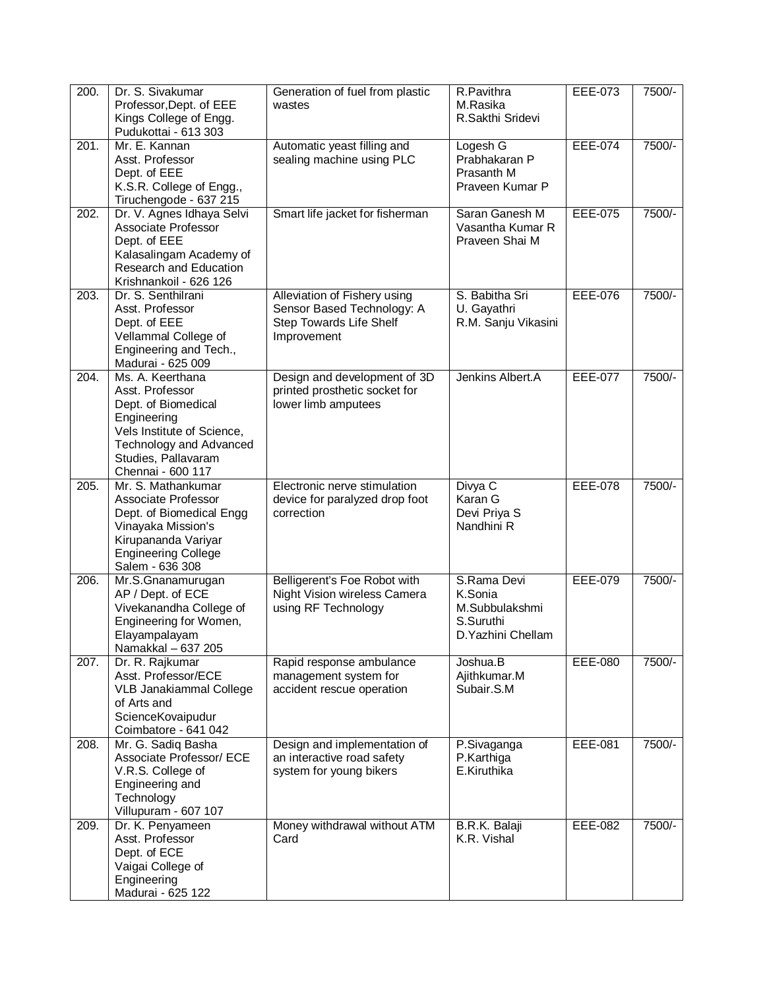| 200. | Dr. S. Sivakumar<br>Professor, Dept. of EEE<br>Kings College of Engg.<br>Pudukottai - 613 303                                                                                  | Generation of fuel from plastic<br>wastes                                                            | R.Pavithra<br>M.Rasika<br>R.Sakthi Sridevi                                  | EEE-073        | 7500/- |
|------|--------------------------------------------------------------------------------------------------------------------------------------------------------------------------------|------------------------------------------------------------------------------------------------------|-----------------------------------------------------------------------------|----------------|--------|
| 201. | Mr. E. Kannan<br>Asst. Professor<br>Dept. of EEE<br>K.S.R. College of Engg.,<br>Tiruchengode - 637 215                                                                         | Automatic yeast filling and<br>sealing machine using PLC                                             | Logesh G<br>Prabhakaran P<br>Prasanth M<br>Praveen Kumar P                  | <b>EEE-074</b> | 7500/- |
| 202. | Dr. V. Agnes Idhaya Selvi<br>Associate Professor<br>Dept. of EEE<br>Kalasalingam Academy of<br>Research and Education<br>Krishnankoil - 626 126                                | Smart life jacket for fisherman                                                                      | Saran Ganesh M<br>Vasantha Kumar R<br>Praveen Shai M                        | <b>EEE-075</b> | 7500/- |
| 203. | Dr. S. Senthilrani<br>Asst. Professor<br>Dept. of EEE<br>Vellammal College of<br>Engineering and Tech.,<br>Madurai - 625 009                                                   | Alleviation of Fishery using<br>Sensor Based Technology: A<br>Step Towards Life Shelf<br>Improvement | S. Babitha Sri<br>U. Gayathri<br>R.M. Sanju Vikasini                        | <b>EEE-076</b> | 7500/- |
| 204. | Ms. A. Keerthana<br>Asst. Professor<br>Dept. of Biomedical<br>Engineering<br>Vels Institute of Science,<br>Technology and Advanced<br>Studies, Pallavaram<br>Chennai - 600 117 | Design and development of 3D<br>printed prosthetic socket for<br>lower limb amputees                 | Jenkins Albert.A                                                            | <b>EEE-077</b> | 7500/- |
| 205. | Mr. S. Mathankumar<br>Associate Professor<br>Dept. of Biomedical Engg<br>Vinayaka Mission's<br>Kirupananda Variyar<br><b>Engineering College</b><br>Salem - 636 308            | Electronic nerve stimulation<br>device for paralyzed drop foot<br>correction                         | Divya C<br>Karan G<br>Devi Priya S<br>Nandhini R                            | <b>EEE-078</b> | 7500/- |
| 206. | Mr.S.Gnanamurugan<br>AP / Dept. of ECE<br>Vivekanandha College of<br>Engineering for Women,<br>Elayampalayam<br>Namakkal - 637 205                                             | Belligerent's Foe Robot with<br>Night Vision wireless Camera<br>using RF Technology                  | S.Rama Devi<br>K.Sonia<br>M.Subbulakshmi<br>S.Suruthi<br>D. Yazhini Chellam | <b>EEE-079</b> | 7500/- |
| 207. | Dr. R. Rajkumar<br>Asst. Professor/ECE<br>VLB Janakiammal College<br>of Arts and<br>ScienceKovaipudur<br>Coimbatore - 641 042                                                  | Rapid response ambulance<br>management system for<br>accident rescue operation                       | Joshua.B<br>Ajithkumar.M<br>Subair.S.M                                      | <b>EEE-080</b> | 7500/- |
| 208. | Mr. G. Sadiq Basha<br>Associate Professor/ ECE<br>V.R.S. College of<br>Engineering and<br>Technology<br>Villupuram - 607 107                                                   | Design and implementation of<br>an interactive road safety<br>system for young bikers                | P.Sivaganga<br>P.Karthiga<br>E.Kiruthika                                    | EEE-081        | 7500/- |
| 209. | Dr. K. Penyameen<br>Asst. Professor<br>Dept. of ECE<br>Vaigai College of<br>Engineering<br>Madurai - 625 122                                                                   | Money withdrawal without ATM<br>Card                                                                 | B.R.K. Balaji<br>K.R. Vishal                                                | EEE-082        | 7500/- |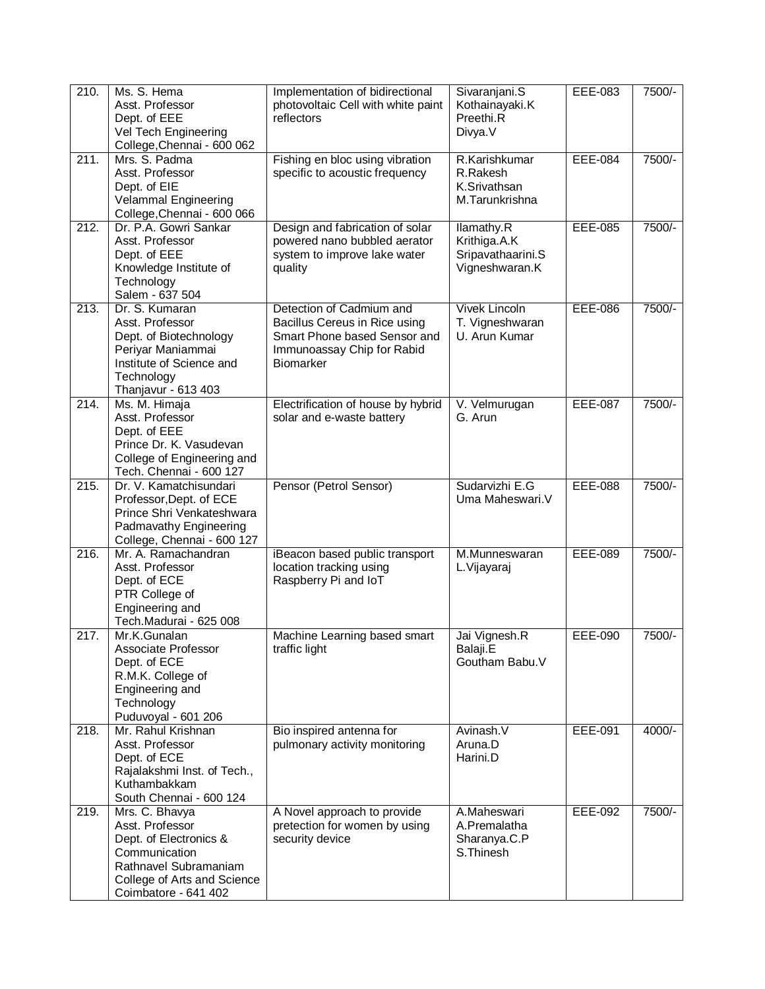| 210. | Ms. S. Hema<br>Asst. Professor<br>Dept. of EEE<br>Vel Tech Engineering<br>College, Chennai - 600 062                                                         | Implementation of bidirectional<br>photovoltaic Cell with white paint<br>reflectors                                                         | Sivaranjani.S<br>Kothainayaki.K<br>Preethi.R<br>Divya.V           | EEE-083        | 7500/- |
|------|--------------------------------------------------------------------------------------------------------------------------------------------------------------|---------------------------------------------------------------------------------------------------------------------------------------------|-------------------------------------------------------------------|----------------|--------|
| 211. | Mrs. S. Padma<br>Asst. Professor<br>Dept. of EIE<br>Velammal Engineering<br>College, Chennai - 600 066                                                       | Fishing en bloc using vibration<br>specific to acoustic frequency                                                                           | R.Karishkumar<br>R.Rakesh<br>K.Srivathsan<br>M.Tarunkrishna       | <b>EEE-084</b> | 7500/- |
| 212. | Dr. P.A. Gowri Sankar<br>Asst. Professor<br>Dept. of EEE<br>Knowledge Institute of<br>Technology<br>Salem - 637 504                                          | Design and fabrication of solar<br>powered nano bubbled aerator<br>system to improve lake water<br>quality                                  | Ilamathy.R<br>Krithiga.A.K<br>Sripavathaarini.S<br>Vigneshwaran.K | <b>EEE-085</b> | 7500/- |
| 213. | Dr. S. Kumaran<br>Asst. Professor<br>Dept. of Biotechnology<br>Periyar Maniammai<br>Institute of Science and<br>Technology<br>Thanjavur - 613 403            | Detection of Cadmium and<br>Bacillus Cereus in Rice using<br>Smart Phone based Sensor and<br>Immunoassay Chip for Rabid<br><b>Biomarker</b> | <b>Vivek Lincoln</b><br>T. Vigneshwaran<br>U. Arun Kumar          | EEE-086        | 7500/- |
| 214. | Ms. M. Himaja<br>Asst. Professor<br>Dept. of EEE<br>Prince Dr. K. Vasudevan<br>College of Engineering and<br>Tech. Chennai - 600 127                         | Electrification of house by hybrid<br>solar and e-waste battery                                                                             | V. Velmurugan<br>G. Arun                                          | <b>EEE-087</b> | 7500/- |
| 215. | Dr. V. Kamatchisundari<br>Professor, Dept. of ECE<br>Prince Shri Venkateshwara<br>Padmavathy Engineering<br>College, Chennai - 600 127                       | Pensor (Petrol Sensor)                                                                                                                      | Sudarvizhi E.G<br>Uma Maheswari.V                                 | <b>EEE-088</b> | 7500/- |
| 216. | Mr. A. Ramachandran<br>Asst. Professor<br>Dept. of ECE<br>PTR College of<br>Engineering and<br>Tech.Madurai - 625 008                                        | iBeacon based public transport<br>location tracking using<br>Raspberry Pi and IoT                                                           | M.Munneswaran<br>L.Vijayaraj                                      | <b>EEE-089</b> | 7500/- |
| 217. | Mr.K.Gunalan<br>Associate Professor<br>Dept. of ECE<br>R.M.K. College of<br>Engineering and<br>Technology<br>Puduvoyal - 601 206                             | Machine Learning based smart<br>traffic light                                                                                               | Jai Vignesh.R<br>Balaji.E<br>Goutham Babu.V                       | <b>EEE-090</b> | 7500/- |
| 218. | Mr. Rahul Krishnan<br>Asst. Professor<br>Dept. of ECE<br>Rajalakshmi Inst. of Tech.,<br>Kuthambakkam<br>South Chennai - 600 124                              | Bio inspired antenna for<br>pulmonary activity monitoring                                                                                   | Avinash.V<br>Aruna.D<br>Harini.D                                  | EEE-091        | 4000/- |
| 219. | Mrs. C. Bhavya<br>Asst. Professor<br>Dept. of Electronics &<br>Communication<br>Rathnavel Subramaniam<br>College of Arts and Science<br>Coimbatore - 641 402 | A Novel approach to provide<br>pretection for women by using<br>security device                                                             | A.Maheswari<br>A.Premalatha<br>Sharanya.C.P<br>S. Thinesh         | EEE-092        | 7500/- |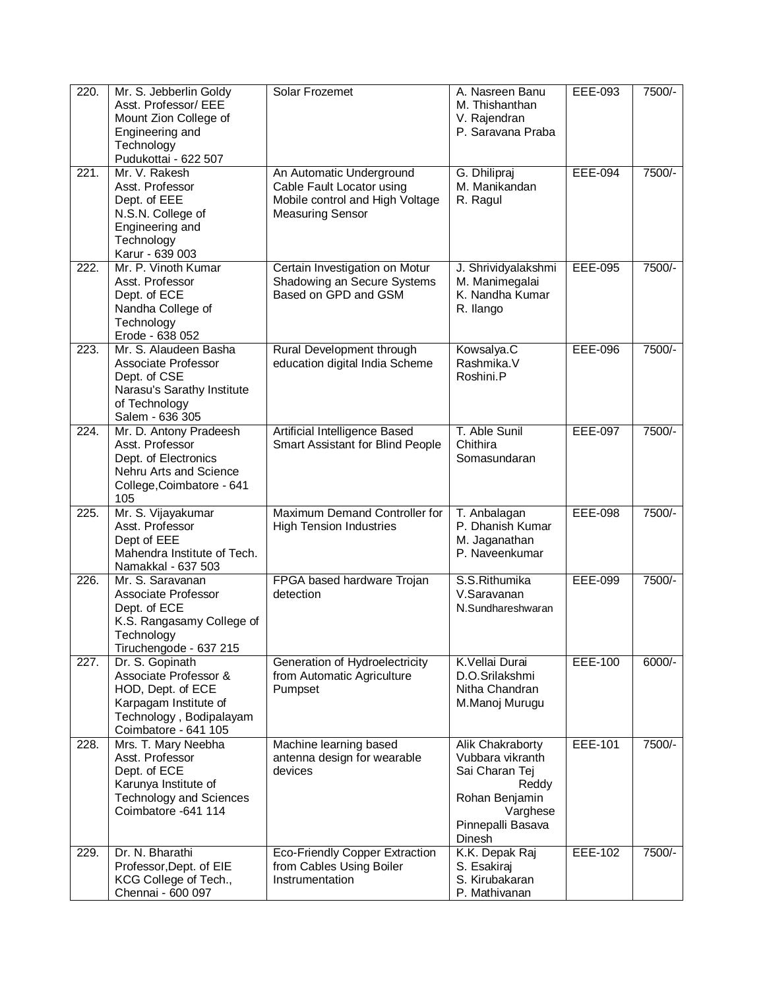| 220. | Mr. S. Jebberlin Goldy<br>Asst. Professor/ EEE<br>Mount Zion College of<br>Engineering and<br>Technology<br>Pudukottai - 622 507          | Solar Frozemet                                                                                                      | A. Nasreen Banu<br>M. Thishanthan<br>V. Rajendran<br>P. Saravana Praba                                                       | EEE-093        | 7500/-   |
|------|-------------------------------------------------------------------------------------------------------------------------------------------|---------------------------------------------------------------------------------------------------------------------|------------------------------------------------------------------------------------------------------------------------------|----------------|----------|
| 221. | Mr. V. Rakesh<br>Asst. Professor<br>Dept. of EEE<br>N.S.N. College of<br>Engineering and<br>Technology<br>Karur - 639 003                 | An Automatic Underground<br>Cable Fault Locator using<br>Mobile control and High Voltage<br><b>Measuring Sensor</b> | G. Dhilipraj<br>M. Manikandan<br>R. Ragul                                                                                    | <b>EEE-094</b> | 7500/-   |
| 222. | Mr. P. Vinoth Kumar<br>Asst. Professor<br>Dept. of ECE<br>Nandha College of<br>Technology<br>Erode - 638 052                              | Certain Investigation on Motur<br>Shadowing an Secure Systems<br>Based on GPD and GSM                               | J. Shrividyalakshmi<br>M. Manimegalai<br>K. Nandha Kumar<br>R. Ilango                                                        | <b>EEE-095</b> | 7500/-   |
| 223. | Mr. S. Alaudeen Basha<br>Associate Professor<br>Dept. of CSE<br>Narasu's Sarathy Institute<br>of Technology<br>Salem - 636 305            | Rural Development through<br>education digital India Scheme                                                         | Kowsalya.C<br>Rashmika.V<br>Roshini.P                                                                                        | EEE-096        | 7500/-   |
| 224. | Mr. D. Antony Pradeesh<br>Asst. Professor<br>Dept. of Electronics<br>Nehru Arts and Science<br>College, Coimbatore - 641<br>105           | Artificial Intelligence Based<br>Smart Assistant for Blind People                                                   | T. Able Sunil<br>Chithira<br>Somasundaran                                                                                    | <b>EEE-097</b> | 7500/-   |
| 225. | Mr. S. Vijayakumar<br>Asst. Professor<br>Dept of EEE<br>Mahendra Institute of Tech.<br>Namakkal - 637 503                                 | Maximum Demand Controller for<br><b>High Tension Industries</b>                                                     | T. Anbalagan<br>P. Dhanish Kumar<br>M. Jaganathan<br>P. Naveenkumar                                                          | <b>EEE-098</b> | 7500/-   |
| 226. | Mr. S. Saravanan<br>Associate Professor<br>Dept. of ECE<br>K.S. Rangasamy College of<br>Technology<br>Tiruchengode - 637 215              | FPGA based hardware Trojan<br>detection                                                                             | S.S.Rithumika<br>V.Saravanan<br>N.Sundhareshwaran                                                                            | <b>EEE-099</b> | 7500/-   |
| 227. | Dr. S. Gopinath<br>Associate Professor &<br>HOD, Dept. of ECE<br>Karpagam Institute of<br>Technology, Bodipalayam<br>Coimbatore - 641 105 | Generation of Hydroelectricity<br>from Automatic Agriculture<br>Pumpset                                             | K.Vellai Durai<br>D.O.Srilakshmi<br>Nitha Chandran<br>M.Manoj Murugu                                                         | <b>EEE-100</b> | $6000/-$ |
| 228. | Mrs. T. Mary Neebha<br>Asst. Professor<br>Dept. of ECE<br>Karunya Institute of<br><b>Technology and Sciences</b><br>Coimbatore - 641 114  | Machine learning based<br>antenna design for wearable<br>devices                                                    | Alik Chakraborty<br>Vubbara vikranth<br>Sai Charan Tej<br>Reddy<br>Rohan Benjamin<br>Varghese<br>Pinnepalli Basava<br>Dinesh | EEE-101        | 7500/-   |
| 229. | Dr. N. Bharathi<br>Professor, Dept. of EIE<br>KCG College of Tech.,<br>Chennai - 600 097                                                  | Eco-Friendly Copper Extraction<br>from Cables Using Boiler<br>Instrumentation                                       | K.K. Depak Raj<br>S. Esakiraj<br>S. Kirubakaran<br>P. Mathivanan                                                             | EEE-102        | 7500/-   |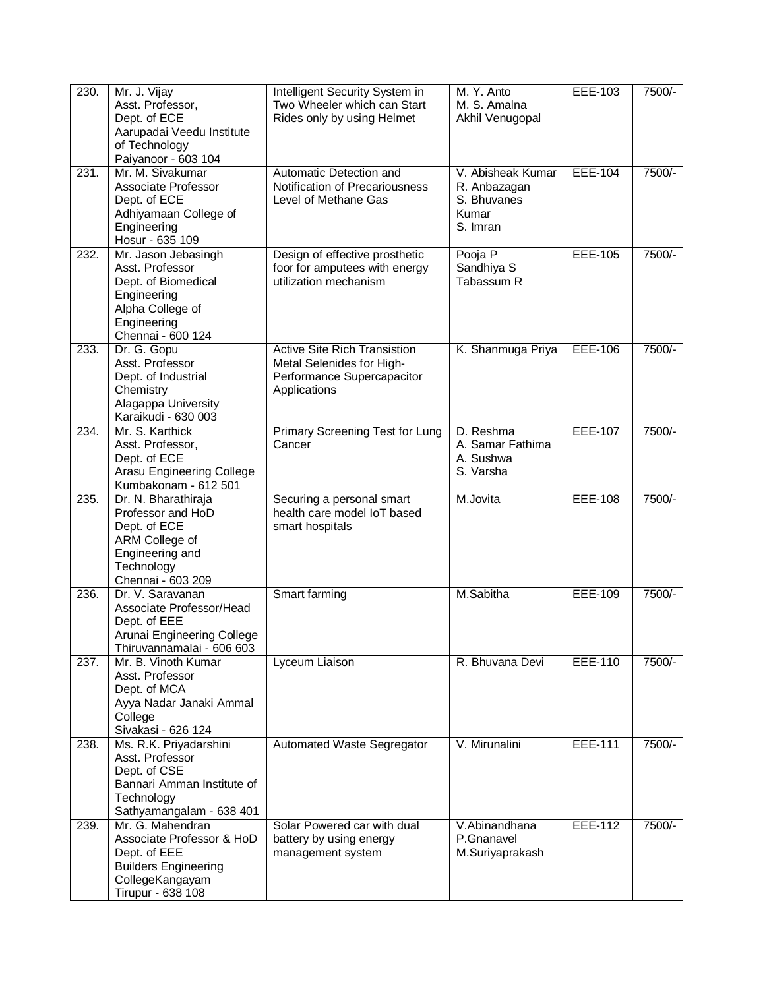| 230. | Mr. J. Vijay<br>Asst. Professor,<br>Dept. of ECE<br>Aarupadai Veedu Institute<br>of Technology<br>Paiyanoor - 603 104                | Intelligent Security System in<br>Two Wheeler which can Start<br>Rides only by using Helmet                    | M. Y. Anto<br>M. S. Amalna<br>Akhil Venugopal                         | EEE-103        | 7500/- |
|------|--------------------------------------------------------------------------------------------------------------------------------------|----------------------------------------------------------------------------------------------------------------|-----------------------------------------------------------------------|----------------|--------|
| 231. | Mr. M. Sivakumar<br>Associate Professor<br>Dept. of ECE<br>Adhiyamaan College of<br>Engineering<br>Hosur - 635 109                   | Automatic Detection and<br>Notification of Precariousness<br>Level of Methane Gas                              | V. Abisheak Kumar<br>R. Anbazagan<br>S. Bhuvanes<br>Kumar<br>S. Imran | <b>EEE-104</b> | 7500/- |
| 232. | Mr. Jason Jebasingh<br>Asst. Professor<br>Dept. of Biomedical<br>Engineering<br>Alpha College of<br>Engineering<br>Chennai - 600 124 | Design of effective prosthetic<br>foor for amputees with energy<br>utilization mechanism                       | Pooja P<br>Sandhiya S<br>Tabassum R                                   | <b>EEE-105</b> | 7500/- |
| 233. | Dr. G. Gopu<br>Asst. Professor<br>Dept. of Industrial<br>Chemistry<br>Alagappa University<br>Karaikudi - 630 003                     | <b>Active Site Rich Transistion</b><br>Metal Selenides for High-<br>Performance Supercapacitor<br>Applications | K. Shanmuga Priya                                                     | <b>EEE-106</b> | 7500/- |
| 234. | Mr. S. Karthick<br>Asst. Professor,<br>Dept. of ECE<br>Arasu Engineering College<br>Kumbakonam - 612 501                             | Primary Screening Test for Lung<br>Cancer                                                                      | D. Reshma<br>A. Samar Fathima<br>A. Sushwa<br>S. Varsha               | <b>EEE-107</b> | 7500/- |
| 235. | Dr. N. Bharathiraja<br>Professor and HoD<br>Dept. of ECE<br>ARM College of<br>Engineering and<br>Technology<br>Chennai - 603 209     | Securing a personal smart<br>health care model IoT based<br>smart hospitals                                    | M.Jovita                                                              | <b>EEE-108</b> | 7500/- |
| 236. | Dr. V. Saravanan<br>Associate Professor/Head<br>Dept. of EEE<br>Arunai Engineering College<br>Thiruvannamalai - 606 603              | Smart farming                                                                                                  | M.Sabitha                                                             | <b>EEE-109</b> | 7500/- |
| 237. | Mr. B. Vinoth Kumar<br>Asst. Professor<br>Dept. of MCA<br>Ayya Nadar Janaki Ammal<br>College<br>Sivakasi - 626 124                   | Lyceum Liaison                                                                                                 | R. Bhuvana Devi                                                       | EEE-110        | 7500/- |
| 238. | Ms. R.K. Priyadarshini<br>Asst. Professor<br>Dept. of CSE<br>Bannari Amman Institute of<br>Technology<br>Sathyamangalam - 638 401    | Automated Waste Segregator                                                                                     | V. Mirunalini                                                         | <b>EEE-111</b> | 7500/- |
| 239. | Mr. G. Mahendran<br>Associate Professor & HoD<br>Dept. of EEE<br><b>Builders Engineering</b><br>CollegeKangayam<br>Tirupur - 638 108 | Solar Powered car with dual<br>battery by using energy<br>management system                                    | V.Abinandhana<br>P.Gnanavel<br>M.Suriyaprakash                        | <b>EEE-112</b> | 7500/- |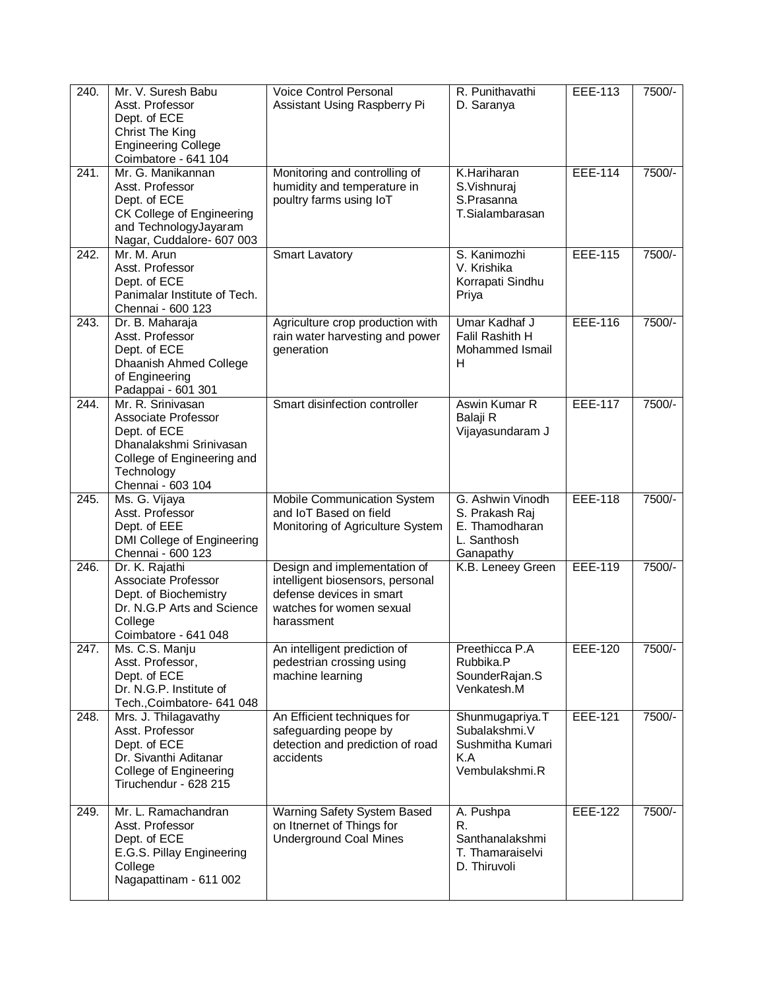| 240.               | Mr. V. Suresh Babu           | <b>Voice Control Personal</b>    | R. Punithavathi   | EEE-113        | 7500/- |
|--------------------|------------------------------|----------------------------------|-------------------|----------------|--------|
|                    | Asst. Professor              | Assistant Using Raspberry Pi     | D. Saranya        |                |        |
|                    | Dept. of ECE                 |                                  |                   |                |        |
|                    | Christ The King              |                                  |                   |                |        |
|                    | <b>Engineering College</b>   |                                  |                   |                |        |
|                    | Coimbatore - 641 104         |                                  |                   |                |        |
| 241.               | Mr. G. Manikannan            | Monitoring and controlling of    | K.Hariharan       | <b>EEE-114</b> | 7500/- |
|                    | Asst. Professor              | humidity and temperature in      | S.Vishnuraj       |                |        |
|                    |                              |                                  |                   |                |        |
|                    | Dept. of ECE                 | poultry farms using IoT          | S.Prasanna        |                |        |
|                    | CK College of Engineering    |                                  | T.Sialambarasan   |                |        |
|                    | and TechnologyJayaram        |                                  |                   |                |        |
|                    | Nagar, Cuddalore- 607 003    |                                  |                   |                |        |
| $\overline{242}$ . | Mr. M. Arun                  | <b>Smart Lavatory</b>            | S. Kanimozhi      | <b>EEE-115</b> | 7500/- |
|                    | Asst. Professor              |                                  | V. Krishika       |                |        |
|                    | Dept. of ECE                 |                                  | Korrapati Sindhu  |                |        |
|                    | Panimalar Institute of Tech. |                                  | Priya             |                |        |
|                    | Chennai - 600 123            |                                  |                   |                |        |
| 243.               | Dr. B. Maharaja              | Agriculture crop production with | Umar Kadhaf J     | <b>EEE-116</b> | 7500/- |
|                    | Asst. Professor              | rain water harvesting and power  | Falil Rashith H   |                |        |
|                    | Dept. of ECE                 | generation                       | Mohammed Ismail   |                |        |
|                    | Dhaanish Ahmed College       |                                  | н                 |                |        |
|                    | of Engineering               |                                  |                   |                |        |
|                    | Padappai - 601 301           |                                  |                   |                |        |
| $\overline{244}$ . | Mr. R. Srinivasan            | Smart disinfection controller    | Aswin Kumar R     | <b>EEE-117</b> | 7500/- |
|                    | Associate Professor          |                                  | Balaji R          |                |        |
|                    | Dept. of ECE                 |                                  | Vijayasundaram J  |                |        |
|                    | Dhanalakshmi Srinivasan      |                                  |                   |                |        |
|                    |                              |                                  |                   |                |        |
|                    | College of Engineering and   |                                  |                   |                |        |
|                    | Technology                   |                                  |                   |                |        |
|                    | Chennai - 603 104            |                                  |                   |                |        |
|                    |                              |                                  |                   |                |        |
| 245.               | Ms. G. Vijaya                | Mobile Communication System      | G. Ashwin Vinodh  | <b>EEE-118</b> | 7500/- |
|                    | Asst. Professor              | and IoT Based on field           | S. Prakash Raj    |                |        |
|                    | Dept. of EEE                 | Monitoring of Agriculture System | E. Thamodharan    |                |        |
|                    | DMI College of Engineering   |                                  | L. Santhosh       |                |        |
|                    | Chennai - 600 123            |                                  | Ganapathy         |                |        |
| $\overline{246}$ . | Dr. K. Rajathi               | Design and implementation of     | K.B. Leneey Green | <b>EEE-119</b> | 7500/- |
|                    | Associate Professor          | intelligent biosensors, personal |                   |                |        |
|                    | Dept. of Biochemistry        | defense devices in smart         |                   |                |        |
|                    | Dr. N.G.P Arts and Science   | watches for women sexual         |                   |                |        |
|                    | College                      | harassment                       |                   |                |        |
|                    | Coimbatore - 641 048         |                                  |                   |                |        |
|                    |                              |                                  |                   |                |        |
| $\overline{247}$ . | Ms. C.S. Manju               | An intelligent prediction of     | Preethicca P.A    | <b>EEE-120</b> | 7500/- |
|                    | Asst. Professor,             | pedestrian crossing using        | Rubbika.P         |                |        |
|                    | Dept. of ECE                 | machine learning                 | SounderRajan.S    |                |        |
|                    | Dr. N.G.P. Institute of      |                                  | Venkatesh.M       |                |        |
|                    | Tech., Coimbatore- 641 048   |                                  |                   |                |        |
| 248.               | Mrs. J. Thilagavathy         | An Efficient techniques for      | Shunmugapriya.T   | EEE-121        | 7500/- |
|                    | Asst. Professor              | safeguarding peope by            | Subalakshmi.V     |                |        |
|                    | Dept. of ECE                 | detection and prediction of road | Sushmitha Kumari  |                |        |
|                    | Dr. Sivanthi Aditanar        | accidents                        | K.A               |                |        |
|                    | College of Engineering       |                                  | Vembulakshmi.R    |                |        |
|                    | Tiruchendur - 628 215        |                                  |                   |                |        |
|                    |                              |                                  |                   |                |        |
| 249.               | Mr. L. Ramachandran          | Warning Safety System Based      | A. Pushpa         | <b>EEE-122</b> | 7500/- |
|                    | Asst. Professor              | on Itnernet of Things for        | R.                |                |        |
|                    | Dept. of ECE                 | <b>Underground Coal Mines</b>    | Santhanalakshmi   |                |        |
|                    | E.G.S. Pillay Engineering    |                                  | T. Thamaraiselvi  |                |        |
|                    | College                      |                                  | D. Thiruvoli      |                |        |
|                    | Nagapattinam - 611 002       |                                  |                   |                |        |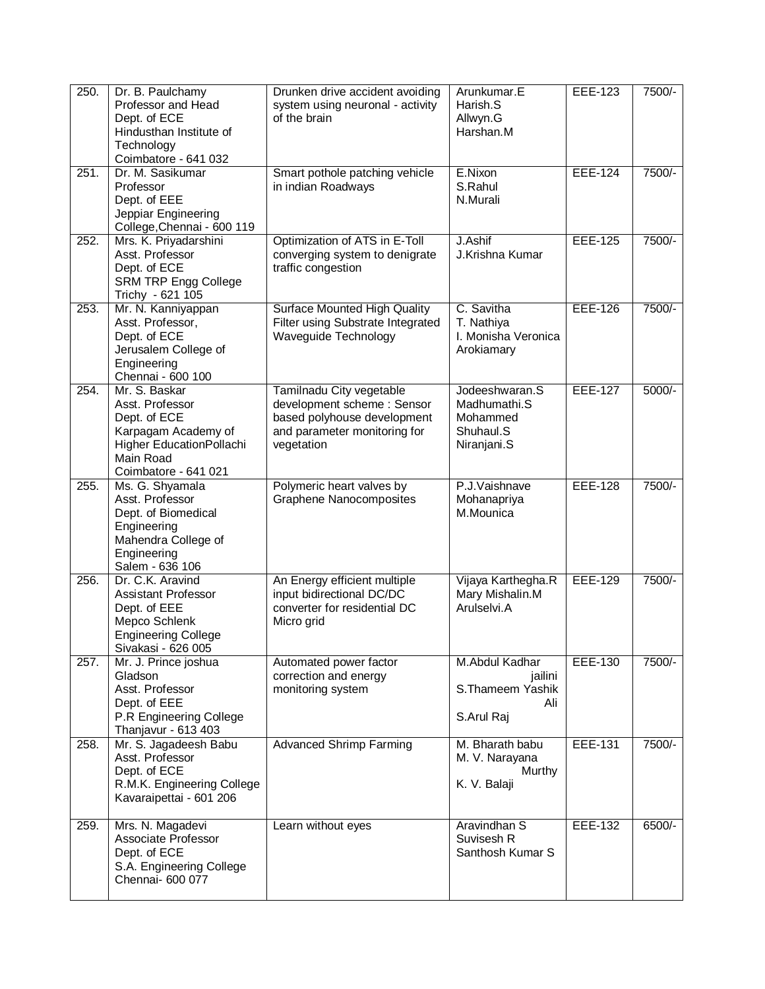| 250. | Dr. B. Paulchamy<br>Professor and Head<br>Dept. of ECE<br>Hindusthan Institute of<br>Technology<br>Coimbatore - 641 032                  | Drunken drive accident avoiding<br>system using neuronal - activity<br>of the brain                                                 | Arunkumar.E<br>Harish.S<br>Allwyn.G<br>Harshan.M                       | <b>EEE-123</b> | 7500/- |
|------|------------------------------------------------------------------------------------------------------------------------------------------|-------------------------------------------------------------------------------------------------------------------------------------|------------------------------------------------------------------------|----------------|--------|
| 251. | Dr. M. Sasikumar<br>Professor<br>Dept. of EEE<br>Jeppiar Engineering<br>College, Chennai - 600 119                                       | Smart pothole patching vehicle<br>in indian Roadways                                                                                | E.Nixon<br>S.Rahul<br>N.Murali                                         | EEE-124        | 7500/- |
| 252. | Mrs. K. Priyadarshini<br>Asst. Professor<br>Dept. of ECE<br>SRM TRP Engg College<br>Trichy - 621 105                                     | Optimization of ATS in E-Toll<br>converging system to denigrate<br>traffic congestion                                               | J.Ashif<br>J.Krishna Kumar                                             | EEE-125        | 7500/- |
| 253. | Mr. N. Kanniyappan<br>Asst. Professor,<br>Dept. of ECE<br>Jerusalem College of<br>Engineering<br>Chennai - 600 100                       | <b>Surface Mounted High Quality</b><br>Filter using Substrate Integrated<br>Waveguide Technology                                    | C. Savitha<br>T. Nathiya<br>I. Monisha Veronica<br>Arokiamary          | <b>EEE-126</b> | 7500/- |
| 254. | Mr. S. Baskar<br>Asst. Professor<br>Dept. of ECE<br>Karpagam Academy of<br>Higher EducationPollachi<br>Main Road<br>Coimbatore - 641 021 | Tamilnadu City vegetable<br>development scheme: Sensor<br>based polyhouse development<br>and parameter monitoring for<br>vegetation | Jodeeshwaran.S<br>Madhumathi.S<br>Mohammed<br>Shuhaul.S<br>Niranjani.S | <b>EEE-127</b> | 5000/- |
| 255. | Ms. G. Shyamala<br>Asst. Professor<br>Dept. of Biomedical<br>Engineering<br>Mahendra College of<br>Engineering<br>Salem - 636 106        | Polymeric heart valves by<br><b>Graphene Nanocomposites</b>                                                                         | P.J.Vaishnave<br>Mohanapriya<br>M.Mounica                              | <b>EEE-128</b> | 7500/- |
| 256. | Dr. C.K. Aravind<br><b>Assistant Professor</b><br>Dept. of EEE<br>Mepco Schlenk<br><b>Engineering College</b><br>Sivakasi - 626 005      | An Energy efficient multiple<br>input bidirectional DC/DC<br>converter for residential DC<br>Micro grid                             | Vijaya Karthegha.R<br>Mary Mishalin.M<br>Arulselvi.A                   | <b>EEE-129</b> | 7500/- |
| 257. | Mr. J. Prince joshua<br>Gladson<br>Asst. Professor<br>Dept. of EEE<br>P.R Engineering College<br>Thanjavur - 613 403                     | Automated power factor<br>correction and energy<br>monitoring system                                                                | M.Abdul Kadhar<br>jailini<br>S. Thameem Yashik<br>Ali<br>S.Arul Raj    | EEE-130        | 7500/- |
| 258. | Mr. S. Jagadeesh Babu<br>Asst. Professor<br>Dept. of ECE<br>R.M.K. Engineering College<br>Kavaraipettai - 601 206                        | <b>Advanced Shrimp Farming</b>                                                                                                      | M. Bharath babu<br>M. V. Narayana<br>Murthy<br>K. V. Balaji            | EEE-131        | 7500/- |
| 259. | Mrs. N. Magadevi<br>Associate Professor<br>Dept. of ECE<br>S.A. Engineering College<br>Chennai- 600 077                                  | Learn without eyes                                                                                                                  | Aravindhan S<br>Suvisesh R<br>Santhosh Kumar S                         | <b>EEE-132</b> | 6500/- |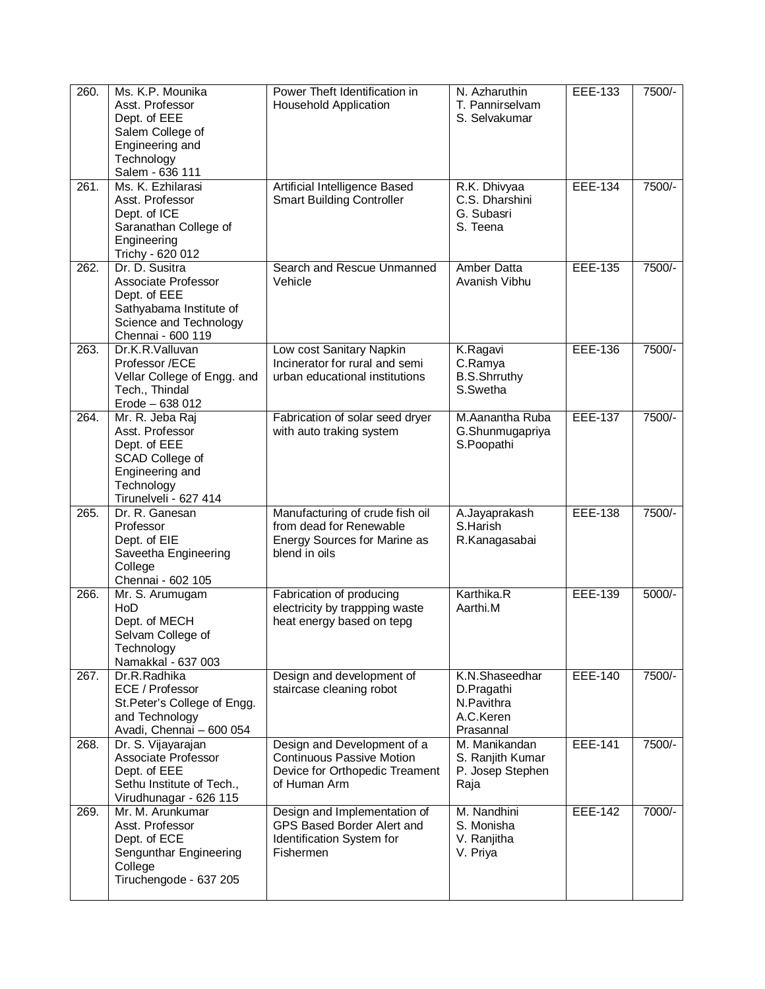| 260. | Ms. K.P. Mounika<br>Asst. Professor<br>Dept. of EEE<br>Salem College of<br>Engineering and<br>Technology<br>Salem - 636 111     | Power Theft Identification in<br><b>Household Application</b>                                                     | N. Azharuthin<br>T. Pannirselvam<br>S. Selvakumar                    | EEE-133        | 7500/-   |
|------|---------------------------------------------------------------------------------------------------------------------------------|-------------------------------------------------------------------------------------------------------------------|----------------------------------------------------------------------|----------------|----------|
| 261. | Ms. K. Ezhilarasi<br>Asst. Professor<br>Dept. of ICE<br>Saranathan College of<br>Engineering<br>Trichy - 620 012                | Artificial Intelligence Based<br><b>Smart Building Controller</b>                                                 | R.K. Dhivyaa<br>C.S. Dharshini<br>G. Subasri<br>S. Teena             | <b>EEE-134</b> | 7500/-   |
| 262. | Dr. D. Susitra<br>Associate Professor<br>Dept. of EEE<br>Sathyabama Institute of<br>Science and Technology<br>Chennai - 600 119 | Search and Rescue Unmanned<br>Vehicle                                                                             | <b>Amber Datta</b><br>Avanish Vibhu                                  | <b>EEE-135</b> | 7500/-   |
| 263. | Dr.K.R.Valluvan<br>Professor /ECE<br>Vellar College of Engg. and<br>Tech., Thindal<br>Erode - 638 012                           | Low cost Sanitary Napkin<br>Incinerator for rural and semi<br>urban educational institutions                      | K.Ragavi<br>C.Ramya<br><b>B.S.Shrruthy</b><br>S.Swetha               | <b>EEE-136</b> | 7500/-   |
| 264. | Mr. R. Jeba Raj<br>Asst. Professor<br>Dept. of EEE<br>SCAD College of<br>Engineering and<br>Technology<br>Tirunelveli - 627 414 | Fabrication of solar seed dryer<br>with auto traking system                                                       | M.Aanantha Ruba<br>G.Shunmugapriya<br>S.Poopathi                     | <b>EEE-137</b> | $7500/-$ |
| 265. | Dr. R. Ganesan<br>Professor<br>Dept. of EIE<br>Saveetha Engineering<br>College<br>Chennai - 602 105                             | Manufacturing of crude fish oil<br>from dead for Renewable<br>Energy Sources for Marine as<br>blend in oils       | A.Jayaprakash<br>S.Harish<br>R.Kanagasabai                           | <b>EEE-138</b> | 7500/-   |
| 266. | Mr. S. Arumugam<br>HoD<br>Dept. of MECH<br>Selvam College of<br>Technology<br>Namakkal - 637 003                                | Fabrication of producing<br>electricity by trappping waste<br>heat energy based on tepg                           | Karthika.R<br>Aarthi.M                                               | <b>EEE-139</b> | $5000/-$ |
| 267. | Dr.R.Radhika<br>ECE / Professor<br>St.Peter's College of Engg.<br>and Technology<br>Avadi, Chennai - 600 054                    | Design and development of<br>staircase cleaning robot                                                             | K.N.Shaseedhar<br>D.Pragathi<br>N.Pavithra<br>A.C.Keren<br>Prasannal | EEE-140        | 7500/-   |
| 268. | Dr. S. Vijayarajan<br>Associate Professor<br>Dept. of EEE<br>Sethu Institute of Tech.,<br>Virudhunagar - 626 115                | Design and Development of a<br><b>Continuous Passive Motion</b><br>Device for Orthopedic Treament<br>of Human Arm | M. Manikandan<br>S. Ranjith Kumar<br>P. Josep Stephen<br>Raja        | <b>EEE-141</b> | 7500/-   |
| 269. | Mr. M. Arunkumar<br>Asst. Professor<br>Dept. of ECE<br>Sengunthar Engineering<br>College<br>Tiruchengode - 637 205              | Design and Implementation of<br>GPS Based Border Alert and<br>Identification System for<br>Fishermen              | M. Nandhini<br>S. Monisha<br>V. Ranjitha<br>V. Priya                 | EEE-142        | 7000/-   |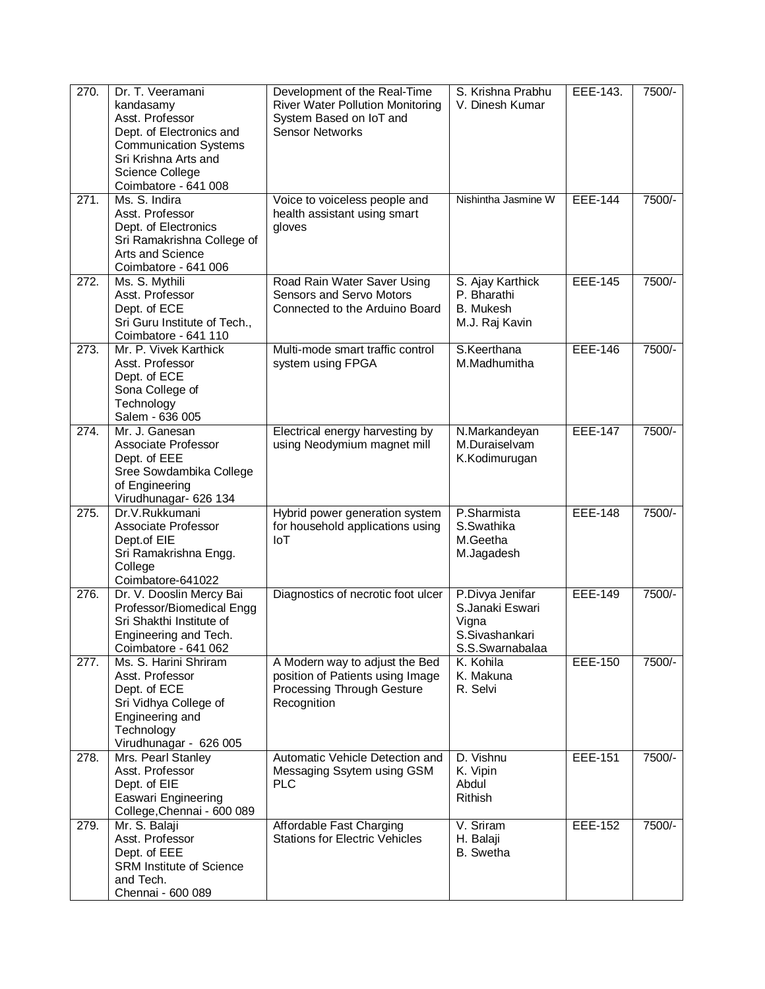| 270.               | Dr. T. Veeramani<br>kandasamy<br>Asst. Professor<br>Dept. of Electronics and<br><b>Communication Systems</b><br>Sri Krishna Arts and<br>Science College<br>Coimbatore - 641 008 | Development of the Real-Time<br><b>River Water Pollution Monitoring</b><br>System Based on IoT and<br><b>Sensor Networks</b> | S. Krishna Prabhu<br>V. Dinesh Kumar                                             | EEE-143.       | 7500/- |
|--------------------|---------------------------------------------------------------------------------------------------------------------------------------------------------------------------------|------------------------------------------------------------------------------------------------------------------------------|----------------------------------------------------------------------------------|----------------|--------|
| 271.               | Ms. S. Indira<br>Asst. Professor<br>Dept. of Electronics<br>Sri Ramakrishna College of<br>Arts and Science<br>Coimbatore - 641 006                                              | Voice to voiceless people and<br>health assistant using smart<br>gloves                                                      | Nishintha Jasmine W                                                              | <b>EEE-144</b> | 7500/- |
| 272.               | Ms. S. Mythili<br>Asst. Professor<br>Dept. of ECE<br>Sri Guru Institute of Tech.,<br>Coimbatore - 641 110                                                                       | Road Rain Water Saver Using<br>Sensors and Servo Motors<br>Connected to the Arduino Board                                    | S. Ajay Karthick<br>P. Bharathi<br><b>B.</b> Mukesh<br>M.J. Raj Kavin            | <b>EEE-145</b> | 7500/- |
| $\overline{273}$ . | Mr. P. Vivek Karthick<br>Asst. Professor<br>Dept. of ECE<br>Sona College of<br>Technology<br>Salem - 636 005                                                                    | Multi-mode smart traffic control<br>system using FPGA                                                                        | S.Keerthana<br>M.Madhumitha                                                      | <b>EEE-146</b> | 7500/- |
| 274.               | Mr. J. Ganesan<br>Associate Professor<br>Dept. of EEE<br>Sree Sowdambika College<br>of Engineering<br>Virudhunagar- 626 134                                                     | Electrical energy harvesting by<br>using Neodymium magnet mill                                                               | N.Markandeyan<br>M.Duraiselvam<br>K.Kodimurugan                                  | <b>EEE-147</b> | 7500/- |
| 275.               | Dr.V.Rukkumani<br>Associate Professor<br>Dept.of EIE<br>Sri Ramakrishna Engg.<br>College<br>Coimbatore-641022                                                                   | Hybrid power generation system<br>for household applications using<br>IoT                                                    | P.Sharmista<br>S.Swathika<br>M.Geetha<br>M.Jagadesh                              | <b>EEE-148</b> | 7500/- |
| $\overline{276}$ . | Dr. V. Dooslin Mercy Bai<br>Professor/Biomedical Engg<br>Sri Shakthi Institute of<br>Engineering and Tech.<br>Coimbatore - 641 062                                              | Diagnostics of necrotic foot ulcer                                                                                           | P.Divya Jenifar<br>S.Janaki Eswari<br>Vigna<br>S.Sivashankari<br>S.S.Swarnabalaa | <b>EEE-149</b> | 7500/- |
| 277.               | Ms. S. Harini Shriram<br>Asst. Professor<br>Dept. of ECE<br>Sri Vidhya College of<br>Engineering and<br>Technology<br>Virudhunagar - 626 005                                    | A Modern way to adjust the Bed<br>position of Patients using Image<br>Processing Through Gesture<br>Recognition              | K. Kohila<br>K. Makuna<br>R. Selvi                                               | EEE-150        | 7500/- |
| 278.               | Mrs. Pearl Stanley<br>Asst. Professor<br>Dept. of EIE<br>Easwari Engineering<br>College, Chennai - 600 089                                                                      | Automatic Vehicle Detection and<br>Messaging Ssytem using GSM<br><b>PLC</b>                                                  | D. Vishnu<br>K. Vipin<br>Abdul<br><b>Rithish</b>                                 | <b>EEE-151</b> | 7500/- |
| 279.               | Mr. S. Balaji<br>Asst. Professor<br>Dept. of EEE<br><b>SRM Institute of Science</b><br>and Tech.<br>Chennai - 600 089                                                           | Affordable Fast Charging<br><b>Stations for Electric Vehicles</b>                                                            | V. Sriram<br>H. Balaji<br><b>B.</b> Swetha                                       | <b>EEE-152</b> | 7500/- |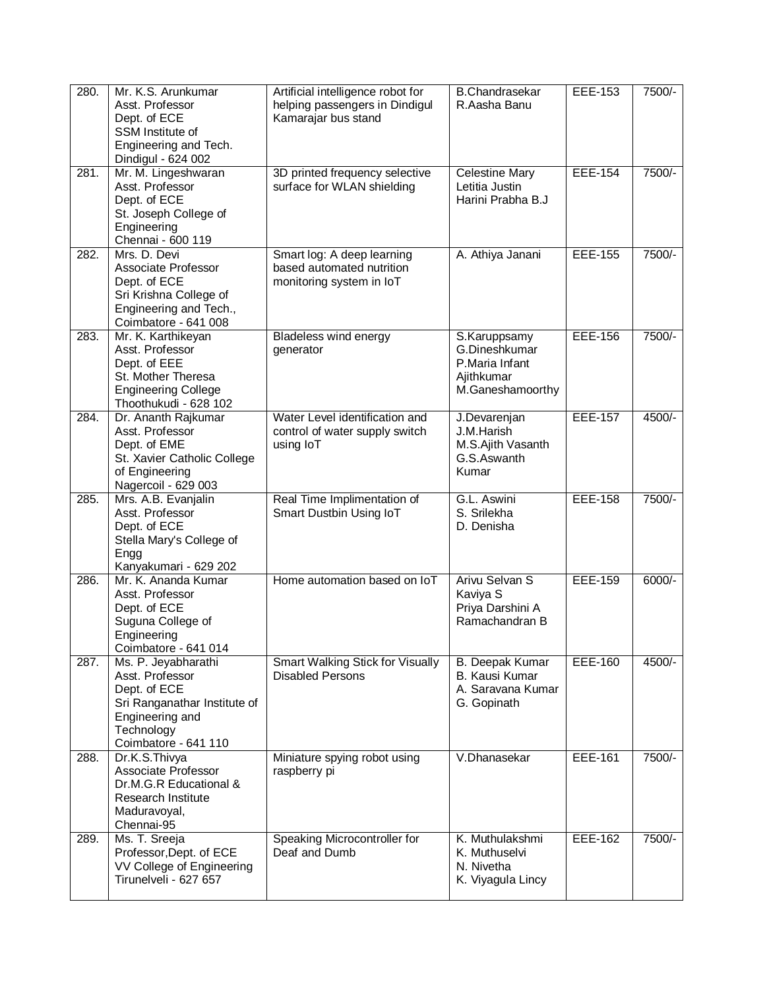| 280. | Mr. K.S. Arunkumar<br>Asst. Professor<br>Dept. of ECE<br>SSM Institute of<br>Engineering and Tech.<br>Dindigul - 624 002                        | Artificial intelligence robot for<br>helping passengers in Dindigul<br>Kamarajar bus stand | <b>B.Chandrasekar</b><br>R.Aasha Banu                                             | EEE-153        | 7500/-   |
|------|-------------------------------------------------------------------------------------------------------------------------------------------------|--------------------------------------------------------------------------------------------|-----------------------------------------------------------------------------------|----------------|----------|
| 281. | Mr. M. Lingeshwaran<br>Asst. Professor<br>Dept. of ECE<br>St. Joseph College of<br>Engineering<br>Chennai - 600 119                             | 3D printed frequency selective<br>surface for WLAN shielding                               | <b>Celestine Mary</b><br>Letitia Justin<br>Harini Prabha B.J                      | <b>EEE-154</b> | 7500/-   |
| 282. | Mrs. D. Devi<br>Associate Professor<br>Dept. of ECE<br>Sri Krishna College of<br>Engineering and Tech.,<br>Coimbatore - 641 008                 | Smart log: A deep learning<br>based automated nutrition<br>monitoring system in IoT        | A. Athiya Janani                                                                  | <b>EEE-155</b> | 7500/-   |
| 283. | Mr. K. Karthikeyan<br>Asst. Professor<br>Dept. of EEE<br>St. Mother Theresa<br><b>Engineering College</b><br>Thoothukudi - 628 102              | <b>Bladeless wind energy</b><br>generator                                                  | S.Karuppsamy<br>G.Dineshkumar<br>P.Maria Infant<br>Ajithkumar<br>M.Ganeshamoorthy | <b>EEE-156</b> | 7500/-   |
| 284. | Dr. Ananth Rajkumar<br>Asst. Professor<br>Dept. of EME<br>St. Xavier Catholic College<br>of Engineering<br>Nagercoil - 629 003                  | Water Level identification and<br>control of water supply switch<br>using IoT              | J.Devarenjan<br>J.M.Harish<br>M.S.Ajith Vasanth<br>G.S.Aswanth<br>Kumar           | <b>EEE-157</b> | $4500/-$ |
| 285. | Mrs. A.B. Evanjalin<br>Asst. Professor<br>Dept. of ECE<br>Stella Mary's College of<br>Engg<br>Kanyakumari - 629 202                             | Real Time Implimentation of<br>Smart Dustbin Using IoT                                     | G.L. Aswini<br>S. Srilekha<br>D. Denisha                                          | <b>EEE-158</b> | 7500/-   |
| 286. | Mr. K. Ananda Kumar<br>Asst. Professor<br>Dept. of ECE<br>Suguna College of<br>Engineering<br>Coimbatore - 641 014                              | Home automation based on IoT                                                               | Arivu Selvan S<br>Kaviya S<br>Priya Darshini A<br>Ramachandran B                  | <b>EEE-159</b> | 6000/-   |
| 287. | Ms. P. Jeyabharathi<br>Asst. Professor<br>Dept. of ECE<br>Sri Ranganathar Institute of<br>Engineering and<br>Technology<br>Coimbatore - 641 110 | <b>Smart Walking Stick for Visually</b><br><b>Disabled Persons</b>                         | B. Deepak Kumar<br>B. Kausi Kumar<br>A. Saravana Kumar<br>G. Gopinath             | <b>EEE-160</b> | 4500/-   |
| 288. | Dr.K.S.Thivya<br>Associate Professor<br>Dr.M.G.R Educational &<br>Research Institute<br>Maduravoyal,<br>Chennai-95                              | Miniature spying robot using<br>raspberry pi                                               | V.Dhanasekar                                                                      | EEE-161        | 7500/-   |
| 289. | Ms. T. Sreeja<br>Professor, Dept. of ECE<br>VV College of Engineering<br>Tirunelveli - 627 657                                                  | Speaking Microcontroller for<br>Deaf and Dumb                                              | K. Muthulakshmi<br>K. Muthuselvi<br>N. Nivetha<br>K. Viyagula Lincy               | EEE-162        | 7500/-   |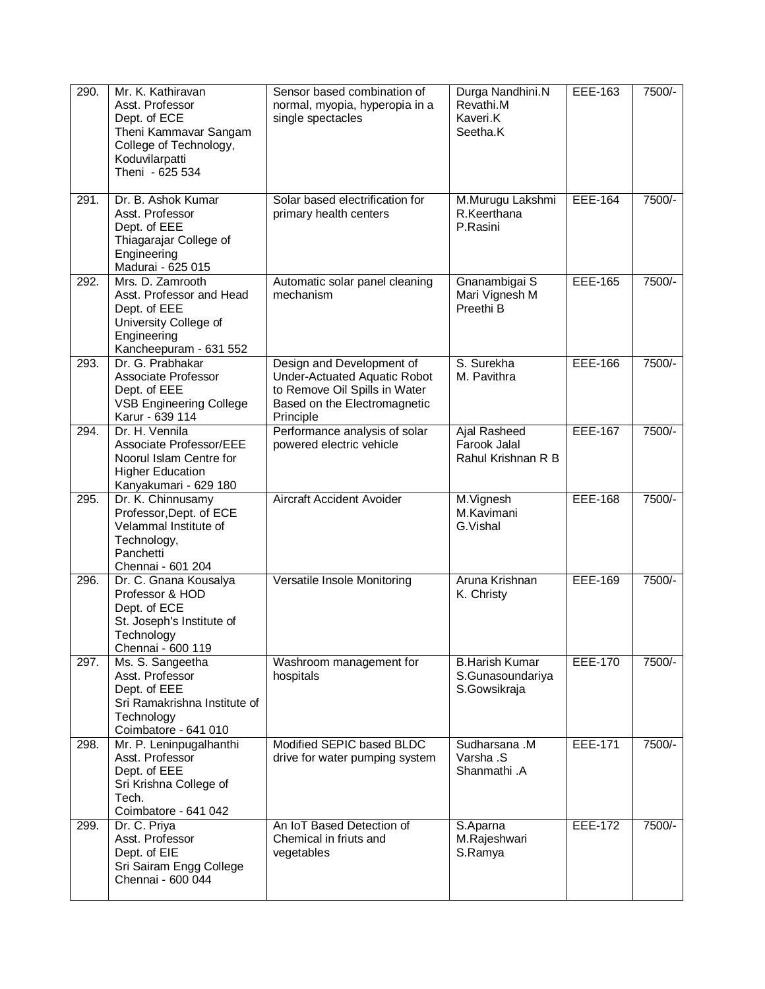| 290. | Mr. K. Kathiravan<br>Asst. Professor<br>Dept. of ECE<br>Theni Kammavar Sangam<br>College of Technology,<br>Koduvilarpatti<br>Theni - 625 534 | Sensor based combination of<br>normal, myopia, hyperopia in a<br>single spectacles                                                             | Durga Nandhini.N<br>Revathi.M<br>Kaveri.K<br>Seetha.K     | EEE-163        | 7500/- |
|------|----------------------------------------------------------------------------------------------------------------------------------------------|------------------------------------------------------------------------------------------------------------------------------------------------|-----------------------------------------------------------|----------------|--------|
| 291. | Dr. B. Ashok Kumar<br>Asst. Professor<br>Dept. of EEE<br>Thiagarajar College of<br>Engineering<br>Madurai - 625 015                          | Solar based electrification for<br>primary health centers                                                                                      | M.Murugu Lakshmi<br>R.Keerthana<br>P.Rasini               | <b>EEE-164</b> | 7500/- |
| 292. | Mrs. D. Zamrooth<br>Asst. Professor and Head<br>Dept. of EEE<br>University College of<br>Engineering<br>Kancheepuram - 631 552               | Automatic solar panel cleaning<br>mechanism                                                                                                    | Gnanambigai S<br>Mari Vignesh M<br>Preethi B              | <b>EEE-165</b> | 7500/- |
| 293. | Dr. G. Prabhakar<br>Associate Professor<br>Dept. of EEE<br><b>VSB Engineering College</b><br>Karur - 639 114                                 | Design and Development of<br><b>Under-Actuated Aquatic Robot</b><br>to Remove Oil Spills in Water<br>Based on the Electromagnetic<br>Principle | S. Surekha<br>M. Pavithra                                 | EEE-166        | 7500/- |
| 294. | Dr. H. Vennila<br>Associate Professor/EEE<br>Noorul Islam Centre for<br><b>Higher Education</b><br>Kanyakumari - 629 180                     | Performance analysis of solar<br>powered electric vehicle                                                                                      | <b>Ajal Rasheed</b><br>Farook Jalal<br>Rahul Krishnan R B | <b>EEE-167</b> | 7500/- |
| 295. | Dr. K. Chinnusamy<br>Professor, Dept. of ECE<br>Velammal Institute of<br>Technology,<br>Panchetti<br>Chennai - 601 204                       | Aircraft Accident Avoider                                                                                                                      | M.Vignesh<br>M.Kavimani<br>G.Vishal                       | <b>EEE-168</b> | 7500/- |
| 296. | Dr. C. Gnana Kousalya<br>Professor & HOD<br>Dept. of ECE<br>St. Joseph's Institute of<br>Technology<br>Chennai - 600 119                     | Versatile Insole Monitoring                                                                                                                    | Aruna Krishnan<br>K. Christy                              | <b>EEE-169</b> | 7500/- |
| 297. | Ms. S. Sangeetha<br>Asst. Professor<br>Dept. of EEE<br>Sri Ramakrishna Institute of<br>Technology<br>Coimbatore - 641 010                    | Washroom management for<br>hospitals                                                                                                           | <b>B.Harish Kumar</b><br>S.Gunasoundariya<br>S.Gowsikraja | <b>EEE-170</b> | 7500/- |
| 298. | Mr. P. Leninpugalhanthi<br>Asst. Professor<br>Dept. of EEE<br>Sri Krishna College of<br>Tech.<br>Coimbatore - 641 042                        | Modified SEPIC based BLDC<br>drive for water pumping system                                                                                    | Sudharsana .M<br>Varsha .S<br>Shanmathi .A                | <b>EEE-171</b> | 7500/- |
| 299. | Dr. C. Priya<br>Asst. Professor<br>Dept. of EIE<br>Sri Sairam Engg College<br>Chennai - 600 044                                              | An IoT Based Detection of<br>Chemical in friuts and<br>vegetables                                                                              | S. Aparna<br>M.Rajeshwari<br>S.Ramya                      | <b>EEE-172</b> | 7500/- |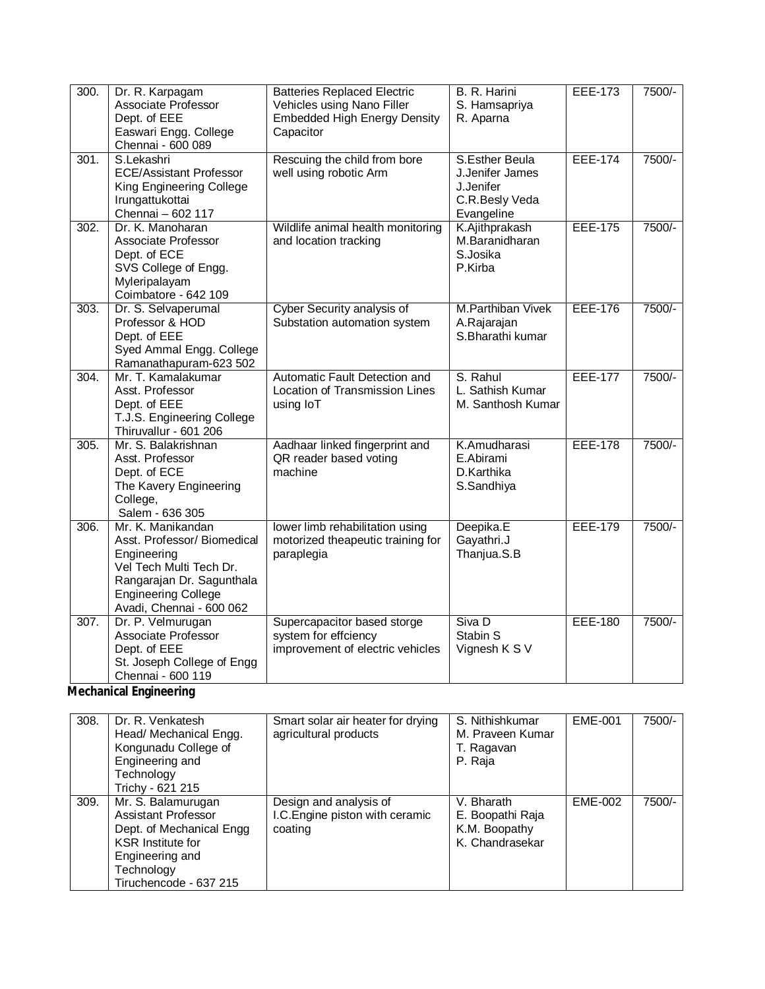| 300.               | Dr. R. Karpagam<br>Associate Professor<br>Dept. of EEE<br>Easwari Engg. College<br>Chennai - 600 089                                                                              | <b>Batteries Replaced Electric</b><br>Vehicles using Nano Filler<br><b>Embedded High Energy Density</b><br>Capacitor | B. R. Harini<br>S. Hamsapriya<br>R. Aparna                                     | <b>EEE-173</b> | 7500/- |
|--------------------|-----------------------------------------------------------------------------------------------------------------------------------------------------------------------------------|----------------------------------------------------------------------------------------------------------------------|--------------------------------------------------------------------------------|----------------|--------|
| 301.               | S.Lekashri<br><b>ECE/Assistant Professor</b><br>King Engineering College<br>Irungattukottai<br>Chennai - 602 117                                                                  | Rescuing the child from bore<br>well using robotic Arm                                                               | S.Esther Beula<br>J.Jenifer James<br>J.Jenifer<br>C.R.Besly Veda<br>Evangeline | <b>EEE-174</b> | 7500/- |
| 302.               | Dr. K. Manoharan<br>Associate Professor<br>Dept. of ECE<br>SVS College of Engg.<br>Myleripalayam<br>Coimbatore - 642 109                                                          | Wildlife animal health monitoring<br>and location tracking                                                           | K.Ajithprakash<br>M.Baranidharan<br>S.Josika<br>P.Kirba                        | <b>EEE-175</b> | 7500/- |
| 303.               | Dr. S. Selvaperumal<br>Professor & HOD<br>Dept. of EEE<br>Syed Ammal Engg. College<br>Ramanathapuram-623 502                                                                      | Cyber Security analysis of<br>Substation automation system                                                           | <b>M.Parthiban Vivek</b><br>A.Rajarajan<br>S.Bharathi kumar                    | <b>EEE-176</b> | 7500/- |
| 304.               | Mr. T. Kamalakumar<br>Asst. Professor<br>Dept. of EEE<br>T.J.S. Engineering College<br>Thiruvallur - 601 206                                                                      | Automatic Fault Detection and<br>Location of Transmission Lines<br>using IoT                                         | S. Rahul<br>L. Sathish Kumar<br>M. Santhosh Kumar                              | <b>EEE-177</b> | 7500/- |
| 305.               | Mr. S. Balakrishnan<br>Asst. Professor<br>Dept. of ECE<br>The Kavery Engineering<br>College,<br>Salem - 636 305                                                                   | Aadhaar linked fingerprint and<br>QR reader based voting<br>machine                                                  | K.Amudharasi<br>E.Abirami<br>D.Karthika<br>S.Sandhiya                          | <b>EEE-178</b> | 7500/- |
| 306.               | Mr. K. Manikandan<br>Asst. Professor/ Biomedical<br>Engineering<br>Vel Tech Multi Tech Dr.<br>Rangarajan Dr. Sagunthala<br><b>Engineering College</b><br>Avadi, Chennai - 600 062 | lower limb rehabilitation using<br>motorized theapeutic training for<br>paraplegia                                   | Deepika.E<br>Gayathri.J<br>Thanjua.S.B                                         | <b>EEE-179</b> | 7500/- |
| $\overline{307}$ . | Dr. P. Velmurugan<br>Associate Professor<br>Dept. of EEE<br>St. Joseph College of Engg<br>Chennai - 600 119                                                                       | Supercapacitor based storge<br>system for effciency<br>improvement of electric vehicles                              | Siva D<br>Stabin S<br>Vignesh K S V                                            | <b>EEE-180</b> | 7500/- |

# **Mechanical Engineering**

| 308. | Dr. R. Venkatesh<br>Head/ Mechanical Engg.<br>Kongunadu College of<br>Engineering and<br>Technology<br>Trichy - 621 215                                      | Smart solar air heater for drying<br>agricultural products           | S. Nithishkumar<br>M. Praveen Kumar<br>T. Ragavan<br>P. Raja       | EME-001 | 7500/- |
|------|--------------------------------------------------------------------------------------------------------------------------------------------------------------|----------------------------------------------------------------------|--------------------------------------------------------------------|---------|--------|
| 309. | Mr. S. Balamurugan<br>Assistant Professor<br>Dept. of Mechanical Engg<br><b>KSR</b> Institute for<br>Engineering and<br>Technology<br>Tiruchencode - 637 215 | Design and analysis of<br>I.C. Engine piston with ceramic<br>coating | V. Bharath<br>E. Boopathi Raja<br>K.M. Boopathy<br>K. Chandrasekar | EME-002 | 7500/- |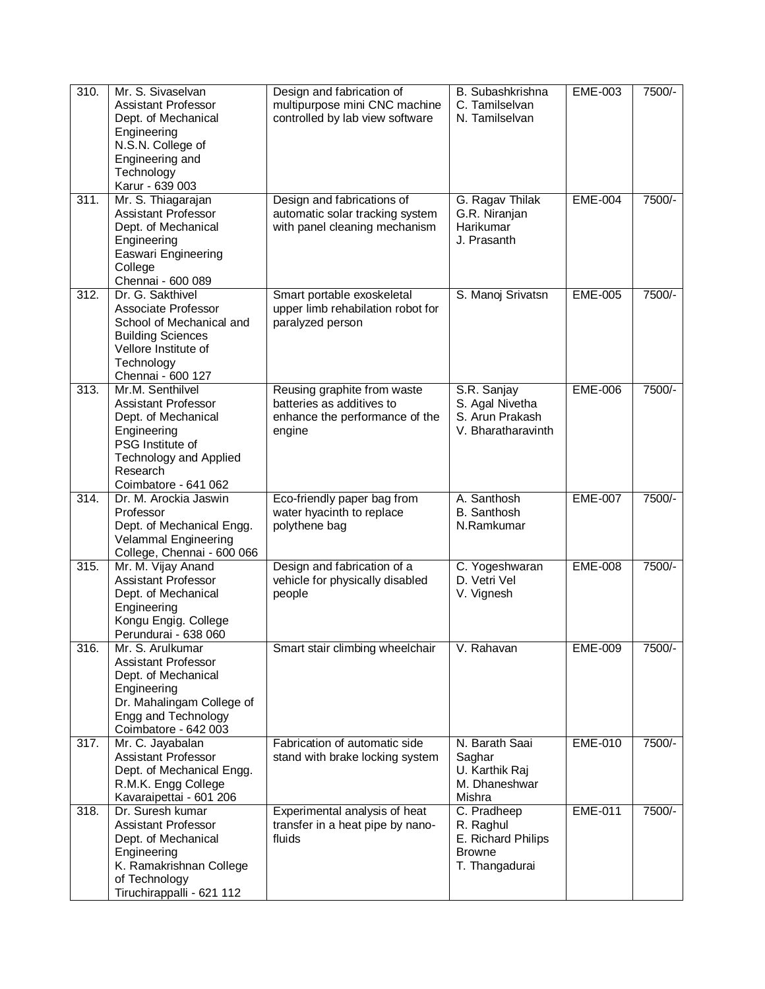| 310. | Mr. S. Sivaselvan<br><b>Assistant Professor</b><br>Dept. of Mechanical<br>Engineering<br>N.S.N. College of<br>Engineering and<br>Technology<br>Karur - 639 003                | Design and fabrication of<br>multipurpose mini CNC machine<br>controlled by lab view software        | B. Subashkrishna<br>C. Tamilselvan<br>N. Tamilselvan                              | <b>EME-003</b> | 7500/- |
|------|-------------------------------------------------------------------------------------------------------------------------------------------------------------------------------|------------------------------------------------------------------------------------------------------|-----------------------------------------------------------------------------------|----------------|--------|
| 311. | Mr. S. Thiagarajan<br><b>Assistant Professor</b><br>Dept. of Mechanical<br>Engineering<br>Easwari Engineering<br>College<br>Chennai - 600 089                                 | Design and fabrications of<br>automatic solar tracking system<br>with panel cleaning mechanism       | G. Ragav Thilak<br>G.R. Niranjan<br>Harikumar<br>J. Prasanth                      | <b>EME-004</b> | 7500/- |
| 312. | Dr. G. Sakthivel<br>Associate Professor<br>School of Mechanical and<br><b>Building Sciences</b><br>Vellore Institute of<br>Technology<br>Chennai - 600 127                    | Smart portable exoskeletal<br>upper limb rehabilation robot for<br>paralyzed person                  | S. Manoj Srivatsn                                                                 | <b>EME-005</b> | 7500/- |
| 313. | Mr.M. Senthilvel<br><b>Assistant Professor</b><br>Dept. of Mechanical<br>Engineering<br>PSG Institute of<br><b>Technology and Applied</b><br>Research<br>Coimbatore - 641 062 | Reusing graphite from waste<br>batteries as additives to<br>enhance the performance of the<br>engine | S.R. Sanjay<br>S. Agal Nivetha<br>S. Arun Prakash<br>V. Bharatharavinth           | <b>EME-006</b> | 7500/- |
| 314. | Dr. M. Arockia Jaswin<br>Professor<br>Dept. of Mechanical Engg.<br>Velammal Engineering<br>College, Chennai - 600 066                                                         | Eco-friendly paper bag from<br>water hyacinth to replace<br>polythene bag                            | A. Santhosh<br>B. Santhosh<br>N.Ramkumar                                          | <b>EME-007</b> | 7500/- |
| 315. | Mr. M. Vijay Anand<br><b>Assistant Professor</b><br>Dept. of Mechanical<br>Engineering<br>Kongu Engig. College<br>Perundurai - 638 060                                        | Design and fabrication of a<br>vehicle for physically disabled<br>people                             | C. Yogeshwaran<br>D. Vetri Vel<br>V. Vignesh                                      | <b>EME-008</b> | 7500/- |
| 316. | Mr. S. Arulkumar<br>Assistant Professor<br>Dept. of Mechanical<br>Engineering<br>Dr. Mahalingam College of<br>Engg and Technology<br>Coimbatore - 642 003                     | Smart stair climbing wheelchair                                                                      | V. Rahavan                                                                        | <b>EME-009</b> | 7500/- |
| 317. | Mr. C. Jayabalan<br>Assistant Professor<br>Dept. of Mechanical Engg.<br>R.M.K. Engg College<br>Kavaraipettai - 601 206                                                        | Fabrication of automatic side<br>stand with brake locking system                                     | N. Barath Saai<br>Saghar<br>U. Karthik Raj<br>M. Dhaneshwar<br>Mishra             | <b>EME-010</b> | 7500/- |
| 318. | Dr. Suresh kumar<br><b>Assistant Professor</b><br>Dept. of Mechanical<br>Engineering<br>K. Ramakrishnan College<br>of Technology<br>Tiruchirappalli - 621 112                 | Experimental analysis of heat<br>transfer in a heat pipe by nano-<br>fluids                          | C. Pradheep<br>R. Raghul<br>E. Richard Philips<br><b>Browne</b><br>T. Thangadurai | <b>EME-011</b> | 7500/- |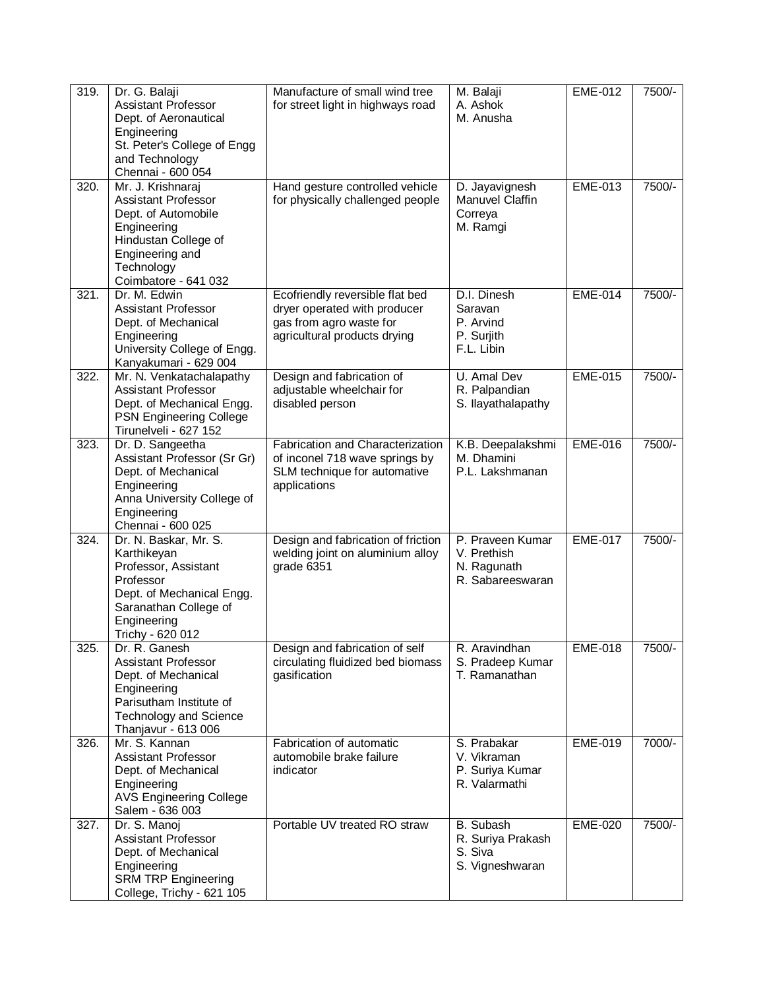| 319. | Dr. G. Balaji<br>Assistant Professor<br>Dept. of Aeronautical<br>Engineering<br>St. Peter's College of Engg<br>and Technology<br>Chennai - 600 054                     | Manufacture of small wind tree<br>for street light in highways road                                                        | M. Balaji<br>A. Ashok<br>M. Anusha                                  | <b>EME-012</b> | 7500/- |
|------|------------------------------------------------------------------------------------------------------------------------------------------------------------------------|----------------------------------------------------------------------------------------------------------------------------|---------------------------------------------------------------------|----------------|--------|
| 320. | Mr. J. Krishnaraj<br><b>Assistant Professor</b><br>Dept. of Automobile<br>Engineering<br>Hindustan College of<br>Engineering and<br>Technology<br>Coimbatore - 641 032 | Hand gesture controlled vehicle<br>for physically challenged people                                                        | D. Jayavignesh<br>Manuvel Claffin<br>Correya<br>M. Ramgi            | <b>EME-013</b> | 7500/- |
| 321. | Dr. M. Edwin<br>Assistant Professor<br>Dept. of Mechanical<br>Engineering<br>University College of Engg.<br>Kanyakumari - 629 004                                      | Ecofriendly reversible flat bed<br>dryer operated with producer<br>gas from agro waste for<br>agricultural products drying | D.I. Dinesh<br>Saravan<br>P. Arvind<br>P. Surjith<br>F.L. Libin     | <b>EME-014</b> | 7500/- |
| 322. | Mr. N. Venkatachalapathy<br><b>Assistant Professor</b><br>Dept. of Mechanical Engg.<br>PSN Engineering College<br>Tirunelveli - 627 152                                | Design and fabrication of<br>adjustable wheelchair for<br>disabled person                                                  | U. Amal Dev<br>R. Palpandian<br>S. Ilayathalapathy                  | <b>EME-015</b> | 7500/- |
| 323. | Dr. D. Sangeetha<br>Assistant Professor (Sr Gr)<br>Dept. of Mechanical<br>Engineering<br>Anna University College of<br>Engineering<br>Chennai - 600 025                | <b>Fabrication and Characterization</b><br>of inconel 718 wave springs by<br>SLM technique for automative<br>applications  | K.B. Deepalakshmi<br>M. Dhamini<br>P.L. Lakshmanan                  | <b>EME-016</b> | 7500/- |
| 324. | Dr. N. Baskar, Mr. S.<br>Karthikeyan<br>Professor, Assistant<br>Professor<br>Dept. of Mechanical Engg.<br>Saranathan College of<br>Engineering<br>Trichy - 620 012     | Design and fabrication of friction<br>welding joint on aluminium alloy<br>grade 6351                                       | P. Praveen Kumar<br>V. Prethish<br>N. Ragunath<br>R. Sabareeswaran  | <b>EME-017</b> | 7500/- |
| 325. | Dr. R. Ganesh<br><b>Assistant Professor</b><br>Dept. of Mechanical<br>Engineering<br>Parisutham Institute of<br><b>Technology and Science</b><br>Thanjavur - 613 006   | Design and fabrication of self<br>circulating fluidized bed biomass<br>gasification                                        | R. Aravindhan<br>S. Pradeep Kumar<br>T. Ramanathan                  | <b>EME-018</b> | 7500/- |
| 326. | Mr. S. Kannan<br>Assistant Professor<br>Dept. of Mechanical<br>Engineering<br><b>AVS Engineering College</b><br>Salem - 636 003                                        | Fabrication of automatic<br>automobile brake failure<br>indicator                                                          | S. Prabakar<br>V. Vikraman<br>P. Suriya Kumar<br>R. Valarmathi      | <b>EME-019</b> | 7000/- |
| 327. | Dr. S. Manoj<br><b>Assistant Professor</b><br>Dept. of Mechanical<br>Engineering<br><b>SRM TRP Engineering</b><br>College, Trichy - 621 105                            | Portable UV treated RO straw                                                                                               | <b>B.</b> Subash<br>R. Suriya Prakash<br>S. Siva<br>S. Vigneshwaran | <b>EME-020</b> | 7500/- |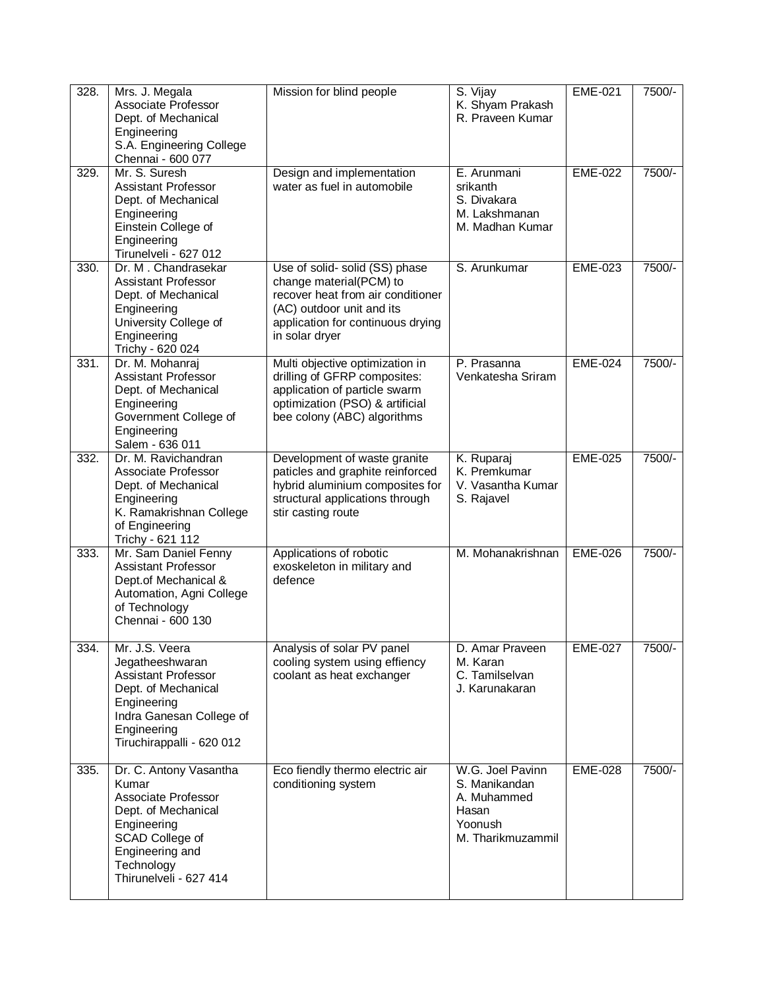| 328. | Mrs. J. Megala<br>Associate Professor<br>Dept. of Mechanical<br>Engineering<br>S.A. Engineering College<br>Chennai - 600 077                                                  | Mission for blind people                                                                                                                                                          | S. Vijay<br>K. Shyam Prakash<br>R. Praveen Kumar                                          | <b>EME-021</b> | 7500/- |
|------|-------------------------------------------------------------------------------------------------------------------------------------------------------------------------------|-----------------------------------------------------------------------------------------------------------------------------------------------------------------------------------|-------------------------------------------------------------------------------------------|----------------|--------|
| 329. | Mr. S. Suresh<br><b>Assistant Professor</b><br>Dept. of Mechanical<br>Engineering<br>Einstein College of<br>Engineering<br>Tirunelveli - 627 012                              | Design and implementation<br>water as fuel in automobile                                                                                                                          | E. Arunmani<br>srikanth<br>S. Divakara<br>M. Lakshmanan<br>M. Madhan Kumar                | <b>EME-022</b> | 7500/- |
| 330. | Dr. M. Chandrasekar<br><b>Assistant Professor</b><br>Dept. of Mechanical<br>Engineering<br>University College of<br>Engineering<br>Trichy - 620 024                           | Use of solid-solid (SS) phase<br>change material(PCM) to<br>recover heat from air conditioner<br>(AC) outdoor unit and its<br>application for continuous drying<br>in solar dryer | S. Arunkumar                                                                              | <b>EME-023</b> | 7500/- |
| 331. | Dr. M. Mohanraj<br><b>Assistant Professor</b><br>Dept. of Mechanical<br>Engineering<br>Government College of<br>Engineering<br>Salem - 636 011                                | Multi objective optimization in<br>drilling of GFRP composites:<br>application of particle swarm<br>optimization (PSO) & artificial<br>bee colony (ABC) algorithms                | P. Prasanna<br>Venkatesha Sriram                                                          | <b>EME-024</b> | 7500/- |
| 332. | Dr. M. Ravichandran<br>Associate Professor<br>Dept. of Mechanical<br>Engineering<br>K. Ramakrishnan College<br>of Engineering<br>Trichy - 621 112                             | Development of waste granite<br>paticles and graphite reinforced<br>hybrid aluminium composites for<br>structural applications through<br>stir casting route                      | K. Ruparaj<br>K. Premkumar<br>V. Vasantha Kumar<br>S. Rajavel                             | <b>EME-025</b> | 7500/- |
| 333. | Mr. Sam Daniel Fenny<br><b>Assistant Professor</b><br>Dept.of Mechanical &<br>Automation, Agni College<br>of Technology<br>Chennai - 600 130                                  | Applications of robotic<br>exoskeleton in military and<br>defence                                                                                                                 | M. Mohanakrishnan                                                                         | <b>EME-026</b> | 7500/- |
| 334. | Mr. J.S. Veera<br>Jegatheeshwaran<br><b>Assistant Professor</b><br>Dept. of Mechanical<br>Engineering<br>Indra Ganesan College of<br>Engineering<br>Tiruchirappalli - 620 012 | Analysis of solar PV panel<br>cooling system using effiency<br>coolant as heat exchanger                                                                                          | D. Amar Praveen<br>M. Karan<br>C. Tamilselvan<br>J. Karunakaran                           | <b>EME-027</b> | 7500/- |
| 335. | Dr. C. Antony Vasantha<br>Kumar<br>Associate Professor<br>Dept. of Mechanical<br>Engineering<br>SCAD College of<br>Engineering and<br>Technology<br>Thirunelveli - 627 414    | Eco fiendly thermo electric air<br>conditioning system                                                                                                                            | W.G. Joel Pavinn<br>S. Manikandan<br>A. Muhammed<br>Hasan<br>Yoonush<br>M. Tharikmuzammil | <b>EME-028</b> | 7500/- |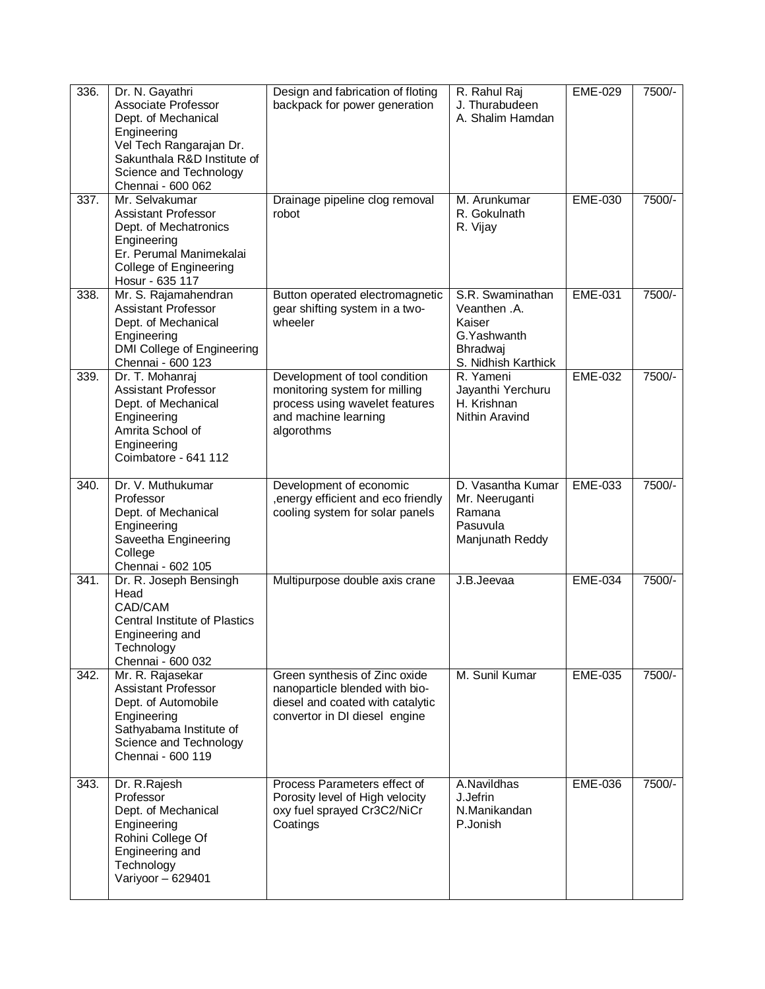| 336. | Dr. N. Gayathri<br>Associate Professor<br>Dept. of Mechanical<br>Engineering<br>Vel Tech Rangarajan Dr.<br>Sakunthala R&D Institute of<br>Science and Technology<br>Chennai - 600 062 | Design and fabrication of floting<br>backpack for power generation                                                                     | R. Rahul Raj<br>J. Thurabudeen<br>A. Shalim Hamdan                                            | <b>EME-029</b> | 7500/- |
|------|---------------------------------------------------------------------------------------------------------------------------------------------------------------------------------------|----------------------------------------------------------------------------------------------------------------------------------------|-----------------------------------------------------------------------------------------------|----------------|--------|
| 337. | Mr. Selvakumar<br><b>Assistant Professor</b><br>Dept. of Mechatronics<br>Engineering<br>Er. Perumal Manimekalai<br>College of Engineering<br>Hosur - 635 117                          | Drainage pipeline clog removal<br>robot                                                                                                | M. Arunkumar<br>R. Gokulnath<br>R. Vijay                                                      | <b>EME-030</b> | 7500/- |
| 338. | Mr. S. Rajamahendran<br><b>Assistant Professor</b><br>Dept. of Mechanical<br>Engineering<br>DMI College of Engineering<br>Chennai - 600 123                                           | Button operated electromagnetic<br>gear shifting system in a two-<br>wheeler                                                           | S.R. Swaminathan<br>Veanthen .A.<br>Kaiser<br>G. Yashwanth<br>Bhradwaj<br>S. Nidhish Karthick | <b>EME-031</b> | 7500/- |
| 339. | Dr. T. Mohanraj<br><b>Assistant Professor</b><br>Dept. of Mechanical<br>Engineering<br>Amrita School of<br>Engineering<br>Coimbatore - 641 112                                        | Development of tool condition<br>monitoring system for milling<br>process using wavelet features<br>and machine learning<br>algorothms | R. Yameni<br>Jayanthi Yerchuru<br>H. Krishnan<br>Nithin Aravind                               | <b>EME-032</b> | 7500/- |
| 340. | Dr. V. Muthukumar<br>Professor<br>Dept. of Mechanical<br>Engineering<br>Saveetha Engineering<br>College<br>Chennai - 602 105                                                          | Development of economic<br>, energy efficient and eco friendly<br>cooling system for solar panels                                      | D. Vasantha Kumar<br>Mr. Neeruganti<br>Ramana<br>Pasuvula<br>Manjunath Reddy                  | <b>EME-033</b> | 7500/- |
| 341. | Dr. R. Joseph Bensingh<br>Head<br>CAD/CAM<br><b>Central Institute of Plastics</b><br>Engineering and<br>Technology<br>Chennai - 600 032                                               | Multipurpose double axis crane                                                                                                         | J.B.Jeevaa                                                                                    | <b>EME-034</b> | 7500/- |
| 342. | Mr. R. Rajasekar<br><b>Assistant Professor</b><br>Dept. of Automobile<br>Engineering<br>Sathyabama Institute of<br>Science and Technology<br>Chennai - 600 119                        | Green synthesis of Zinc oxide<br>nanoparticle blended with bio-<br>diesel and coated with catalytic<br>convertor in DI diesel engine   | M. Sunil Kumar                                                                                | EME-035        | 7500/- |
| 343. | Dr. R. Rajesh<br>Professor<br>Dept. of Mechanical<br>Engineering<br>Rohini College Of<br>Engineering and<br>Technology<br>Variyoor - 629401                                           | Process Parameters effect of<br>Porosity level of High velocity<br>oxy fuel sprayed Cr3C2/NiCr<br>Coatings                             | A.Navildhas<br>J.Jefrin<br>N.Manikandan<br>P.Jonish                                           | EME-036        | 7500/- |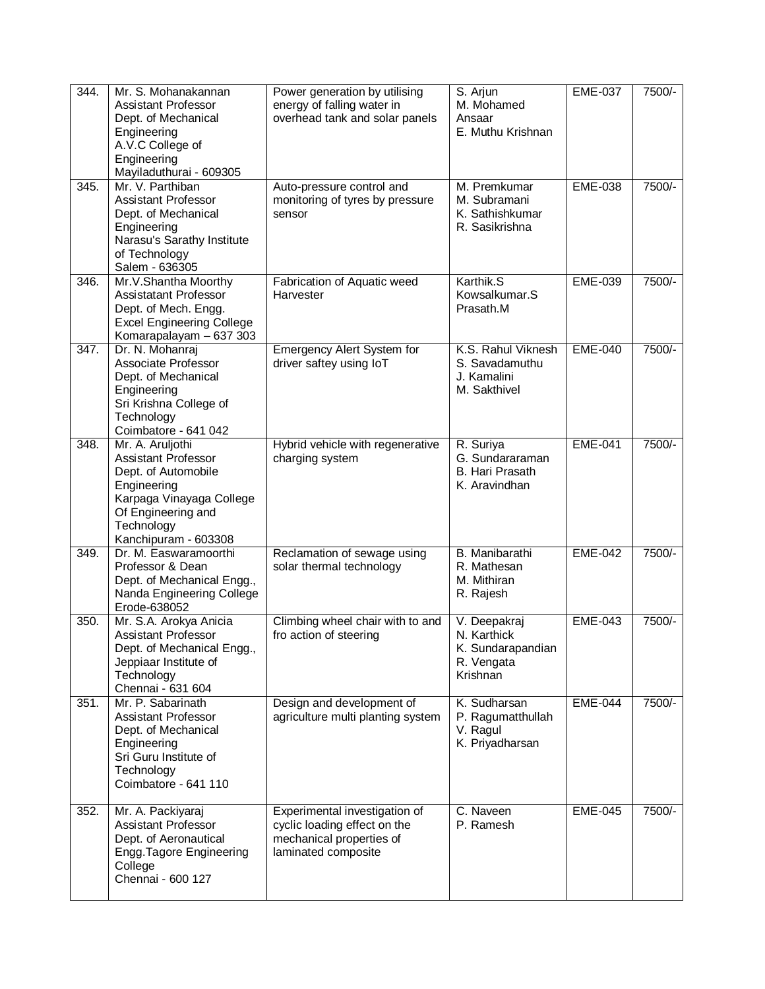| 344.               | Mr. S. Mohanakannan<br>Assistant Professor<br>Dept. of Mechanical<br>Engineering<br>A.V.C College of<br>Engineering<br>Mayiladuthurai - 609305                        | Power generation by utilising<br>energy of falling water in<br>overhead tank and solar panels                    | S. Arjun<br>M. Mohamed<br>Ansaar<br>E. Muthu Krishnan                      | <b>EME-037</b> | 7500/- |
|--------------------|-----------------------------------------------------------------------------------------------------------------------------------------------------------------------|------------------------------------------------------------------------------------------------------------------|----------------------------------------------------------------------------|----------------|--------|
| 345.               | Mr. V. Parthiban<br><b>Assistant Professor</b><br>Dept. of Mechanical<br>Engineering<br>Narasu's Sarathy Institute<br>of Technology<br>Salem - 636305                 | Auto-pressure control and<br>monitoring of tyres by pressure<br>sensor                                           | M. Premkumar<br>M. Subramani<br>K. Sathishkumar<br>R. Sasikrishna          | <b>EME-038</b> | 7500/- |
| 346.               | Mr.V.Shantha Moorthy<br>Assistatant Professor<br>Dept. of Mech. Engg.<br><b>Excel Engineering College</b><br>Komarapalayam - 637 303                                  | Fabrication of Aquatic weed<br>Harvester                                                                         | Karthik.S<br>Kowsalkumar.S<br>Prasath.M                                    | <b>EME-039</b> | 7500/- |
| 347.               | Dr. N. Mohanraj<br>Associate Professor<br>Dept. of Mechanical<br>Engineering<br>Sri Krishna College of<br>Technology<br>Coimbatore - 641 042                          | <b>Emergency Alert System for</b><br>driver saftey using IoT                                                     | K.S. Rahul Viknesh<br>S. Savadamuthu<br>J. Kamalini<br>M. Sakthivel        | <b>EME-040</b> | 7500/- |
| 348.               | Mr. A. Aruljothi<br>Assistant Professor<br>Dept. of Automobile<br>Engineering<br>Karpaga Vinayaga College<br>Of Engineering and<br>Technology<br>Kanchipuram - 603308 | Hybrid vehicle with regenerative<br>charging system                                                              | R. Suriya<br>G. Sundararaman<br>B. Hari Prasath<br>K. Aravindhan           | <b>EME-041</b> | 7500/- |
| 349.               | Dr. M. Easwaramoorthi<br>Professor & Dean<br>Dept. of Mechanical Engg.,<br>Nanda Engineering College<br>Erode-638052                                                  | Reclamation of sewage using<br>solar thermal technology                                                          | B. Manibarathi<br>R. Mathesan<br>M. Mithiran<br>R. Rajesh                  | <b>EME-042</b> | 7500/- |
| 350.               | Mr. S.A. Arokya Anicia<br>Assistant Professor<br>Dept. of Mechanical Engg.,<br>Jeppiaar Institute of<br>Technology<br>Chennai - 631 604                               | Climbing wheel chair with to and<br>fro action of steering                                                       | V. Deepakraj<br>N. Karthick<br>K. Sundarapandian<br>R. Vengata<br>Krishnan | <b>EME-043</b> | 7500/- |
| 351.               | Mr. P. Sabarinath<br><b>Assistant Professor</b><br>Dept. of Mechanical<br>Engineering<br>Sri Guru Institute of<br>Technology<br>Coimbatore - 641 110                  | Design and development of<br>agriculture multi planting system                                                   | K. Sudharsan<br>P. Ragumatthullah<br>V. Ragul<br>K. Priyadharsan           | <b>EME-044</b> | 7500/- |
| $\overline{352}$ . | Mr. A. Packiyaraj<br><b>Assistant Professor</b><br>Dept. of Aeronautical<br>Engg. Tagore Engineering<br>College<br>Chennai - 600 127                                  | Experimental investigation of<br>cyclic loading effect on the<br>mechanical properties of<br>laminated composite | C. Naveen<br>P. Ramesh                                                     | <b>EME-045</b> | 7500/- |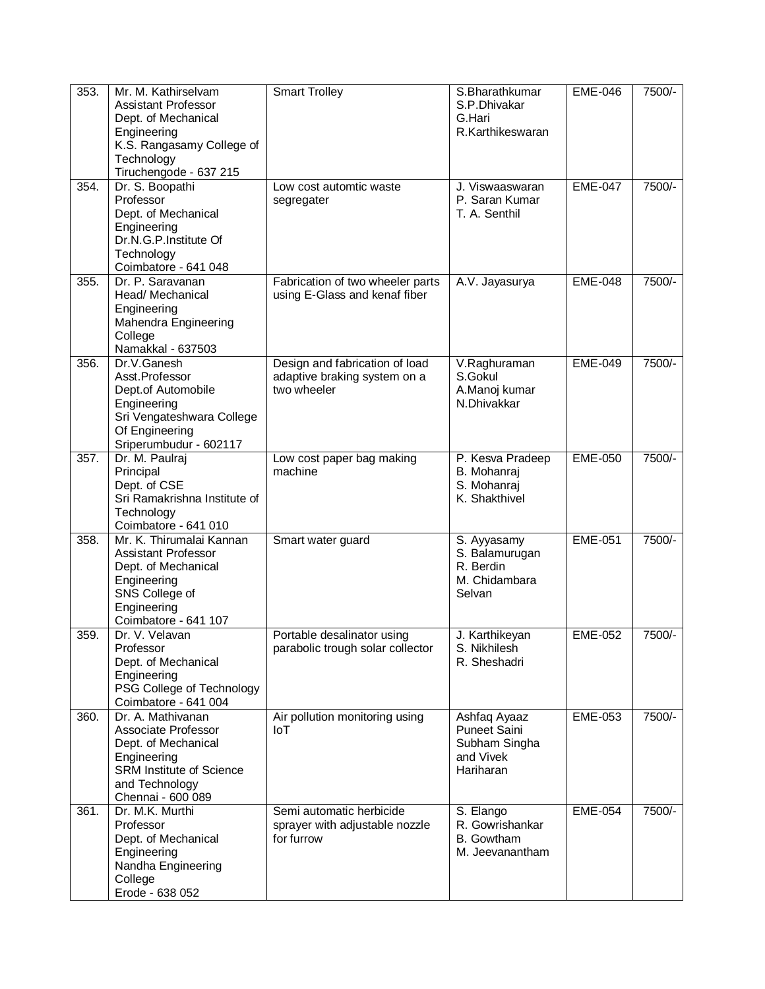| 353. | Mr. M. Kathirselvam<br><b>Assistant Professor</b><br>Dept. of Mechanical<br>Engineering<br>K.S. Rangasamy College of<br>Technology<br>Tiruchengode - 637 215 | <b>Smart Trolley</b>                                                          | S.Bharathkumar<br>S.P.Dhivakar<br>G.Hari<br>R.Karthikeswaran                   | <b>EME-046</b> | 7500/- |
|------|--------------------------------------------------------------------------------------------------------------------------------------------------------------|-------------------------------------------------------------------------------|--------------------------------------------------------------------------------|----------------|--------|
| 354. | Dr. S. Boopathi<br>Professor<br>Dept. of Mechanical<br>Engineering<br>Dr.N.G.P.Institute Of<br>Technology<br>Coimbatore - 641 048                            | Low cost automtic waste<br>segregater                                         | J. Viswaaswaran<br>P. Saran Kumar<br>T. A. Senthil                             | <b>EME-047</b> | 7500/- |
| 355. | Dr. P. Saravanan<br>Head/ Mechanical<br>Engineering<br>Mahendra Engineering<br>College<br>Namakkal - 637503                                                  | Fabrication of two wheeler parts<br>using E-Glass and kenaf fiber             | A.V. Jayasurya                                                                 | <b>EME-048</b> | 7500/- |
| 356. | Dr.V.Ganesh<br>Asst.Professor<br>Dept.of Automobile<br>Engineering<br>Sri Vengateshwara College<br>Of Engineering<br>Sriperumbudur - 602117                  | Design and fabrication of load<br>adaptive braking system on a<br>two wheeler | V.Raghuraman<br>S.Gokul<br>A.Manoj kumar<br>N.Dhivakkar                        | <b>EME-049</b> | 7500/- |
| 357. | Dr. M. Paulraj<br>Principal<br>Dept. of CSE<br>Sri Ramakrishna Institute of<br>Technology<br>Coimbatore - 641 010                                            | Low cost paper bag making<br>machine                                          | P. Kesva Pradeep<br>B. Mohanraj<br>S. Mohanraj<br>K. Shakthivel                | <b>EME-050</b> | 7500/- |
| 358. | Mr. K. Thirumalai Kannan<br><b>Assistant Professor</b><br>Dept. of Mechanical<br>Engineering<br>SNS College of<br>Engineering<br>Coimbatore - 641 107        | Smart water guard                                                             | S. Ayyasamy<br>S. Balamurugan<br>R. Berdin<br>M. Chidambara<br>Selvan          | <b>EME-051</b> | 7500/- |
| 359. | Dr. V. Velavan<br>Professor<br>Dept. of Mechanical<br>Engineering<br>PSG College of Technology<br>Coimbatore - 641 004                                       | Portable desalinator using<br>parabolic trough solar collector                | J. Karthikeyan<br>S. Nikhilesh<br>R. Sheshadri                                 | <b>EME-052</b> | 7500/- |
| 360. | Dr. A. Mathivanan<br>Associate Professor<br>Dept. of Mechanical<br>Engineering<br>SRM Institute of Science<br>and Technology<br>Chennai - 600 089            | Air pollution monitoring using<br><b>IoT</b>                                  | Ashfaq Ayaaz<br><b>Puneet Saini</b><br>Subham Singha<br>and Vivek<br>Hariharan | <b>EME-053</b> | 7500/- |
| 361. | Dr. M.K. Murthi<br>Professor<br>Dept. of Mechanical<br>Engineering<br>Nandha Engineering<br>College<br>Erode - 638 052                                       | Semi automatic herbicide<br>sprayer with adjustable nozzle<br>for furrow      | S. Elango<br>R. Gowrishankar<br><b>B.</b> Gowtham<br>M. Jeevanantham           | <b>EME-054</b> | 7500/- |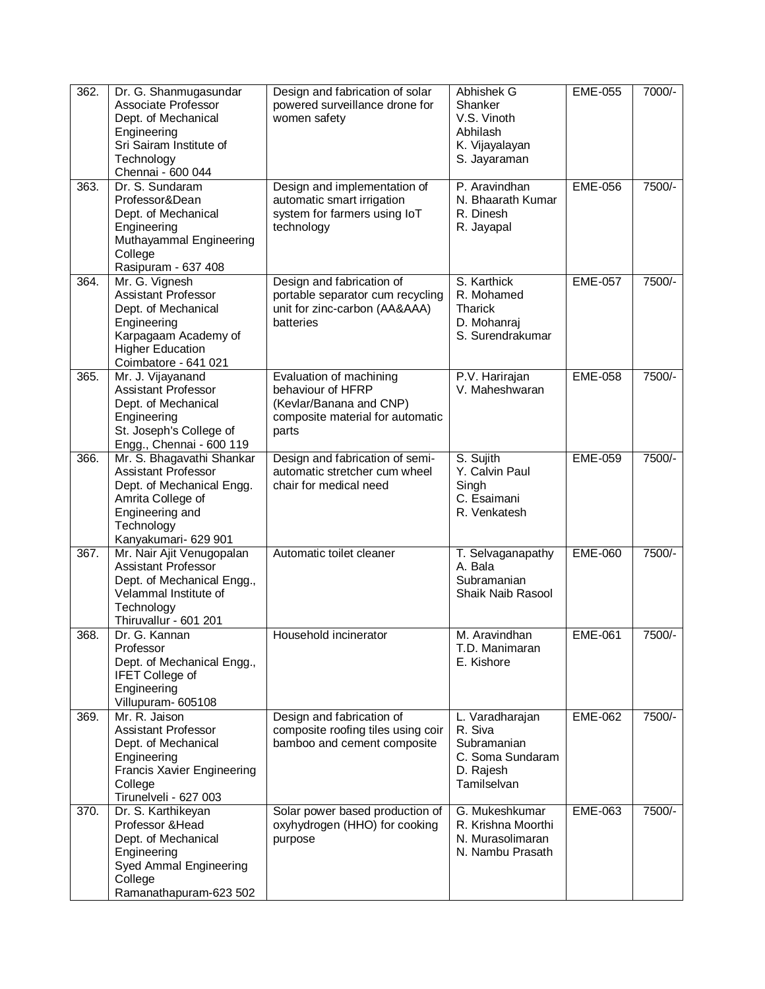| 362. | Dr. G. Shanmugasundar<br>Associate Professor<br>Dept. of Mechanical<br>Engineering<br>Sri Sairam Institute of<br>Technology<br>Chennai - 600 044                   | Design and fabrication of solar<br>powered surveillance drone for<br>women safety                                    | Abhishek G<br>Shanker<br>V.S. Vinoth<br>Abhilash<br>K. Vijayalayan<br>S. Jayaraman        | <b>EME-055</b> | 7000/- |
|------|--------------------------------------------------------------------------------------------------------------------------------------------------------------------|----------------------------------------------------------------------------------------------------------------------|-------------------------------------------------------------------------------------------|----------------|--------|
| 363. | Dr. S. Sundaram<br>Professor&Dean<br>Dept. of Mechanical<br>Engineering<br>Muthayammal Engineering<br>College<br>Rasipuram - 637 408                               | Design and implementation of<br>automatic smart irrigation<br>system for farmers using IoT<br>technology             | P. Aravindhan<br>N. Bhaarath Kumar<br>R. Dinesh<br>R. Jayapal                             | <b>EME-056</b> | 7500/- |
| 364. | Mr. G. Vignesh<br><b>Assistant Professor</b><br>Dept. of Mechanical<br>Engineering<br>Karpagaam Academy of<br><b>Higher Education</b><br>Coimbatore - 641 021      | Design and fabrication of<br>portable separator cum recycling<br>unit for zinc-carbon (AA&AAA)<br>batteries          | S. Karthick<br>R. Mohamed<br><b>Tharick</b><br>D. Mohanraj<br>S. Surendrakumar            | <b>EME-057</b> | 7500/- |
| 365. | Mr. J. Vijayanand<br>Assistant Professor<br>Dept. of Mechanical<br>Engineering<br>St. Joseph's College of<br>Engg., Chennai - 600 119                              | Evaluation of machining<br>behaviour of HFRP<br>(Kevlar/Banana and CNP)<br>composite material for automatic<br>parts | P.V. Harirajan<br>V. Maheshwaran                                                          | <b>EME-058</b> | 7500/- |
| 366. | Mr. S. Bhagavathi Shankar<br><b>Assistant Professor</b><br>Dept. of Mechanical Engg.<br>Amrita College of<br>Engineering and<br>Technology<br>Kanyakumari- 629 901 | Design and fabrication of semi-<br>automatic stretcher cum wheel<br>chair for medical need                           | S. Sujith<br>Y. Calvin Paul<br>Singh<br>C. Esaimani<br>R. Venkatesh                       | <b>EME-059</b> | 7500/- |
| 367. | Mr. Nair Ajit Venugopalan<br>Assistant Professor<br>Dept. of Mechanical Engg.,<br>Velammal Institute of<br>Technology<br>Thiruvallur - 601 201                     | Automatic toilet cleaner                                                                                             | T. Selvaganapathy<br>A. Bala<br>Subramanian<br>Shaik Naib Rasool                          | <b>EME-060</b> | 7500/- |
| 368. | Dr. G. Kannan<br>Professor<br>Dept. of Mechanical Engg.,<br><b>IFET College of</b><br>Engineering<br>Villupuram- 605108                                            | Household incinerator                                                                                                | M. Aravindhan<br>T.D. Manimaran<br>E. Kishore                                             | <b>EME-061</b> | 7500/- |
| 369. | Mr. R. Jaison<br>Assistant Professor<br>Dept. of Mechanical<br>Engineering<br><b>Francis Xavier Engineering</b><br>College<br>Tirunelveli - 627 003                | Design and fabrication of<br>composite roofing tiles using coir<br>bamboo and cement composite                       | L. Varadharajan<br>R. Siva<br>Subramanian<br>C. Soma Sundaram<br>D. Rajesh<br>Tamilselvan | <b>EME-062</b> | 7500/- |
| 370. | Dr. S. Karthikeyan<br>Professor & Head<br>Dept. of Mechanical<br>Engineering<br>Syed Ammal Engineering<br>College<br>Ramanathapuram-623 502                        | Solar power based production of<br>oxyhydrogen (HHO) for cooking<br>purpose                                          | G. Mukeshkumar<br>R. Krishna Moorthi<br>N. Murasolimaran<br>N. Nambu Prasath              | <b>EME-063</b> | 7500/- |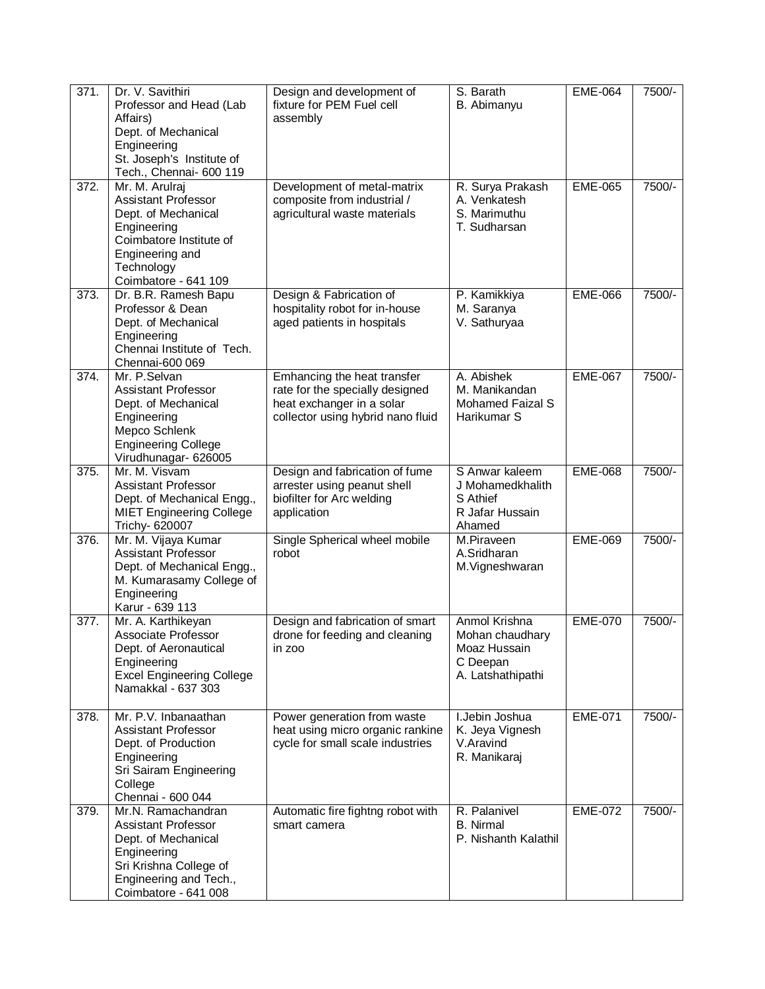| 371.               | Dr. V. Savithiri<br>Professor and Head (Lab<br>Affairs)<br>Dept. of Mechanical<br>Engineering<br>St. Joseph's Institute of<br>Tech., Chennai- 600 119                  | Design and development of<br>fixture for PEM Fuel cell<br>assembly                                                               | S. Barath<br>B. Abimanyu                                                          | <b>EME-064</b> | 7500/- |
|--------------------|------------------------------------------------------------------------------------------------------------------------------------------------------------------------|----------------------------------------------------------------------------------------------------------------------------------|-----------------------------------------------------------------------------------|----------------|--------|
| 372.               | Mr. M. Arulraj<br><b>Assistant Professor</b><br>Dept. of Mechanical<br>Engineering<br>Coimbatore Institute of<br>Engineering and<br>Technology<br>Coimbatore - 641 109 | Development of metal-matrix<br>composite from industrial /<br>agricultural waste materials                                       | R. Surya Prakash<br>A. Venkatesh<br>S. Marimuthu<br>T. Sudharsan                  | <b>EME-065</b> | 7500/- |
| 373.               | Dr. B.R. Ramesh Bapu<br>Professor & Dean<br>Dept. of Mechanical<br>Engineering<br>Chennai Institute of Tech.<br>Chennai-600 069                                        | Design & Fabrication of<br>hospitality robot for in-house<br>aged patients in hospitals                                          | P. Kamikkiya<br>M. Saranya<br>V. Sathuryaa                                        | <b>EME-066</b> | 7500/- |
| 374.               | Mr. P.Selvan<br>Assistant Professor<br>Dept. of Mechanical<br>Engineering<br>Mepco Schlenk<br><b>Engineering College</b><br>Virudhunagar- 626005                       | Emhancing the heat transfer<br>rate for the specially designed<br>heat exchanger in a solar<br>collector using hybrid nano fluid | A. Abishek<br>M. Manikandan<br><b>Mohamed Faizal S</b><br>Harikumar S             | <b>EME-067</b> | 7500/- |
| $\overline{375}$ . | Mr. M. Visvam<br><b>Assistant Professor</b><br>Dept. of Mechanical Engg.,<br><b>MIET Engineering College</b><br>Trichy- 620007                                         | Design and fabrication of fume<br>arrester using peanut shell<br>biofilter for Arc welding<br>application                        | S Anwar kaleem<br>J Mohamedkhalith<br>S Athief<br>R Jafar Hussain<br>Ahamed       | <b>EME-068</b> | 7500/- |
| 376.               | Mr. M. Vijaya Kumar<br><b>Assistant Professor</b><br>Dept. of Mechanical Engg.,<br>M. Kumarasamy College of<br>Engineering<br>Karur - 639 113                          | Single Spherical wheel mobile<br>robot                                                                                           | M.Piraveen<br>A.Sridharan<br>M.Vigneshwaran                                       | <b>EME-069</b> | 7500/- |
| 377.               | Mr. A. Karthikeyan<br><b>Associate Professor</b><br>Dept. of Aeronautical<br>Engineering<br><b>Excel Engineering College</b><br>Namakkal - 637 303                     | Design and fabrication of smart<br>drone for feeding and cleaning<br>in zoo                                                      | Anmol Krishna<br>Mohan chaudhary<br>Moaz Hussain<br>C Deepan<br>A. Latshathipathi | <b>EME-070</b> | 7500/- |
| 378.               | Mr. P.V. Inbanaathan<br>Assistant Professor<br>Dept. of Production<br>Engineering<br>Sri Sairam Engineering<br>College<br>Chennai - 600 044                            | Power generation from waste<br>heat using micro organic rankine<br>cycle for small scale industries                              | I.Jebin Joshua<br>K. Jeya Vignesh<br>V.Aravind<br>R. Manikaraj                    | <b>EME-071</b> | 7500/- |
| 379.               | Mr.N. Ramachandran<br>Assistant Professor<br>Dept. of Mechanical<br>Engineering<br>Sri Krishna College of<br>Engineering and Tech.,<br>Coimbatore - 641 008            | Automatic fire fightng robot with<br>smart camera                                                                                | R. Palanivel<br><b>B.</b> Nirmal<br>P. Nishanth Kalathil                          | <b>EME-072</b> | 7500/- |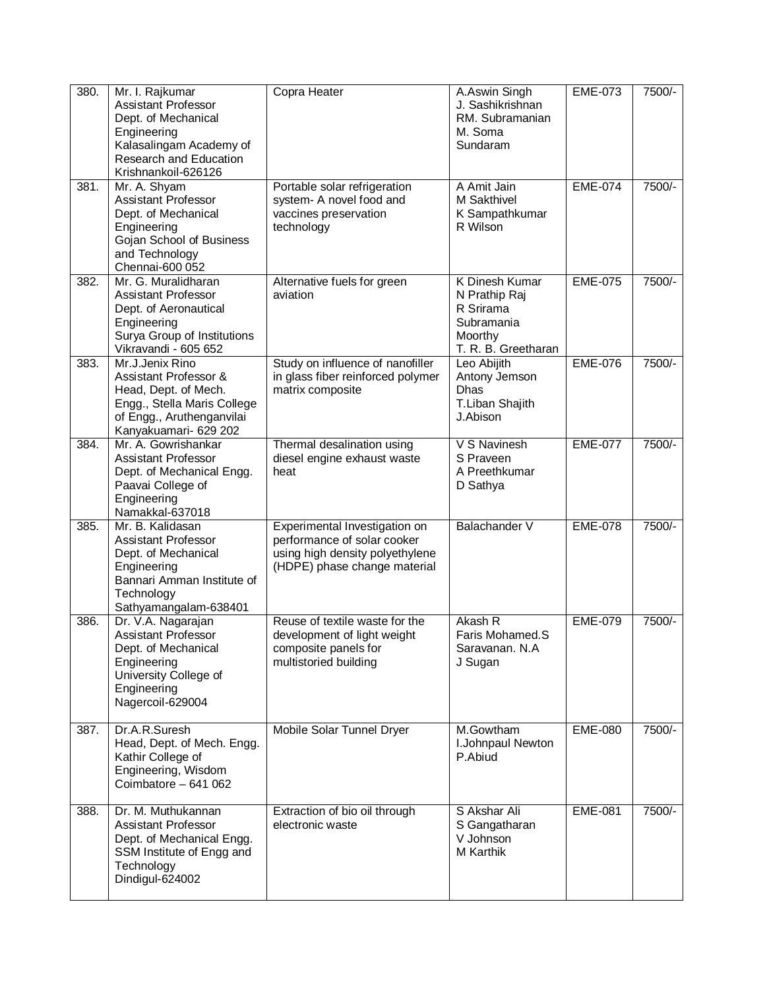| 380. | Mr. I. Rajkumar<br><b>Assistant Professor</b><br>Dept. of Mechanical<br>Engineering<br>Kalasalingam Academy of<br>Research and Education<br>Krishnankoil-626126 | Copra Heater                                                                                                                    | A.Aswin Singh<br>J. Sashikrishnan<br>RM. Subramanian<br>M. Soma<br>Sundaram                         | <b>EME-073</b> | 7500/- |
|------|-----------------------------------------------------------------------------------------------------------------------------------------------------------------|---------------------------------------------------------------------------------------------------------------------------------|-----------------------------------------------------------------------------------------------------|----------------|--------|
| 381. | Mr. A. Shyam<br><b>Assistant Professor</b><br>Dept. of Mechanical<br>Engineering<br>Gojan School of Business<br>and Technology<br>Chennai-600 052               | Portable solar refrigeration<br>system- A novel food and<br>vaccines preservation<br>technology                                 | A Amit Jain<br><b>M</b> Sakthivel<br>K Sampathkumar<br>R Wilson                                     | <b>EME-074</b> | 7500/- |
| 382. | Mr. G. Muralidharan<br><b>Assistant Professor</b><br>Dept. of Aeronautical<br>Engineering<br>Surya Group of Institutions<br>Vikravandi - 605 652                | Alternative fuels for green<br>aviation                                                                                         | <b>K Dinesh Kumar</b><br>N Prathip Raj<br>R Srirama<br>Subramania<br>Moorthy<br>T. R. B. Greetharan | <b>EME-075</b> | 7500/- |
| 383. | Mr.J.Jenix Rino<br>Assistant Professor &<br>Head, Dept. of Mech.<br>Engg., Stella Maris College<br>of Engg., Aruthenganvilai<br>Kanyakuamari- 629 202           | Study on influence of nanofiller<br>in glass fiber reinforced polymer<br>matrix composite                                       | Leo Abijith<br>Antony Jemson<br><b>Dhas</b><br>T.Liban Shajith<br>J.Abison                          | <b>EME-076</b> | 7500/- |
| 384. | Mr. A. Gowrishankar<br><b>Assistant Professor</b><br>Dept. of Mechanical Engg.<br>Paavai College of<br>Engineering<br>Namakkal-637018                           | Thermal desalination using<br>diesel engine exhaust waste<br>heat                                                               | V S Navinesh<br>S Praveen<br>A Preethkumar<br>D Sathya                                              | <b>EME-077</b> | 7500/- |
| 385. | Mr. B. Kalidasan<br><b>Assistant Professor</b><br>Dept. of Mechanical<br>Engineering<br>Bannari Amman Institute of<br>Technology<br>Sathyamangalam-638401       | Experimental Investigation on<br>performance of solar cooker<br>using high density polyethylene<br>(HDPE) phase change material | <b>Balachander V</b>                                                                                | <b>EME-078</b> | 7500/- |
| 386. | Dr. V.A. Nagarajan<br><b>Assistant Professor</b><br>Dept. of Mechanical<br>Engineering<br>University College of<br>Engineering<br>Nagercoil-629004              | Reuse of textile waste for the<br>development of light weight<br>composite panels for<br>multistoried building                  | Akash R<br>Faris Mohamed.S<br>Saravanan. N.A<br>J Sugan                                             | <b>EME-079</b> | 7500/- |
| 387. | Dr.A.R.Suresh<br>Head, Dept. of Mech. Engg.<br>Kathir College of<br>Engineering, Wisdom<br>Coimbatore - 641 062                                                 | Mobile Solar Tunnel Dryer                                                                                                       | M.Gowtham<br>I.Johnpaul Newton<br>P.Abiud                                                           | <b>EME-080</b> | 7500/- |
| 388. | Dr. M. Muthukannan<br><b>Assistant Professor</b><br>Dept. of Mechanical Engg.<br>SSM Institute of Engg and<br>Technology<br>Dindigul-624002                     | Extraction of bio oil through<br>electronic waste                                                                               | S Akshar Ali<br>S Gangatharan<br>V Johnson<br>M Karthik                                             | <b>EME-081</b> | 7500/- |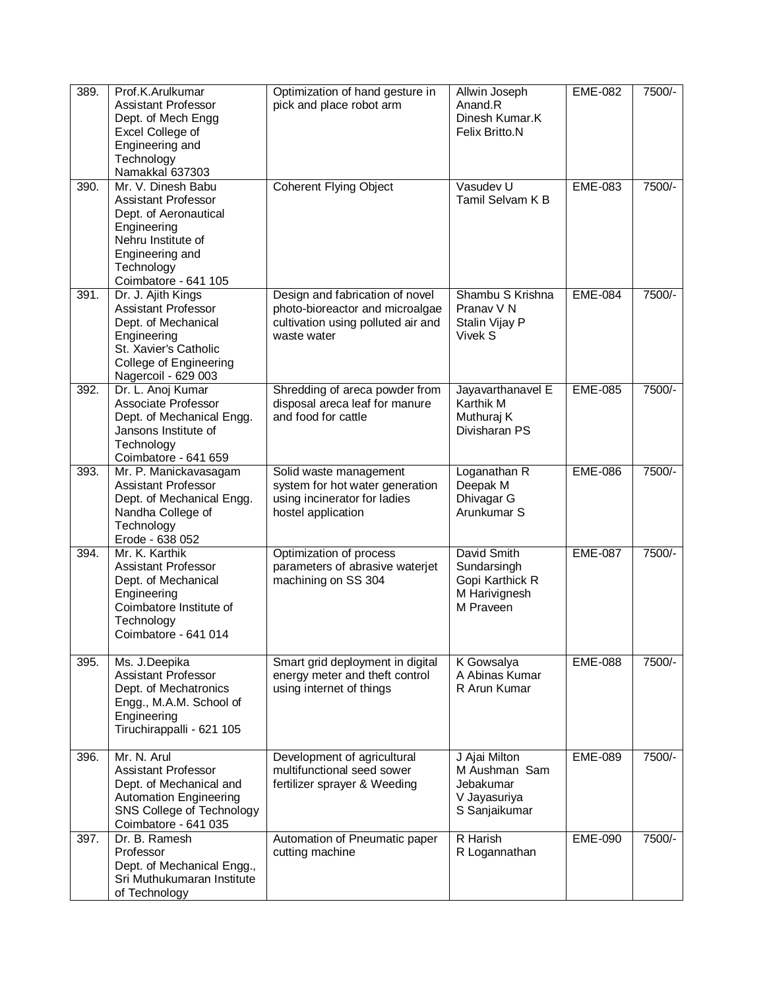| 389. | Prof.K.Arulkumar                                  | Optimization of hand gesture in                                       | Allwin Joseph                           | <b>EME-082</b> | 7500/- |
|------|---------------------------------------------------|-----------------------------------------------------------------------|-----------------------------------------|----------------|--------|
|      | <b>Assistant Professor</b>                        | pick and place robot arm                                              | Anand.R                                 |                |        |
|      | Dept. of Mech Engg<br>Excel College of            |                                                                       | Dinesh Kumar.K<br><b>Felix Britto.N</b> |                |        |
|      | Engineering and                                   |                                                                       |                                         |                |        |
|      | Technology                                        |                                                                       |                                         |                |        |
|      | Namakkal 637303                                   |                                                                       |                                         |                |        |
| 390. | Mr. V. Dinesh Babu                                | <b>Coherent Flying Object</b>                                         | Vasudev U                               | <b>EME-083</b> | 7500/- |
|      | <b>Assistant Professor</b>                        |                                                                       | Tamil Selvam K B                        |                |        |
|      | Dept. of Aeronautical<br>Engineering              |                                                                       |                                         |                |        |
|      | Nehru Institute of                                |                                                                       |                                         |                |        |
|      | Engineering and                                   |                                                                       |                                         |                |        |
|      | Technology                                        |                                                                       |                                         |                |        |
|      | Coimbatore - 641 105                              |                                                                       |                                         |                |        |
| 391. | Dr. J. Ajith Kings                                | Design and fabrication of novel                                       | Shambu S Krishna                        | <b>EME-084</b> | 7500/- |
|      | <b>Assistant Professor</b><br>Dept. of Mechanical | photo-bioreactor and microalgae<br>cultivation using polluted air and | Pranav V N<br>Stalin Vijay P            |                |        |
|      | Engineering                                       | waste water                                                           | Vivek S                                 |                |        |
|      | St. Xavier's Catholic                             |                                                                       |                                         |                |        |
|      | College of Engineering                            |                                                                       |                                         |                |        |
|      | Nagercoil - 629 003                               |                                                                       |                                         |                |        |
| 392. | Dr. L. Anoj Kumar<br>Associate Professor          | Shredding of areca powder from<br>disposal areca leaf for manure      | Jayavarthanavel E<br>Karthik M          | <b>EME-085</b> | 7500/- |
|      | Dept. of Mechanical Engg.                         | and food for cattle                                                   | Muthuraj K                              |                |        |
|      | Jansons Institute of                              |                                                                       | Divisharan PS                           |                |        |
|      | Technology                                        |                                                                       |                                         |                |        |
|      | Coimbatore - 641 659                              |                                                                       |                                         |                |        |
| 393. | Mr. P. Manickavasagam                             | Solid waste management                                                | Loganathan R                            | <b>EME-086</b> | 7500/- |
|      | <b>Assistant Professor</b>                        | system for hot water generation                                       | Deepak M                                |                |        |
|      | Dept. of Mechanical Engg.<br>Nandha College of    | using incinerator for ladies<br>hostel application                    | Dhivagar G<br>Arunkumar S               |                |        |
|      | Technology                                        |                                                                       |                                         |                |        |
|      | Erode - 638 052                                   |                                                                       |                                         |                |        |
| 394. | Mr. K. Karthik                                    | Optimization of process                                               | David Smith                             | <b>EME-087</b> | 7500/- |
|      | <b>Assistant Professor</b>                        | parameters of abrasive waterjet<br>machining on SS 304                | Sundarsingh                             |                |        |
|      | Dept. of Mechanical<br>Engineering                |                                                                       | Gopi Karthick R<br>M Harivignesh        |                |        |
|      | Coimbatore Institute of                           |                                                                       | M Praveen                               |                |        |
|      | Technology                                        |                                                                       |                                         |                |        |
|      | Coimbatore - 641 014                              |                                                                       |                                         |                |        |
| 395. | Ms. J.Deepika                                     | Smart grid deployment in digital                                      | K Gowsalya                              | <b>EME-088</b> | 7500/- |
|      | <b>Assistant Professor</b>                        | energy meter and theft control                                        | A Abinas Kumar                          |                |        |
|      | Dept. of Mechatronics                             | using internet of things                                              | R Arun Kumar                            |                |        |
|      | Engg., M.A.M. School of                           |                                                                       |                                         |                |        |
|      | Engineering                                       |                                                                       |                                         |                |        |
|      | Tiruchirappalli - 621 105                         |                                                                       |                                         |                |        |
| 396. | Mr. N. Arul                                       | Development of agricultural                                           | J Ajai Milton                           | <b>EME-089</b> | 7500/- |
|      | Assistant Professor                               | multifunctional seed sower                                            | M Aushman Sam                           |                |        |
|      | Dept. of Mechanical and                           | fertilizer sprayer & Weeding                                          | Jebakumar                               |                |        |
|      | <b>Automation Engineering</b>                     |                                                                       | V Jayasuriya                            |                |        |
|      | SNS College of Technology<br>Coimbatore - 641 035 |                                                                       | S Sanjaikumar                           |                |        |
| 397. | Dr. B. Ramesh                                     | Automation of Pneumatic paper                                         | R Harish                                | <b>EME-090</b> | 7500/- |
|      | Professor                                         | cutting machine                                                       | R Logannathan                           |                |        |
|      | Dept. of Mechanical Engg.,                        |                                                                       |                                         |                |        |
|      | Sri Muthukumaran Institute                        |                                                                       |                                         |                |        |
|      | of Technology                                     |                                                                       |                                         |                |        |